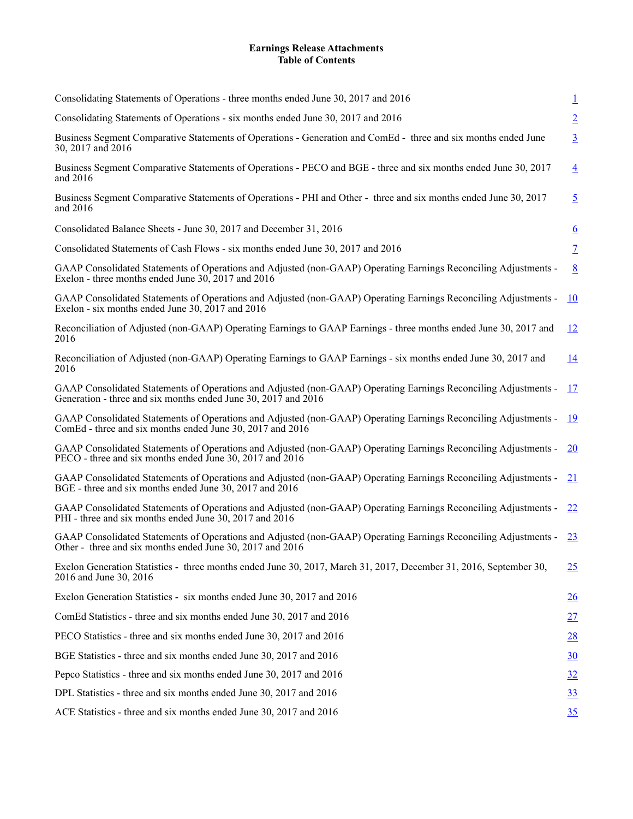## **Earnings Release Attachments Table of Contents**

| Consolidating Statements of Operations - three months ended June 30, 2017 and 2016                                                                                                | $\overline{1}$   |
|-----------------------------------------------------------------------------------------------------------------------------------------------------------------------------------|------------------|
| Consolidating Statements of Operations - six months ended June 30, 2017 and 2016                                                                                                  | $\overline{2}$   |
| Business Segment Comparative Statements of Operations - Generation and ComEd - three and six months ended June<br>30, 2017 and 2016                                               | $\underline{3}$  |
| Business Segment Comparative Statements of Operations - PECO and BGE - three and six months ended June 30, 2017<br>and 2016                                                       | $\overline{4}$   |
| Business Segment Comparative Statements of Operations - PHI and Other - three and six months ended June 30, 2017<br>and $2016$                                                    | $\overline{5}$   |
| Consolidated Balance Sheets - June 30, 2017 and December 31, 2016                                                                                                                 | $\underline{6}$  |
| Consolidated Statements of Cash Flows - six months ended June 30, 2017 and 2016                                                                                                   | $\overline{1}$   |
| GAAP Consolidated Statements of Operations and Adjusted (non-GAAP) Operating Earnings Reconciling Adjustments -<br>Exelon - three months ended June 30, 2017 and 2016             | $\underline{8}$  |
| GAAP Consolidated Statements of Operations and Adjusted (non-GAAP) Operating Earnings Reconciling Adjustments -<br>Exelon - six months ended June 30, 2017 and 2016               | 10               |
| Reconciliation of Adjusted (non-GAAP) Operating Earnings to GAAP Earnings - three months ended June 30, 2017 and<br>2016                                                          | 12               |
| Reconciliation of Adjusted (non-GAAP) Operating Earnings to GAAP Earnings - six months ended June 30, 2017 and<br>2016                                                            | 14               |
| GAAP Consolidated Statements of Operations and Adjusted (non-GAAP) Operating Earnings Reconciling Adjustments -<br>Generation - three and six months ended June 30, 2017 and 2016 | 17               |
| GAAP Consolidated Statements of Operations and Adjusted (non-GAAP) Operating Earnings Reconciling Adjustments -<br>ComEd - three and six months ended June 30, 2017 and 2016      | 19               |
| GAAP Consolidated Statements of Operations and Adjusted (non-GAAP) Operating Earnings Reconciling Adjustments -<br>PECO - three and six months ended June 30, 2017 and 2016       | <b>20</b>        |
| GAAP Consolidated Statements of Operations and Adjusted (non-GAAP) Operating Earnings Reconciling Adjustments -<br>BGE - three and six months ended June 30, 2017 and 2016        | 21               |
| GAAP Consolidated Statements of Operations and Adjusted (non-GAAP) Operating Earnings Reconciling Adjustments -<br>PHI - three and six months ended June 30, 2017 and 2016        | 22               |
| GAAP Consolidated Statements of Operations and Adjusted (non-GAAP) Operating Earnings Reconciling Adjustments -<br>Other - three and six months ended June 30, 2017 and 2016      | 23               |
| Exelon Generation Statistics - three months ended June 30, 2017, March 31, 2017, December 31, 2016, September 30,<br>2016 and June 30, 2016                                       | 25               |
| Exelon Generation Statistics - six months ended June 30, 2017 and 2016                                                                                                            | $\frac{26}{5}$   |
| ComEd Statistics - three and six months ended June 30, 2017 and 2016                                                                                                              | 27               |
| PECO Statistics - three and six months ended June 30, 2017 and 2016                                                                                                               | $\underline{28}$ |
| BGE Statistics - three and six months ended June 30, 2017 and 2016                                                                                                                | $\underline{30}$ |
| Pepco Statistics - three and six months ended June 30, 2017 and 2016                                                                                                              | $\frac{32}{2}$   |
| DPL Statistics - three and six months ended June 30, 2017 and 2016                                                                                                                | $\underline{33}$ |
| ACE Statistics - three and six months ended June 30, 2017 and 2016                                                                                                                | 35               |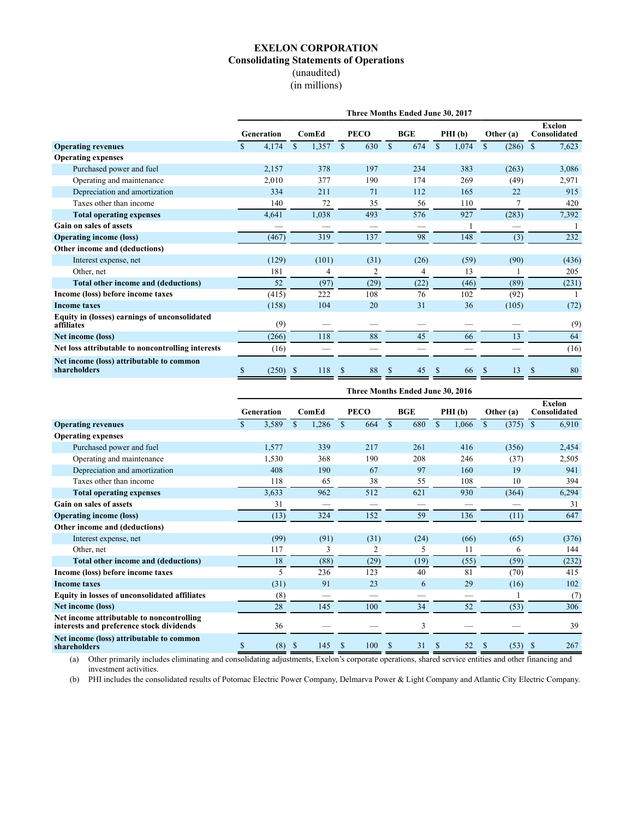## **EXELON CORPORATION Consolidating Statements of Operations** (unaudited) (in millions)

<span id="page-1-0"></span>

|                                                             | Three Months Ended June 30, 2017 |                       |                     |                      |                      |                      |                               |  |  |  |  |  |
|-------------------------------------------------------------|----------------------------------|-----------------------|---------------------|----------------------|----------------------|----------------------|-------------------------------|--|--|--|--|--|
|                                                             | Generation                       | ComEd                 | <b>PECO</b>         | <b>BGE</b>           | PHI (b)              | Other (a)            | <b>Exelon</b><br>Consolidated |  |  |  |  |  |
| <b>Operating revenues</b>                                   | 4,174<br>\$                      | $\mathbb{S}$<br>1,357 | 630<br>$\mathbb{S}$ | <sup>\$</sup><br>674 | 1,074<br>$\mathbf S$ | $\mathbf S$<br>(286) | 7,623<br>$\mathbb{S}$         |  |  |  |  |  |
| <b>Operating expenses</b>                                   |                                  |                       |                     |                      |                      |                      |                               |  |  |  |  |  |
| Purchased power and fuel                                    | 2,157                            | 378                   | 197                 | 234                  | 383                  | (263)                | 3,086                         |  |  |  |  |  |
| Operating and maintenance                                   | 2,010                            | 377                   | 190                 | 174                  | 269                  | (49)                 | 2,971                         |  |  |  |  |  |
| Depreciation and amortization                               | 334                              | 211                   | 71                  | 112                  | 165                  | 22                   | 915                           |  |  |  |  |  |
| Taxes other than income                                     | 140                              | 72                    | 35                  | 56                   | 110                  |                      | 420                           |  |  |  |  |  |
| <b>Total operating expenses</b>                             | 4,641                            | 1,038                 | 493                 | 576                  | 927                  | (283)                | 7,392                         |  |  |  |  |  |
| Gain on sales of assets                                     |                                  |                       |                     |                      |                      |                      |                               |  |  |  |  |  |
| <b>Operating income (loss)</b>                              | (467)                            | 319                   | 137                 | 98                   | 148                  | (3)                  | 232                           |  |  |  |  |  |
| Other income and (deductions)                               |                                  |                       |                     |                      |                      |                      |                               |  |  |  |  |  |
| Interest expense, net                                       | (129)                            | (101)                 | (31)                | (26)                 | (59)                 | (90)                 | (436)                         |  |  |  |  |  |
| Other, net                                                  | 181                              | 4                     | 2                   | 4                    | 13                   |                      | 205                           |  |  |  |  |  |
| Total other income and (deductions)                         | 52                               | (97)                  | (29)                | (22)                 | (46)                 | (89)                 | (231)                         |  |  |  |  |  |
| Income (loss) before income taxes                           | (415)                            | 222                   | 108                 | 76                   | 102                  | (92)                 | 1                             |  |  |  |  |  |
| <b>Income taxes</b>                                         | (158)                            | 104                   | 20                  | 31                   | 36                   | (105)                | (72)                          |  |  |  |  |  |
| Equity in (losses) earnings of unconsolidated<br>affiliates | (9)                              |                       |                     |                      |                      |                      | (9)                           |  |  |  |  |  |
| Net income (loss)                                           | (266)                            | 118                   | 88                  | 45                   | 66                   | 13                   | 64                            |  |  |  |  |  |
| Net loss attributable to noncontrolling interests           | (16)                             |                       |                     |                      |                      |                      | (16)                          |  |  |  |  |  |
| Net income (loss) attributable to common<br>shareholders    | (250)<br>S                       | 118<br>-S             | 88<br>S             | 45<br>-S             | \$<br>66             | 13<br>S              | <sup>\$</sup><br>80           |  |  |  |  |  |

|                                                                                       | Three Months Ended June 30, 2016 |            |             |       |              |                |               |            |        |       |                       |                               |  |
|---------------------------------------------------------------------------------------|----------------------------------|------------|-------------|-------|--------------|----------------|---------------|------------|--------|-------|-----------------------|-------------------------------|--|
|                                                                                       |                                  | Generation |             | ComEd |              | <b>PECO</b>    |               | <b>BGE</b> | PHI(b) |       | Other (a)             | <b>Exelon</b><br>Consolidated |  |
| <b>Operating revenues</b>                                                             |                                  | 3,589      | $\mathbf S$ | 1,286 | $\mathbb{S}$ | 664            | $\mathbf S$   | 680        | \$     | 1,066 | (375)<br>$\mathbb{S}$ | 6,910<br>$\mathbb{S}$         |  |
| <b>Operating expenses</b>                                                             |                                  |            |             |       |              |                |               |            |        |       |                       |                               |  |
| Purchased power and fuel                                                              |                                  | 1,577      |             | 339   |              | 217            |               | 261        |        | 416   | (356)                 | 2,454                         |  |
| Operating and maintenance                                                             |                                  | 1,530      |             | 368   |              | 190            |               | 208        |        | 246   | (37)                  | 2,505                         |  |
| Depreciation and amortization                                                         |                                  | 408        |             | 190   |              | 67             |               | 97         |        | 160   | 19                    | 941                           |  |
| Taxes other than income                                                               |                                  | 118        |             | 65    |              | 38             |               | 55         |        | 108   | 10                    | 394                           |  |
| <b>Total operating expenses</b>                                                       |                                  | 3,633      |             | 962   |              | 512            |               | 621        |        | 930   | (364)                 | 6,294                         |  |
| <b>Gain on sales of assets</b>                                                        |                                  | 31         |             |       |              | –              |               | –          |        |       |                       | 31                            |  |
| <b>Operating income (loss)</b>                                                        |                                  | (13)       |             | 324   |              | 152            |               | 59         |        | 136   | (11)                  | 647                           |  |
| Other income and (deductions)                                                         |                                  |            |             |       |              |                |               |            |        |       |                       |                               |  |
| Interest expense, net                                                                 |                                  | (99)       |             | (91)  |              | (31)           |               | (24)       |        | (66)  | (65)                  | (376)                         |  |
| Other, net                                                                            |                                  | 117        |             | 3     |              | $\overline{c}$ |               | 5          |        | 11    | 6                     | 144                           |  |
| Total other income and (deductions)                                                   |                                  | 18         |             | (88)  |              | (29)           |               | (19)       |        | (55)  | (59)                  | (232)                         |  |
| Income (loss) before income taxes                                                     |                                  | 5          |             | 236   |              | 123            |               | 40         |        | 81    | (70)                  | 415                           |  |
| <b>Income taxes</b>                                                                   |                                  | (31)       |             | 91    |              | 23             |               | 6          |        | 29    | (16)                  | 102                           |  |
| <b>Equity in losses of unconsolidated affiliates</b>                                  |                                  | (8)        |             |       |              |                |               |            |        |       |                       | (7)                           |  |
| Net income (loss)                                                                     |                                  | 28         |             | 145   |              | 100            |               | 34         |        | 52    | (53)                  | 306                           |  |
| Net income attributable to noncontrolling<br>interests and preference stock dividends |                                  | 36         |             |       |              |                |               | 3          |        |       |                       | 39                            |  |
| Net income (loss) attributable to common<br>shareholders                              | \$                               | (8)        | \$          | 145   | \$           | 100            | <sup>\$</sup> | 31         | \$     | 52    | $(53)$ \$<br>\$       | 267                           |  |

(a) Other primarily includes eliminating and consolidating adjustments, Exelon's corporate operations, shared service entities and other financing and investment activities.

(b) PHI includes the consolidated results of Potomac Electric Power Company, Delmarva Power & Light Company and Atlantic City Electric Company.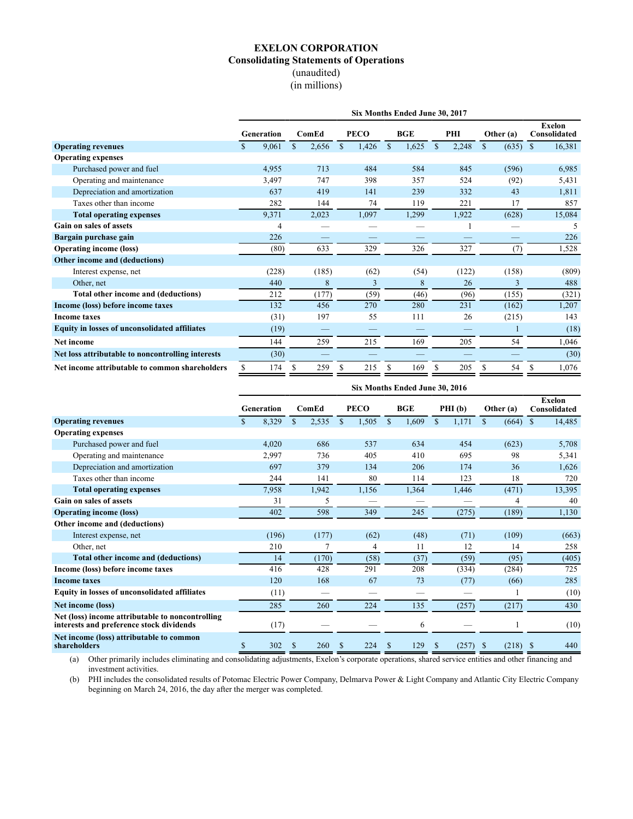## **EXELON CORPORATION Consolidating Statements of Operations** (unaudited) (in millions)

<span id="page-2-0"></span>

|                                                      | Six Months Ended June 30, 2017 |               |       |             |             |              |            |              |       |             |                               |        |
|------------------------------------------------------|--------------------------------|---------------|-------|-------------|-------------|--------------|------------|--------------|-------|-------------|-------------------------------|--------|
|                                                      | <b>Generation</b>              |               | ComEd |             | <b>PECO</b> |              | <b>BGE</b> |              | PHI   | Other (a)   | <b>Exelon</b><br>Consolidated |        |
| <b>Operating revenues</b>                            | 9,061<br>S.                    | <sup>\$</sup> | 2,656 | $\mathbf S$ | 1,426       | $\mathbb{S}$ | 1,625      | $\mathbb{S}$ | 2,248 | (635)<br>\$ | <sup>S</sup>                  | 16,381 |
| <b>Operating expenses</b>                            |                                |               |       |             |             |              |            |              |       |             |                               |        |
| Purchased power and fuel                             | 4,955                          |               | 713   |             | 484         |              | 584        |              | 845   | (596)       |                               | 6,985  |
| Operating and maintenance                            | 3,497                          |               | 747   |             | 398         |              | 357        |              | 524   | (92)        |                               | 5,431  |
| Depreciation and amortization                        | 637                            |               | 419   |             | 141         |              | 239        |              | 332   | 43          |                               | 1,811  |
| Taxes other than income                              | 282                            |               | 144   |             | 74          |              | 119        |              | 221   | 17          |                               | 857    |
| <b>Total operating expenses</b>                      | 9,371                          |               | 2,023 |             | 1,097       |              | 1,299      |              | 1,922 | (628)       |                               | 15,084 |
| Gain on sales of assets                              | 4                              |               |       |             |             |              |            |              |       |             |                               | 5      |
| Bargain purchase gain                                | 226                            |               |       |             |             |              |            |              |       |             |                               | 226    |
| <b>Operating income (loss)</b>                       | (80)                           |               | 633   |             | 329         |              | 326        |              | 327   | (7)         |                               | 1,528  |
| Other income and (deductions)                        |                                |               |       |             |             |              |            |              |       |             |                               |        |
| Interest expense, net                                | (228)                          |               | (185) |             | (62)        |              | (54)       |              | (122) | (158)       |                               | (809)  |
| Other, net                                           | 440                            |               | 8     |             | 3           |              | 8          |              | 26    | 3           |                               | 488    |
| Total other income and (deductions)                  | 212                            |               | (177) |             | (59)        |              | (46)       |              | (96)  | (155)       |                               | (321)  |
| Income (loss) before income taxes                    | 132                            |               | 456   |             | 270         |              | 280        |              | 231   | (162)       |                               | 1,207  |
| <b>Income taxes</b>                                  | (31)                           |               | 197   |             | 55          |              | 111        |              | 26    | (215)       |                               | 143    |
| <b>Equity in losses of unconsolidated affiliates</b> | (19)                           |               |       |             |             |              |            |              |       |             |                               | (18)   |
| Net income                                           | 144                            |               | 259   |             | 215         |              | 169        |              | 205   | 54          |                               | 1,046  |
| Net loss attributable to noncontrolling interests    | (30)                           |               |       |             |             |              |            |              |       |             |                               | (30)   |
| Net income attributable to common shareholders       | \$<br>174                      | \$            | 259   | \$          | 215         | \$           | 169        | \$           | 205   | 54<br>S     | \$                            | 1,076  |

|                                                                                              | Six Months Ended June 30, 2016 |            |    |       |    |             |              |            |              |       |           |            |                               |        |
|----------------------------------------------------------------------------------------------|--------------------------------|------------|----|-------|----|-------------|--------------|------------|--------------|-------|-----------|------------|-------------------------------|--------|
|                                                                                              |                                | Generation |    | ComEd |    | <b>PECO</b> |              | <b>BGE</b> | PHI(b)       |       | Other (a) |            | <b>Exelon</b><br>Consolidated |        |
| <b>Operating revenues</b>                                                                    | \$                             | 8,329      | \$ | 2,535 | \$ | 1,505       | $\mathbb{S}$ | 1,609      | $\mathbb{S}$ | 1,171 | \$        | (664)      | <sup>\$</sup>                 | 14,485 |
| <b>Operating expenses</b>                                                                    |                                |            |    |       |    |             |              |            |              |       |           |            |                               |        |
| Purchased power and fuel                                                                     |                                | 4,020      |    | 686   |    | 537         |              | 634        |              | 454   |           | (623)      |                               | 5,708  |
| Operating and maintenance                                                                    |                                | 2,997      |    | 736   |    | 405         |              | 410        |              | 695   |           | 98         |                               | 5,341  |
| Depreciation and amortization                                                                |                                | 697        |    | 379   |    | 134         |              | 206        |              | 174   |           | 36         |                               | 1,626  |
| Taxes other than income                                                                      |                                | 244        |    | 141   |    | 80          |              | 114        |              | 123   |           | 18         |                               | 720    |
| <b>Total operating expenses</b>                                                              |                                | 7,958      |    | 1,942 |    | 1,156       |              | 1,364      |              | 1,446 |           | (471)      |                               | 13,395 |
| Gain on sales of assets                                                                      |                                | 31         |    | 5     |    |             |              |            |              |       |           | 4          |                               | 40     |
| <b>Operating income (loss)</b>                                                               |                                | 402        |    | 598   |    | 349         |              | 245        |              | (275) |           | (189)      |                               | 1,130  |
| Other income and (deductions)                                                                |                                |            |    |       |    |             |              |            |              |       |           |            |                               |        |
| Interest expense, net                                                                        |                                | (196)      |    | (177) |    | (62)        |              | (48)       |              | (71)  |           | (109)      |                               | (663)  |
| Other, net                                                                                   |                                | 210        |    |       |    | 4           |              | 11         |              | 12    |           | 14         |                               | 258    |
| Total other income and (deductions)                                                          |                                | 14         |    | (170) |    | (58)        |              | (37)       |              | (59)  |           | (95)       |                               | (405)  |
| Income (loss) before income taxes                                                            |                                | 416        |    | 428   |    | 291         |              | 208        |              | (334) |           | (284)      |                               | 725    |
| <b>Income taxes</b>                                                                          |                                | 120        |    | 168   |    | 67          |              | 73         |              | (77)  |           | (66)       |                               | 285    |
| Equity in losses of unconsolidated affiliates                                                |                                | (11)       |    |       |    |             |              |            |              |       |           |            |                               | (10)   |
| Net income (loss)                                                                            |                                | 285        |    | 260   |    | 224         |              | 135        |              | (257) |           | (217)      |                               | 430    |
| Net (loss) income attributable to noncontrolling<br>interests and preference stock dividends |                                | (17)       |    |       |    |             |              | 6          |              |       |           |            |                               | (10)   |
| Net income (loss) attributable to common<br>shareholders                                     | \$                             | 302        | S  | 260   | \$ | 224         | \$           | 129        | \$           | (257) | -S        | $(218)$ \$ |                               | 440    |

(a) Other primarily includes eliminating and consolidating adjustments, Exelon's corporate operations, shared service entities and other financing and investment activities.

(b) PHI includes the consolidated results of Potomac Electric Power Company, Delmarva Power & Light Company and Atlantic City Electric Company beginning on March 24, 2016, the day after the merger was completed.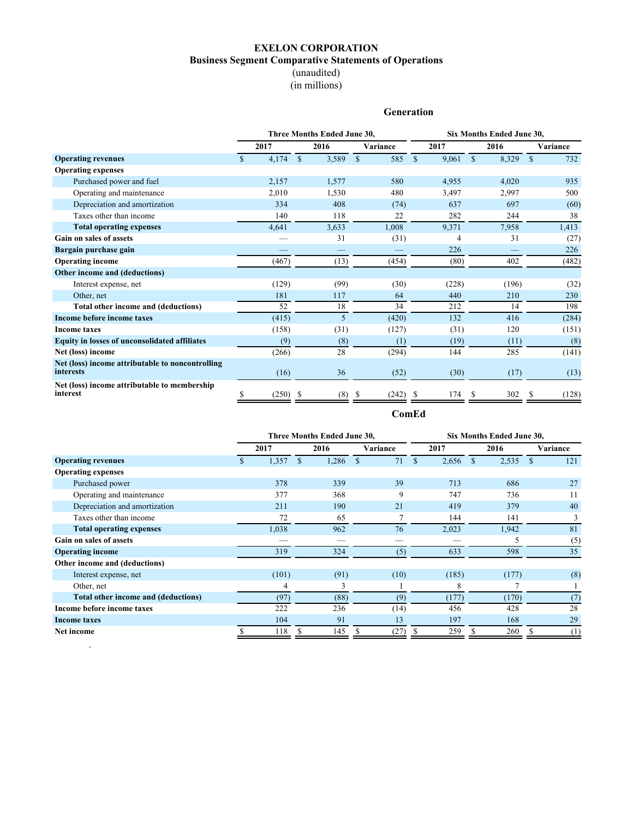## **EXELON CORPORATION Business Segment Comparative Statements of Operations** (unaudited) (in millions)

## **Generation**

<span id="page-3-0"></span>

|                                                                      | Three Months Ended June 30, |       |     |       |               |          |              | Six Months Ended June 30, |              |       |               |          |  |  |
|----------------------------------------------------------------------|-----------------------------|-------|-----|-------|---------------|----------|--------------|---------------------------|--------------|-------|---------------|----------|--|--|
|                                                                      |                             | 2017  |     | 2016  |               | Variance |              | 2017                      |              | 2016  |               | Variance |  |  |
| <b>Operating revenues</b>                                            | $\mathbb{S}$                | 4,174 | \$  | 3,589 | $\mathsf{\$}$ | 585      | $\mathbb{S}$ | 9,061                     | $\mathbb{S}$ | 8,329 | <sup>\$</sup> | 732      |  |  |
| <b>Operating expenses</b>                                            |                             |       |     |       |               |          |              |                           |              |       |               |          |  |  |
| Purchased power and fuel                                             |                             | 2,157 |     | 1,577 |               | 580      |              | 4,955                     |              | 4,020 |               | 935      |  |  |
| Operating and maintenance                                            |                             | 2,010 |     | 1,530 |               | 480      |              | 3,497                     |              | 2,997 |               | 500      |  |  |
| Depreciation and amortization                                        |                             | 334   |     | 408   |               | (74)     |              | 637                       |              | 697   |               | (60)     |  |  |
| Taxes other than income                                              |                             | 140   |     | 118   |               | 22       |              | 282                       |              | 244   |               | 38       |  |  |
| <b>Total operating expenses</b>                                      |                             | 4,641 |     | 3,633 |               | 1,008    |              | 9,371                     |              | 7,958 |               | 1,413    |  |  |
| Gain on sales of assets                                              |                             |       |     | 31    |               | (31)     |              | 4                         |              | 31    |               | (27)     |  |  |
| Bargain purchase gain                                                |                             |       |     |       |               |          |              | 226                       |              |       |               | 226      |  |  |
| <b>Operating income</b>                                              |                             | (467) |     | (13)  |               | (454)    |              | (80)                      |              | 402   |               | (482)    |  |  |
| Other income and (deductions)                                        |                             |       |     |       |               |          |              |                           |              |       |               |          |  |  |
| Interest expense, net                                                |                             | (129) |     | (99)  |               | (30)     |              | (228)                     |              | (196) |               | (32)     |  |  |
| Other, net                                                           |                             | 181   |     | 117   |               | 64       |              | 440                       |              | 210   |               | 230      |  |  |
| Total other income and (deductions)                                  |                             | 52    |     | 18    |               | 34       |              | 212                       |              | 14    |               | 198      |  |  |
| Income before income taxes                                           |                             | (415) |     | 5     |               | (420)    |              | 132                       |              | 416   |               | (284)    |  |  |
| <b>Income taxes</b>                                                  |                             | (158) |     | (31)  |               | (127)    |              | (31)                      |              | 120   |               | (151)    |  |  |
| Equity in losses of unconsolidated affiliates                        |                             | (9)   |     | (8)   |               | (1)      |              | (19)                      |              | (11)  |               | (8)      |  |  |
| Net (loss) income                                                    |                             | (266) |     | 28    |               | (294)    |              | 144                       |              | 285   |               | (141)    |  |  |
| Net (loss) income attributable to noncontrolling<br><i>interests</i> |                             | (16)  |     | 36    |               | (52)     |              | (30)                      |              | (17)  |               | (13)     |  |  |
| Net (loss) income attributable to membership<br>interest             |                             | (250) | \$. | (8)   |               | (242)    |              | 174                       | S            | 302   |               | (128)    |  |  |
|                                                                      |                             |       |     |       |               | ComEd    |              |                           |              |       |               |          |  |  |

|                                     | Three Months Ended June 30, |       |    |       |               |      |               | Six Months Ended June 30, |               |       |          |     |  |  |
|-------------------------------------|-----------------------------|-------|----|-------|---------------|------|---------------|---------------------------|---------------|-------|----------|-----|--|--|
|                                     | 2017                        |       |    | 2016  | Variance      |      | 2017          |                           | 2016          |       | Variance |     |  |  |
| <b>Operating revenues</b>           | $\mathbf{r}$                | 1,357 | S. | 1,286 | <sup>\$</sup> | 71   | <sup>\$</sup> | 2,656                     | <sup>\$</sup> | 2,535 | -S       | 121 |  |  |
| <b>Operating expenses</b>           |                             |       |    |       |               |      |               |                           |               |       |          |     |  |  |
| Purchased power                     |                             | 378   |    | 339   |               | 39   |               | 713                       |               | 686   |          | 27  |  |  |
| Operating and maintenance           |                             | 377   |    | 368   |               | 9    |               | 747                       |               | 736   |          | 11  |  |  |
| Depreciation and amortization       |                             | 211   |    | 190   |               | 21   |               | 419                       |               | 379   |          | 40  |  |  |
| Taxes other than income             |                             | 72    |    | 65    |               |      |               | 144                       |               | 141   |          | 3   |  |  |
| <b>Total operating expenses</b>     |                             | 1,038 |    | 962   |               | 76   |               | 2,023                     |               | 1,942 |          | 81  |  |  |
| <b>Gain on sales of assets</b>      |                             |       |    |       |               |      |               |                           |               | 5     |          | (5) |  |  |
| <b>Operating income</b>             |                             | 319   |    | 324   |               | (5)  |               | 633                       |               | 598   |          | 35  |  |  |
| Other income and (deductions)       |                             |       |    |       |               |      |               |                           |               |       |          |     |  |  |
| Interest expense, net               |                             | (101) |    | (91)  |               | (10) |               | (185)                     |               | (177) |          | (8) |  |  |
| Other, net                          |                             | 4     |    | 3     |               |      |               | 8                         |               |       |          |     |  |  |
| Total other income and (deductions) |                             | (97)  |    | (88)  |               | (9)  |               | (177)                     |               | (170) |          | (7) |  |  |
| Income before income taxes          |                             | 222   |    | 236   |               | (14) |               | 456                       |               | 428   |          | 28  |  |  |
| <b>Income taxes</b>                 |                             | 104   |    | 91    |               | 13   |               | 197                       |               | 168   |          | 29  |  |  |
| Net income                          |                             | 118   |    | 145   |               | (27) |               | 259                       |               | 260   |          | (1) |  |  |

.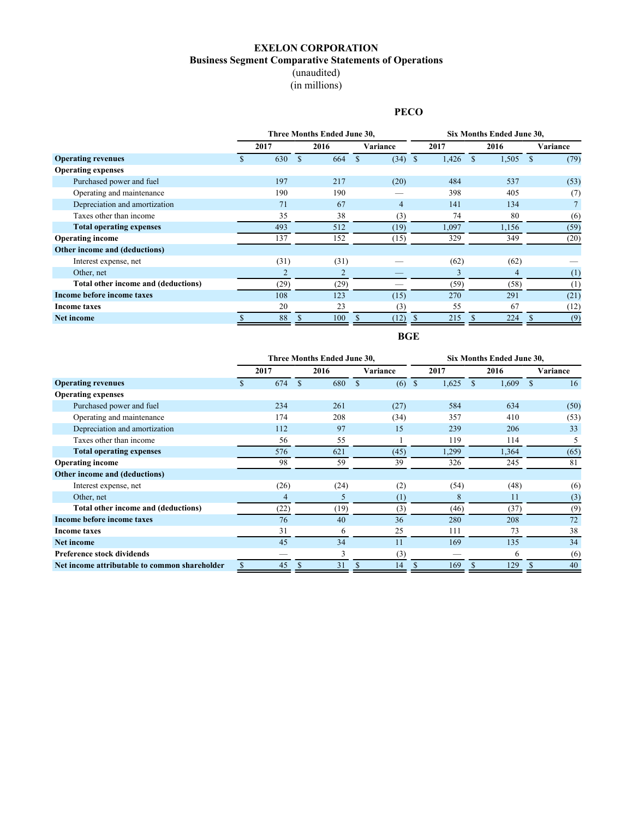## **EXELON CORPORATION Business Segment Comparative Statements of Operations** (unaudited)

(in millions)

## **PECO**

<span id="page-4-0"></span>

|                                     |      | Three Months Ended June 30, |                | Six Months Ended June 30, |             |          |  |  |  |
|-------------------------------------|------|-----------------------------|----------------|---------------------------|-------------|----------|--|--|--|
|                                     | 2017 | 2016                        | Variance       | 2017                      | 2016        | Variance |  |  |  |
| <b>Operating revenues</b>           | 630  | 664                         | $(34)$ \$      | 1,426                     | 1,505<br>-S | (79)     |  |  |  |
| <b>Operating expenses</b>           |      |                             |                |                           |             |          |  |  |  |
| Purchased power and fuel            | 197  | 217                         | (20)           | 484                       | 537         | (53)     |  |  |  |
| Operating and maintenance           | 190  | 190                         |                | 398                       | 405         | (7)      |  |  |  |
| Depreciation and amortization       | 71   | 67                          | $\overline{4}$ | 141                       | 134         |          |  |  |  |
| Taxes other than income             | 35   | 38                          | (3)            | 74                        | 80          | (6)      |  |  |  |
| <b>Total operating expenses</b>     | 493  | 512                         | (19)           | 1,097                     | 1,156       | (59)     |  |  |  |
| <b>Operating income</b>             | 137  | 152                         | (15)           | 329                       | 349         | (20)     |  |  |  |
| Other income and (deductions)       |      |                             |                |                           |             |          |  |  |  |
| Interest expense, net               | (31) | (31)                        |                | (62)                      | (62)        |          |  |  |  |
| Other, net                          | 2    | $\overline{c}$              |                | 3                         | 4           | (1)      |  |  |  |
| Total other income and (deductions) | (29) | (29)                        |                | (59)                      | (58)        | (1)      |  |  |  |
| Income before income taxes          | 108  | 123                         | (15)           | 270                       | 291         | (21)     |  |  |  |
| <b>Income taxes</b>                 | 20   | 23                          | (3)            | 55                        | 67          | (12)     |  |  |  |
| <b>Net income</b>                   | 88   | 100                         | (12)           | 215                       | 224         | (9)      |  |  |  |

**BGE**

|                                               |      | Three Months Ended June 30, |          | Six Months Ended June 30, |              |          |  |  |  |  |
|-----------------------------------------------|------|-----------------------------|----------|---------------------------|--------------|----------|--|--|--|--|
|                                               | 2017 | 2016                        | Variance | 2017                      | 2016         | Variance |  |  |  |  |
| <b>Operating revenues</b>                     | 674  | 680                         | (6)      | 1,625<br><sup>\$</sup>    | 1,609<br>\$. | 16       |  |  |  |  |
| <b>Operating expenses</b>                     |      |                             |          |                           |              |          |  |  |  |  |
| Purchased power and fuel                      | 234  | 261                         | (27)     | 584                       | 634          | (50)     |  |  |  |  |
| Operating and maintenance                     | 174  | 208                         | (34)     | 357                       | 410          | (53)     |  |  |  |  |
| Depreciation and amortization                 | 112  | 97                          | 15       | 239                       | 206          | 33       |  |  |  |  |
| Taxes other than income                       | 56   | 55                          |          | 119                       | 114          | 5        |  |  |  |  |
| <b>Total operating expenses</b>               | 576  | 621                         | (45)     | 1,299                     | 1,364        | (65)     |  |  |  |  |
| <b>Operating income</b>                       | 98   | 59                          | 39       | 326                       | 245          | 81       |  |  |  |  |
| Other income and (deductions)                 |      |                             |          |                           |              |          |  |  |  |  |
| Interest expense, net                         | (26) | (24)                        | (2)      | (54)                      | (48)         | (6)      |  |  |  |  |
| Other, net                                    | 4    | 5                           | $^{(1)}$ | 8                         | 11           | (3)      |  |  |  |  |
| Total other income and (deductions)           | (22) | (19)                        | (3)      | (46)                      | (37)         | (9)      |  |  |  |  |
| Income before income taxes                    | 76   | 40                          | 36       | 280                       | 208          | 72       |  |  |  |  |
| Income taxes                                  | 31   | 6                           | 25       | 111                       | 73           | 38       |  |  |  |  |
| <b>Net income</b>                             | 45   | 34                          | 11       | 169                       | 135          | 34       |  |  |  |  |
| <b>Preference stock dividends</b>             |      | 3                           | (3)      |                           | 6            | (6)      |  |  |  |  |
| Net income attributable to common shareholder | 45   | 31                          | 14<br>S  | 169<br><sup>\$</sup>      | 129          | 40       |  |  |  |  |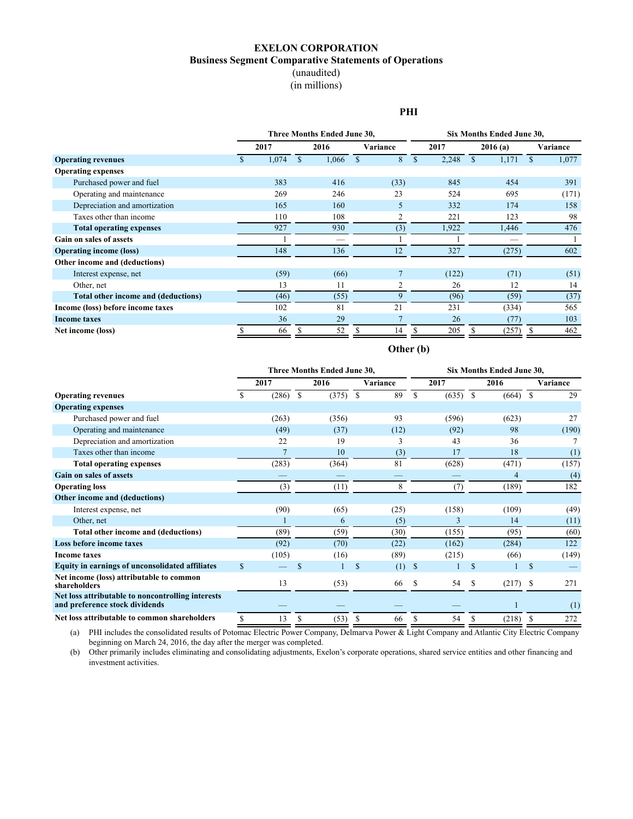## **EXELON CORPORATION Business Segment Comparative Statements of Operations** (unaudited)

(in millions)

#### **PHI**

<span id="page-5-0"></span>

|                                     | Three Months Ended June 30, |       |  |          |    |      |              | Six Months Ended June 30, |          |       |  |       |  |  |
|-------------------------------------|-----------------------------|-------|--|----------|----|------|--------------|---------------------------|----------|-------|--|-------|--|--|
|                                     | 2016<br>2017                |       |  | Variance |    | 2017 | 2016(a)      |                           | Variance |       |  |       |  |  |
| <b>Operating revenues</b>           |                             | 1,074 |  | 1,066    | \$ | 8    | $\mathbf{s}$ | 2,248                     |          | 1,171 |  | 1,077 |  |  |
| <b>Operating expenses</b>           |                             |       |  |          |    |      |              |                           |          |       |  |       |  |  |
| Purchased power and fuel            |                             | 383   |  | 416      |    | (33) |              | 845                       |          | 454   |  | 391   |  |  |
| Operating and maintenance           |                             | 269   |  | 246      |    | 23   |              | 524                       |          | 695   |  | (171) |  |  |
| Depreciation and amortization       |                             | 165   |  | 160      |    | 5    |              | 332                       |          | 174   |  | 158   |  |  |
| Taxes other than income             |                             | 110   |  | 108      |    | 2    |              | 221                       |          | 123   |  | 98    |  |  |
| <b>Total operating expenses</b>     |                             | 927   |  | 930      |    | (3)  |              | 1,922                     |          | 1,446 |  | 476   |  |  |
| Gain on sales of assets             |                             |       |  |          |    |      |              |                           |          |       |  |       |  |  |
| <b>Operating income (loss)</b>      |                             | 148   |  | 136      |    | 12   |              | 327                       |          | (275) |  | 602   |  |  |
| Other income and (deductions)       |                             |       |  |          |    |      |              |                           |          |       |  |       |  |  |
| Interest expense, net               |                             | (59)  |  | (66)     |    |      |              | (122)                     |          | (71)  |  | (51)  |  |  |
| Other, net                          |                             | 13    |  | 11       |    | 2    |              | 26                        |          | 12    |  | 14    |  |  |
| Total other income and (deductions) |                             | (46)  |  | (55)     |    | 9    |              | (96)                      |          | (59)  |  | (37)  |  |  |
| Income (loss) before income taxes   |                             | 102   |  | 81       |    | 21   |              | 231                       |          | (334) |  | 565   |  |  |
| <b>Income taxes</b>                 |                             | 36    |  | 29       |    |      |              | 26                        |          | (77)  |  | 103   |  |  |
| Net income (loss)                   |                             | 66    |  | 52       |    | 14   |              | 205                       |          | (257) |  | 462   |  |  |

## **Other (b)**

|                                                                                     | Three Months Ended June 30, |       |    |       |    |          | Six Months Ended June 30, |       |               |       |    |          |  |
|-------------------------------------------------------------------------------------|-----------------------------|-------|----|-------|----|----------|---------------------------|-------|---------------|-------|----|----------|--|
|                                                                                     |                             | 2017  |    | 2016  |    | Variance |                           | 2017  |               | 2016  |    | Variance |  |
| <b>Operating revenues</b>                                                           | \$                          | (286) | S  | (375) | \$ | 89       | S                         | (635) | <sup>\$</sup> | (664) | -S | 29       |  |
| <b>Operating expenses</b>                                                           |                             |       |    |       |    |          |                           |       |               |       |    |          |  |
| Purchased power and fuel                                                            |                             | (263) |    | (356) |    | 93       |                           | (596) |               | (623) |    | 27       |  |
| Operating and maintenance                                                           |                             | (49)  |    | (37)  |    | (12)     |                           | (92)  |               | 98    |    | (190)    |  |
| Depreciation and amortization                                                       |                             | 22    |    | 19    |    | 3        |                           | 43    |               | 36    |    |          |  |
| Taxes other than income                                                             |                             |       |    | 10    |    | (3)      |                           | 17    |               | 18    |    | (1)      |  |
| <b>Total operating expenses</b>                                                     |                             | (283) |    | (364) |    | 81       |                           | (628) |               | (471) |    | (157)    |  |
| <b>Gain on sales of assets</b>                                                      |                             |       |    |       |    |          |                           |       |               | 4     |    | (4)      |  |
| <b>Operating loss</b>                                                               |                             | (3)   |    | (11)  |    | 8        |                           | (7)   |               | (189) |    | 182      |  |
| Other income and (deductions)                                                       |                             |       |    |       |    |          |                           |       |               |       |    |          |  |
| Interest expense, net                                                               |                             | (90)  |    | (65)  |    | (25)     |                           | (158) |               | (109) |    | (49)     |  |
| Other, net                                                                          |                             |       |    | 6     |    | (5)      |                           | 3     |               | 14    |    | (11)     |  |
| Total other income and (deductions)                                                 |                             | (89)  |    | (59)  |    | (30)     |                           | (155) |               | (95)  |    | (60)     |  |
| Loss before income taxes                                                            |                             | (92)  |    | (70)  |    | (22)     |                           | (162) |               | (284) |    | 122      |  |
| <b>Income taxes</b>                                                                 |                             | (105) |    | (16)  |    | (89)     |                           | (215) |               | (66)  |    | (149)    |  |
| Equity in earnings of unconsolidated affiliates                                     | \$                          |       | \$ |       | \$ | (1)      | <sup>\$</sup>             |       | <sup>\$</sup> |       | \$ |          |  |
| Net income (loss) attributable to common<br>shareholders                            |                             | 13    |    | (53)  |    | 66       | S                         | 54    | \$            | (217) | -S | 271      |  |
| Net loss attributable to noncontrolling interests<br>and preference stock dividends |                             |       |    |       |    |          |                           |       |               |       |    | (1)      |  |
| Net loss attributable to common shareholders                                        | \$                          | 13    | \$ | (53)  | S  | 66       | \$.                       | 54    | S             | (218) | S  | 272      |  |

(a) PHI includes the consolidated results of Potomac Electric Power Company, Delmarva Power & Light Company and Atlantic City Electric Company beginning on March 24, 2016, the day after the merger was completed.

(b) Other primarily includes eliminating and consolidating adjustments, Exelon's corporate operations, shared service entities and other financing and investment activities.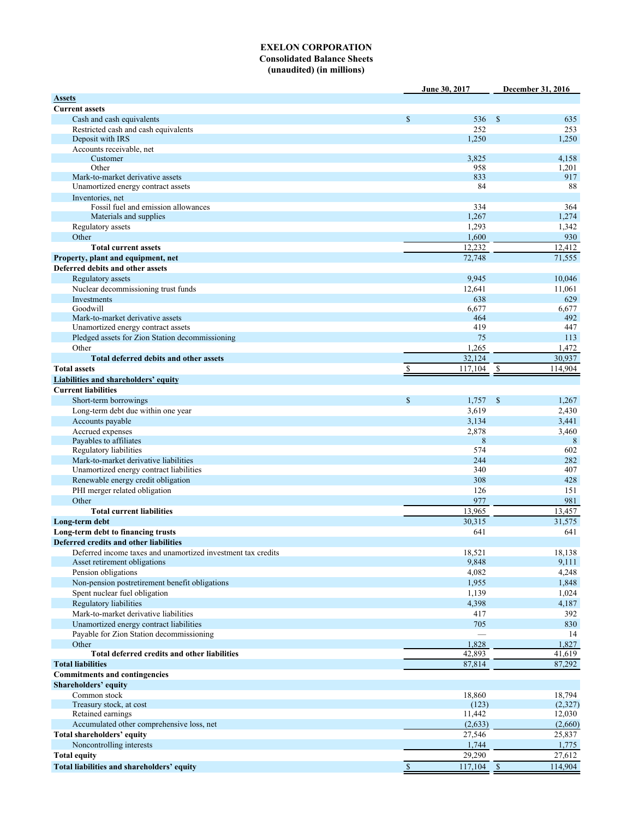#### **EXELON CORPORATION Consolidated Balance Sheets (unaudited) (in millions)**

<span id="page-6-0"></span>

|                                                              |              | June 30, 2017 | December 31, 2016 |          |
|--------------------------------------------------------------|--------------|---------------|-------------------|----------|
| <b>Assets</b>                                                |              |               |                   |          |
| <b>Current assets</b>                                        |              |               |                   |          |
| Cash and cash equivalents                                    | $\mathbb{S}$ | 536           | $\mathbb{S}$      | 635      |
| Restricted cash and cash equivalents                         |              | 252           |                   | 253      |
| Deposit with IRS                                             |              | 1,250         |                   | 1,250    |
| Accounts receivable, net                                     |              |               |                   |          |
| Customer                                                     |              | 3,825         |                   | 4,158    |
| Other                                                        |              | 958           |                   | 1,201    |
| Mark-to-market derivative assets                             |              | 833           |                   | 917      |
| Unamortized energy contract assets                           |              | 84            |                   | 88       |
| Inventories, net                                             |              |               |                   |          |
| Fossil fuel and emission allowances                          |              | 334           |                   | 364      |
| Materials and supplies                                       |              | 1,267         |                   | 1,274    |
| Regulatory assets                                            |              | 1,293         |                   | 1,342    |
| Other                                                        |              | 1,600         |                   | 930      |
| <b>Total current assets</b>                                  |              | 12,232        |                   | 12,412   |
| Property, plant and equipment, net                           |              | 72,748        |                   | 71,555   |
| Deferred debits and other assets                             |              |               |                   |          |
| Regulatory assets                                            |              | 9,945         |                   | 10,046   |
| Nuclear decommissioning trust funds                          |              | 12,641        |                   | 11,061   |
| Investments                                                  |              | 638           |                   | 629      |
| Goodwill                                                     |              | 6,677         |                   | 6,677    |
| Mark-to-market derivative assets                             |              | 464           |                   | 492      |
| Unamortized energy contract assets                           |              | 419           |                   | 447      |
| Pledged assets for Zion Station decommissioning              |              | 75            |                   | 113      |
| Other                                                        |              | 1,265         |                   | 1,472    |
| Total deferred debits and other assets                       |              | 32,124        |                   | 30,937   |
| <b>Total assets</b>                                          |              | 117,104       | \$                | 114,904  |
|                                                              | \$           |               |                   |          |
| <b>Liabilities and shareholders' equity</b>                  |              |               |                   |          |
| <b>Current liabilities</b>                                   |              |               |                   |          |
| Short-term borrowings                                        | $\mathbf S$  | 1,757         | \$                | 1,267    |
| Long-term debt due within one year                           |              | 3,619         |                   | 2,430    |
| Accounts payable                                             |              | 3,134         |                   | 3,441    |
| Accrued expenses                                             |              | 2,878         |                   | 3,460    |
| Payables to affiliates                                       |              | 8             |                   | 8        |
| Regulatory liabilities                                       |              | 574           |                   | 602      |
| Mark-to-market derivative liabilities                        |              | 244           |                   | 282      |
| Unamortized energy contract liabilities                      |              | 340           |                   | 407      |
| Renewable energy credit obligation                           |              | 308           |                   | 428      |
| PHI merger related obligation                                |              | 126           |                   | 151      |
| Other                                                        |              | 977           |                   | 981      |
| <b>Total current liabilities</b>                             |              | 13,965        |                   | 13,457   |
| Long-term debt                                               |              | 30,315        |                   | 31,575   |
| Long-term debt to financing trusts                           |              | 641           |                   | 641      |
| Deferred credits and other liabilities                       |              |               |                   |          |
| Deferred income taxes and unamortized investment tax credits |              | 18,521        |                   | 18,138   |
| Asset retirement obligations                                 |              | 9,848         |                   | 9,111    |
| Pension obligations                                          |              | 4,082         |                   | 4,248    |
| Non-pension postretirement benefit obligations               |              | 1,955         |                   | 1,848    |
| Spent nuclear fuel obligation                                |              | 1,139         |                   | 1,024    |
| Regulatory liabilities                                       |              | 4,398         |                   |          |
| Mark-to-market derivative liabilities                        |              |               |                   | 4,187    |
|                                                              |              | 417           |                   | 392      |
| Unamortized energy contract liabilities                      |              | 705           |                   | 830      |
| Payable for Zion Station decommissioning                     |              |               |                   | 14       |
| Other                                                        |              | 1,828         |                   | 1,827    |
| Total deferred credits and other liabilities                 |              | 42,893        |                   | 41,619   |
| <b>Total liabilities</b>                                     |              | 87,814        |                   | 87,292   |
| <b>Commitments and contingencies</b>                         |              |               |                   |          |
| Shareholders' equity                                         |              |               |                   |          |
| Common stock                                                 |              | 18,860        |                   | 18,794   |
| Treasury stock, at cost                                      |              | (123)         |                   | (2, 327) |
| Retained earnings                                            |              | 11,442        |                   | 12,030   |
| Accumulated other comprehensive loss, net                    |              | (2,633)       |                   | (2,660)  |
| Total shareholders' equity                                   |              | 27,546        |                   | 25,837   |
| Noncontrolling interests                                     |              | 1,744         |                   | 1,775    |
| <b>Total equity</b>                                          |              | 29,290        |                   | 27,612   |
| Total liabilities and shareholders' equity                   | $\mathbf S$  | $117,104$ \$  |                   | 114,904  |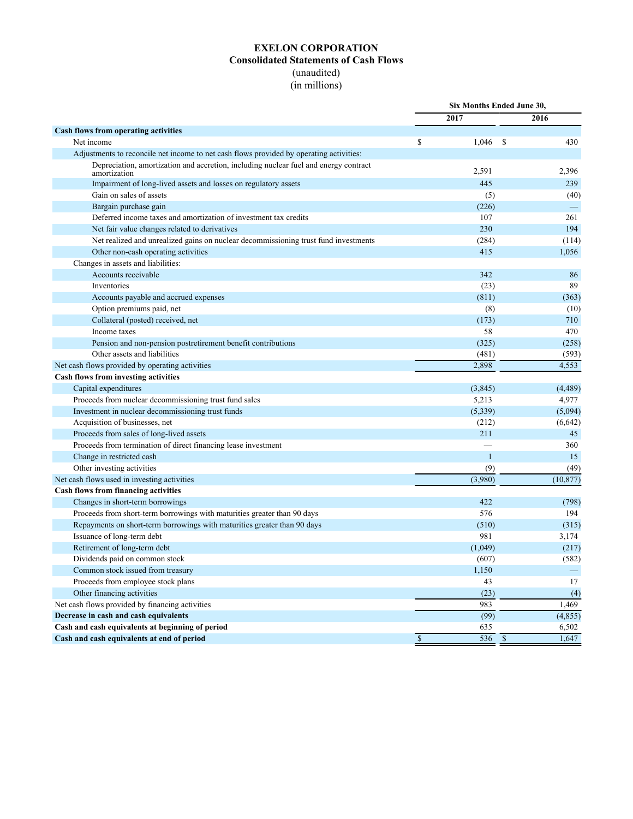## **EXELON CORPORATION Consolidated Statements of Cash Flows** (unaudited)

(in millions)

<span id="page-7-0"></span>

|                                                                                                      | Six Months Ended June 30, |              |                          |
|------------------------------------------------------------------------------------------------------|---------------------------|--------------|--------------------------|
|                                                                                                      | 2017                      |              | 2016                     |
| <b>Cash flows from operating activities</b>                                                          |                           |              |                          |
| Net income                                                                                           | \$<br>$1,046$ \$          |              | 430                      |
| Adjustments to reconcile net income to net cash flows provided by operating activities:              |                           |              |                          |
| Depreciation, amortization and accretion, including nuclear fuel and energy contract<br>amortization | 2,591                     |              | 2,396                    |
| Impairment of long-lived assets and losses on regulatory assets                                      | 445                       |              | 239                      |
| Gain on sales of assets                                                                              | (5)                       |              | (40)                     |
| Bargain purchase gain                                                                                | (226)                     |              | $\overline{\phantom{0}}$ |
| Deferred income taxes and amortization of investment tax credits                                     | 107                       |              | 261                      |
| Net fair value changes related to derivatives                                                        | 230                       |              | 194                      |
| Net realized and unrealized gains on nuclear decommissioning trust fund investments                  | (284)                     |              | (114)                    |
| Other non-cash operating activities                                                                  | 415                       |              | 1,056                    |
| Changes in assets and liabilities:                                                                   |                           |              |                          |
| Accounts receivable                                                                                  | 342                       |              | 86                       |
| Inventories                                                                                          | (23)                      |              | 89                       |
| Accounts payable and accrued expenses                                                                | (811)                     |              | (363)                    |
| Option premiums paid, net                                                                            | (8)                       |              | (10)                     |
| Collateral (posted) received, net                                                                    | (173)                     |              | 710                      |
| Income taxes                                                                                         | 58                        |              | 470                      |
| Pension and non-pension postretirement benefit contributions                                         | (325)                     |              | (258)                    |
| Other assets and liabilities                                                                         | (481)                     |              | (593)                    |
| Net cash flows provided by operating activities                                                      | 2,898                     |              | 4,553                    |
| Cash flows from investing activities                                                                 |                           |              |                          |
| Capital expenditures                                                                                 | (3, 845)                  |              | (4, 489)                 |
| Proceeds from nuclear decommissioning trust fund sales                                               | 5,213                     |              | 4,977                    |
| Investment in nuclear decommissioning trust funds                                                    | (5,339)                   |              | (5,094)                  |
| Acquisition of businesses, net                                                                       | (212)                     |              | (6, 642)                 |
| Proceeds from sales of long-lived assets                                                             | 211                       |              | 45                       |
| Proceeds from termination of direct financing lease investment                                       |                           |              | 360                      |
| Change in restricted cash                                                                            | $\overline{1}$            |              | 15                       |
| Other investing activities                                                                           | (9)                       |              | (49)                     |
| Net cash flows used in investing activities                                                          | (3,980)                   |              | (10, 877)                |
| <b>Cash flows from financing activities</b>                                                          |                           |              |                          |
| Changes in short-term borrowings                                                                     | 422                       |              | (798)                    |
| Proceeds from short-term borrowings with maturities greater than 90 days                             | 576                       |              | 194                      |
| Repayments on short-term borrowings with maturities greater than 90 days                             | (510)                     |              | (315)                    |
| Issuance of long-term debt                                                                           | 981                       |              | 3,174                    |
| Retirement of long-term debt                                                                         | (1,049)                   |              | (217)                    |
| Dividends paid on common stock                                                                       | (607)                     |              | (582)                    |
| Common stock issued from treasury                                                                    | 1,150                     |              | -                        |
| Proceeds from employee stock plans                                                                   | 43                        |              | 17                       |
| Other financing activities                                                                           | (23)                      |              | (4)                      |
| Net cash flows provided by financing activities                                                      | 983                       |              | 1,469                    |
| Decrease in cash and cash equivalents                                                                | (99)                      |              | (4, 855)                 |
| Cash and cash equivalents at beginning of period                                                     | 635                       |              | 6,502                    |
| Cash and cash equivalents at end of period                                                           | \$<br>536                 | $\mathbb{S}$ | 1,647                    |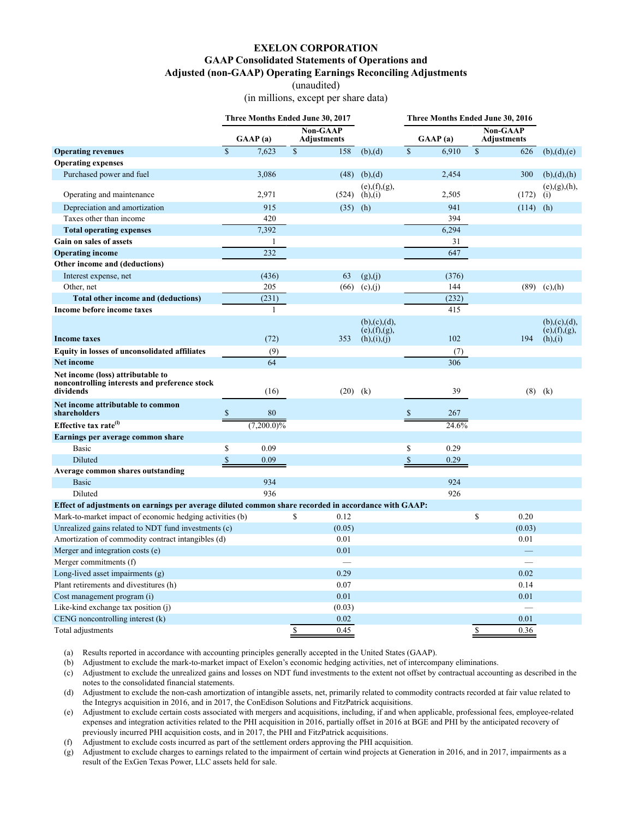#### **EXELON CORPORATION**

#### **GAAP Consolidated Statements of Operations and**

**Adjusted (non-GAAP) Operating Earnings Reconciling Adjustments**

(unaudited)

(in millions, except per share data)

<span id="page-8-0"></span>

|                                                                                                      |              |               |             | Three Months Ended June 30, 2017      |                                  |               | Three Months Ended June 30, 2016 |             |                                |                                  |
|------------------------------------------------------------------------------------------------------|--------------|---------------|-------------|---------------------------------------|----------------------------------|---------------|----------------------------------|-------------|--------------------------------|----------------------------------|
|                                                                                                      |              | GAAP(a)       |             | <b>Non-GAAP</b><br><b>Adjustments</b> |                                  |               | GAAP(a)                          |             | <b>Non-GAAP</b><br>Adjustments |                                  |
| <b>Operating revenues</b>                                                                            | $\mathbf S$  | 7,623         | $\mathbf S$ | 158                                   | (b),(d)                          | $\mathbf S$   | 6,910                            | $\mathbf S$ | 626                            | (b), (d), (e)                    |
| <b>Operating expenses</b>                                                                            |              |               |             |                                       |                                  |               |                                  |             |                                |                                  |
| Purchased power and fuel                                                                             |              | 3,086         |             | (48)                                  | (b),(d)                          |               | 2,454                            |             | 300                            | (b),(d),(h)                      |
| Operating and maintenance                                                                            |              | 2,971         |             | (524)                                 | (e), (f), (g),<br>(h),(i)        |               | 2,505                            |             | (172)                          | (e), (g), (h),<br>(i)            |
| Depreciation and amortization                                                                        |              | 915           |             | $(35)$ (h)                            |                                  |               | 941                              |             | (114)                          | (h)                              |
| Taxes other than income                                                                              |              | 420           |             |                                       |                                  |               | 394                              |             |                                |                                  |
| <b>Total operating expenses</b>                                                                      |              | 7,392         |             |                                       |                                  |               | 6,294                            |             |                                |                                  |
| Gain on sales of assets                                                                              |              | 1             |             |                                       |                                  |               | 31                               |             |                                |                                  |
| <b>Operating income</b>                                                                              |              | 232           |             |                                       |                                  |               | 647                              |             |                                |                                  |
| Other income and (deductions)                                                                        |              |               |             |                                       |                                  |               |                                  |             |                                |                                  |
| Interest expense, net                                                                                |              | (436)         |             | 63                                    | (g),(i)                          |               | (376)                            |             |                                |                                  |
| Other, net                                                                                           |              | 205           |             |                                       | $(66)$ (c),(j)                   |               | 144                              |             |                                | $(89)$ $(c)$ , (h)               |
| Total other income and (deductions)                                                                  |              | (231)         |             |                                       |                                  |               | (232)                            |             |                                |                                  |
| Income before income taxes                                                                           |              | $\mathbf{1}$  |             |                                       |                                  |               | 415                              |             |                                |                                  |
|                                                                                                      |              |               |             |                                       | (b), (c), (d),<br>(e), (f), (g), |               |                                  |             |                                | (b), (c), (d),<br>(e), (f), (g), |
| <b>Income taxes</b>                                                                                  |              | (72)          |             | 353                                   | (h), (i), (j)                    |               | 102                              |             | 194                            | (h), (i)                         |
| <b>Equity in losses of unconsolidated affiliates</b>                                                 |              | (9)           |             |                                       |                                  |               | (7)                              |             |                                |                                  |
| Net income                                                                                           |              | 64            |             |                                       |                                  |               | 306                              |             |                                |                                  |
| Net income (loss) attributable to<br>noncontrolling interests and preference stock<br>dividends      |              | (16)          |             | (20)                                  | (k)                              |               | 39                               |             | $(8)$ $(k)$                    |                                  |
| Net income attributable to common<br>shareholders                                                    | $\mathbb{S}$ | 80            |             |                                       |                                  | $\mathbb{S}$  | 267                              |             |                                |                                  |
| Effective tax rate <sup>(1)</sup>                                                                    |              | $(7,200.0)\%$ |             |                                       |                                  |               | 24.6%                            |             |                                |                                  |
| Earnings per average common share                                                                    |              |               |             |                                       |                                  |               |                                  |             |                                |                                  |
| Basic                                                                                                | \$           | 0.09          |             |                                       |                                  | \$            | 0.29                             |             |                                |                                  |
| Diluted                                                                                              | $\mathbb{S}$ | 0.09          |             |                                       |                                  | $\mathsf{\$}$ | 0.29                             |             |                                |                                  |
| Average common shares outstanding                                                                    |              |               |             |                                       |                                  |               |                                  |             |                                |                                  |
| <b>Basic</b>                                                                                         |              | 934           |             |                                       |                                  |               | 924                              |             |                                |                                  |
| Diluted                                                                                              |              | 936           |             |                                       |                                  |               | 926                              |             |                                |                                  |
| Effect of adjustments on earnings per average diluted common share recorded in accordance with GAAP: |              |               |             |                                       |                                  |               |                                  |             |                                |                                  |
| Mark-to-market impact of economic hedging activities (b)                                             |              |               | \$          | 0.12                                  |                                  |               |                                  | \$          | 0.20                           |                                  |
| Unrealized gains related to NDT fund investments (c)                                                 |              |               |             | (0.05)                                |                                  |               |                                  |             | (0.03)                         |                                  |
| Amortization of commodity contract intangibles (d)                                                   |              |               |             | 0.01                                  |                                  |               |                                  |             | 0.01                           |                                  |
| Merger and integration costs (e)                                                                     |              |               |             | 0.01                                  |                                  |               |                                  |             |                                |                                  |
| Merger commitments (f)                                                                               |              |               |             |                                       |                                  |               |                                  |             |                                |                                  |
| Long-lived asset impairments (g)                                                                     |              |               |             | 0.29                                  |                                  |               |                                  |             | 0.02                           |                                  |
| Plant retirements and divestitures (h)                                                               |              |               |             | 0.07                                  |                                  |               |                                  |             | 0.14                           |                                  |
| Cost management program (i)                                                                          |              |               |             | 0.01                                  |                                  |               |                                  |             | 0.01                           |                                  |
| Like-kind exchange tax position (j)                                                                  |              |               |             | (0.03)                                |                                  |               |                                  |             |                                |                                  |
| $CENG$ noncontrolling interest $(k)$                                                                 |              |               |             | 0.02                                  |                                  |               |                                  |             | 0.01                           |                                  |
| Total adjustments                                                                                    |              |               | $\mathbf S$ | 0.45                                  |                                  |               |                                  | \$          | 0.36                           |                                  |

(a) Results reported in accordance with accounting principles generally accepted in the United States (GAAP).

(b) Adjustment to exclude the mark-to-market impact of Exelon's economic hedging activities, net of intercompany eliminations.

(c) Adjustment to exclude the unrealized gains and losses on NDT fund investments to the extent not offset by contractual accounting as described in the notes to the consolidated financial statements.

(d) Adjustment to exclude the non-cash amortization of intangible assets, net, primarily related to commodity contracts recorded at fair value related to the Integrys acquisition in 2016, and in 2017, the ConEdison Solutions and FitzPatrick acquisitions.

(e) Adjustment to exclude certain costs associated with mergers and acquisitions, including, if and when applicable, professional fees, employee-related expenses and integration activities related to the PHI acquisition in 2016, partially offset in 2016 at BGE and PHI by the anticipated recovery of previously incurred PHI acquisition costs, and in 2017, the PHI and FitzPatrick acquisitions.

(f) Adjustment to exclude costs incurred as part of the settlement orders approving the PHI acquisition.

(g) Adjustment to exclude charges to earnings related to the impairment of certain wind projects at Generation in 2016, and in 2017, impairments as a result of the ExGen Texas Power, LLC assets held for sale.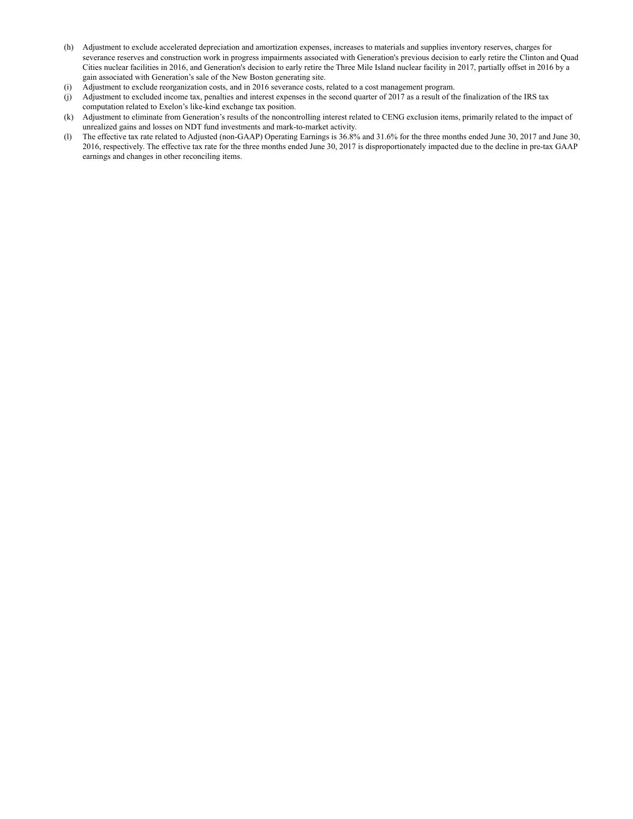- (h) Adjustment to exclude accelerated depreciation and amortization expenses, increases to materials and supplies inventory reserves, charges for severance reserves and construction work in progress impairments associated with Generation's previous decision to early retire the Clinton and Quad Cities nuclear facilities in 2016, and Generation's decision to early retire the Three Mile Island nuclear facility in 2017, partially offset in 2016 by a gain associated with Generation's sale of the New Boston generating site.
- (i) Adjustment to exclude reorganization costs, and in 2016 severance costs, related to a cost management program.
- (j) Adjustment to excluded income tax, penalties and interest expenses in the second quarter of 2017 as a result of the finalization of the IRS tax computation related to Exelon's like-kind exchange tax position.
- (k) Adjustment to eliminate from Generation's results of the noncontrolling interest related to CENG exclusion items, primarily related to the impact of unrealized gains and losses on NDT fund investments and mark-to-market activity.
- (l) The effective tax rate related to Adjusted (non-GAAP) Operating Earnings is 36.8% and 31.6% for the three months ended June 30, 2017 and June 30, 2016, respectively. The effective tax rate for the three months ended June 30, 2017 is disproportionately impacted due to the decline in pre-tax GAAP earnings and changes in other reconciling items.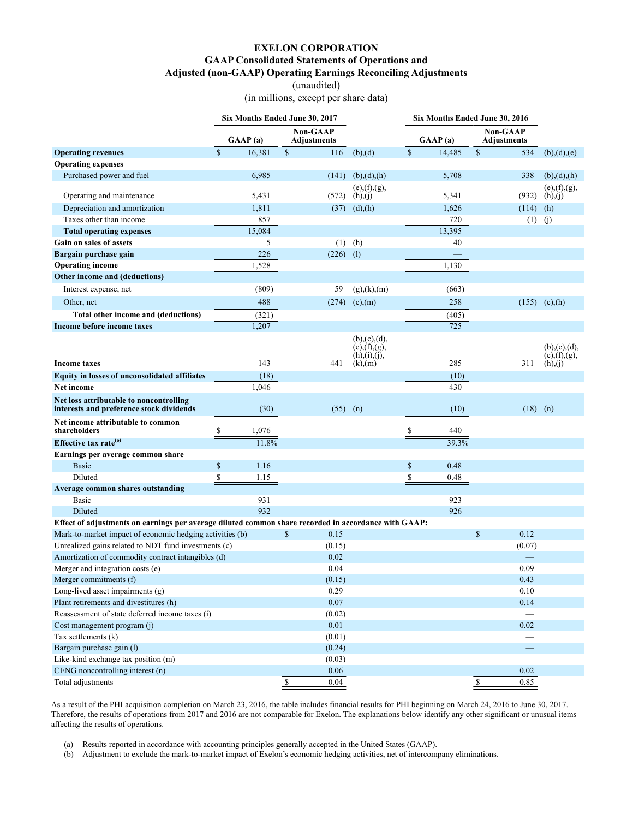## **EXELON CORPORATION**

#### **GAAP Consolidated Statements of Operations and**

**Adjusted (non-GAAP) Operating Earnings Reconciling Adjustments**

(unaudited)

(in millions, except per share data)

<span id="page-10-0"></span>

|                                                                                                      |                        | Six Months Ended June 30, 2017        |                                                    |                       | Six Months Ended June 30, 2016  |                                  |
|------------------------------------------------------------------------------------------------------|------------------------|---------------------------------------|----------------------------------------------------|-----------------------|---------------------------------|----------------------------------|
|                                                                                                      | GAAP(a)                | <b>Non-GAAP</b><br><b>Adjustments</b> |                                                    | GAAP(a)               | Non-GAAP<br><b>Adjustments</b>  |                                  |
| <b>Operating revenues</b>                                                                            | $\mathbf{s}$<br>16,381 | $\mathcal{S}$<br>116                  | (b),(d)                                            | $\mathbb S$<br>14,485 | $\mathcal{S}$<br>534            | (b), (d), (e)                    |
| <b>Operating expenses</b>                                                                            |                        |                                       |                                                    |                       |                                 |                                  |
| Purchased power and fuel                                                                             | 6,985                  |                                       | $(141)$ (b),(d),(h)                                | 5,708                 | 338                             | (b), (d), (h)                    |
| Operating and maintenance                                                                            | 5,431                  | (572)                                 | (e), (f), (g),<br>(h),(i)                          | 5,341                 | (932)                           | (e), (f), (g),<br>(h),(j)        |
| Depreciation and amortization                                                                        | 1,811                  |                                       | $(37)$ $(d), (h)$                                  | 1,626                 | (114)                           | (h)                              |
| Taxes other than income                                                                              | 857                    |                                       |                                                    | 720                   | (1)                             | (j)                              |
| <b>Total operating expenses</b>                                                                      | 15,084                 |                                       |                                                    | 13,395                |                                 |                                  |
| Gain on sales of assets                                                                              | 5                      | (1)                                   | (h)                                                | 40                    |                                 |                                  |
| Bargain purchase gain                                                                                | 226                    | $(226)$ (1)                           |                                                    |                       |                                 |                                  |
| <b>Operating income</b>                                                                              | 1,528                  |                                       |                                                    | 1,130                 |                                 |                                  |
| Other income and (deductions)                                                                        |                        |                                       |                                                    |                       |                                 |                                  |
| Interest expense, net                                                                                | (809)                  | 59                                    | (g),(k),(m)                                        | (663)                 |                                 |                                  |
| Other, net                                                                                           | 488                    | (274)                                 | (c),(m)                                            | 258                   | (155)                           | (c), (h)                         |
| Total other income and (deductions)                                                                  | (321)                  |                                       |                                                    | (405)                 |                                 |                                  |
| Income before income taxes                                                                           | 1,207                  |                                       |                                                    | 725                   |                                 |                                  |
|                                                                                                      |                        |                                       | (b), (c), (d),<br>(e), (f), (g),<br>(h), (i), (j), |                       |                                 | (b), (c), (d),<br>(e), (f), (g), |
| <b>Income taxes</b>                                                                                  | 143                    | 441                                   | $(k)$ , $(m)$                                      | 285                   | 311                             | (h),(j)                          |
| <b>Equity in losses of unconsolidated affiliates</b>                                                 | (18)                   |                                       |                                                    | (10)                  |                                 |                                  |
| <b>Net income</b>                                                                                    | 1,046                  |                                       |                                                    | 430                   |                                 |                                  |
| Net loss attributable to noncontrolling<br>interests and preference stock dividends                  | (30)                   |                                       | $(55)$ (n)                                         | (10)                  | (18)                            | (n)                              |
| Net income attributable to common<br>shareholders                                                    | \$<br>1,076            |                                       |                                                    | \$<br>440             |                                 |                                  |
| Effective tax rate <sup>(0)</sup>                                                                    | 11.8%                  |                                       |                                                    | 39.3%                 |                                 |                                  |
| Earnings per average common share                                                                    |                        |                                       |                                                    |                       |                                 |                                  |
| <b>Basic</b>                                                                                         | \$<br>1.16             |                                       |                                                    | $\mathbb{S}$<br>0.48  |                                 |                                  |
| Diluted                                                                                              | \$<br>1.15             |                                       |                                                    | \$<br>0.48            |                                 |                                  |
| Average common shares outstanding                                                                    |                        |                                       |                                                    |                       |                                 |                                  |
| Basic                                                                                                | 931                    |                                       |                                                    | 923                   |                                 |                                  |
| Diluted                                                                                              | 932                    |                                       |                                                    | 926                   |                                 |                                  |
| Effect of adjustments on earnings per average diluted common share recorded in accordance with GAAP: |                        |                                       |                                                    |                       |                                 |                                  |
| Mark-to-market impact of economic hedging activities (b)                                             |                        | $\mathbb{S}$<br>0.15                  |                                                    |                       | \$<br>0.12                      |                                  |
| Unrealized gains related to NDT fund investments (c)                                                 |                        | (0.15)                                |                                                    |                       | (0.07)                          |                                  |
| Amortization of commodity contract intangibles (d)                                                   |                        | 0.02                                  |                                                    |                       |                                 |                                  |
| Merger and integration costs (e)                                                                     |                        | 0.04                                  |                                                    |                       | 0.09                            |                                  |
| Merger commitments (f)                                                                               |                        | (0.15)                                |                                                    |                       | 0.43                            |                                  |
| Long-lived asset impairments (g)                                                                     |                        | 0.29                                  |                                                    |                       | 0.10                            |                                  |
| Plant retirements and divestitures (h)                                                               |                        | 0.07                                  |                                                    |                       | 0.14                            |                                  |
| Reassessment of state deferred income taxes (i)                                                      |                        | (0.02)                                |                                                    |                       |                                 |                                  |
| Cost management program (j)                                                                          |                        | 0.01                                  |                                                    |                       | $0.02\,$                        |                                  |
| Tax settlements (k)                                                                                  |                        | (0.01)                                |                                                    |                       |                                 |                                  |
| Bargain purchase gain (l)                                                                            |                        | (0.24)                                |                                                    |                       | $\overline{\phantom{0}}$        |                                  |
| Like-kind exchange tax position (m)                                                                  |                        | (0.03)                                |                                                    |                       |                                 |                                  |
| CENG noncontrolling interest (n)                                                                     |                        | 0.06                                  |                                                    |                       | 0.02                            |                                  |
| Total adjustments                                                                                    |                        | $\sqrt{\frac{1}{2}}$<br>0.04          |                                                    |                       | $\overline{\mathbb{S}}$<br>0.85 |                                  |

As a result of the PHI acquisition completion on March 23, 2016, the table includes financial results for PHI beginning on March 24, 2016 to June 30, 2017. Therefore, the results of operations from 2017 and 2016 are not comparable for Exelon. The explanations below identify any other significant or unusual items affecting the results of operations.

(a) Results reported in accordance with accounting principles generally accepted in the United States (GAAP).

(b) Adjustment to exclude the mark-to-market impact of Exelon's economic hedging activities, net of intercompany eliminations.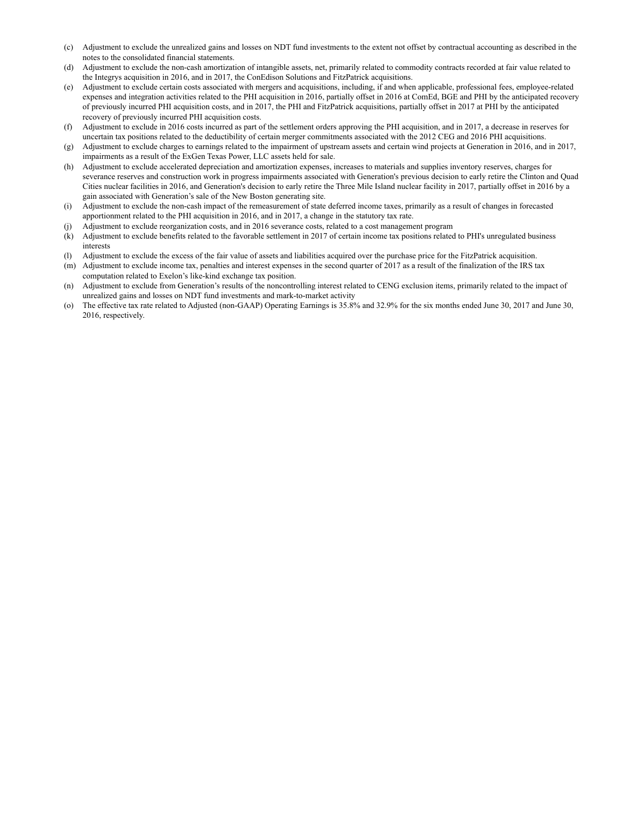- (c) Adjustment to exclude the unrealized gains and losses on NDT fund investments to the extent not offset by contractual accounting as described in the notes to the consolidated financial statements.
- (d) Adjustment to exclude the non-cash amortization of intangible assets, net, primarily related to commodity contracts recorded at fair value related to the Integrys acquisition in 2016, and in 2017, the ConEdison Solutions and FitzPatrick acquisitions.
- (e) Adjustment to exclude certain costs associated with mergers and acquisitions, including, if and when applicable, professional fees, employee-related expenses and integration activities related to the PHI acquisition in 2016, partially offset in 2016 at ComEd, BGE and PHI by the anticipated recovery of previously incurred PHI acquisition costs, and in 2017, the PHI and FitzPatrick acquisitions, partially offset in 2017 at PHI by the anticipated recovery of previously incurred PHI acquisition costs.
- (f) Adjustment to exclude in 2016 costs incurred as part of the settlement orders approving the PHI acquisition, and in 2017, a decrease in reserves for uncertain tax positions related to the deductibility of certain merger commitments associated with the 2012 CEG and 2016 PHI acquisitions.
- (g) Adjustment to exclude charges to earnings related to the impairment of upstream assets and certain wind projects at Generation in 2016, and in 2017, impairments as a result of the ExGen Texas Power, LLC assets held for sale.
- (h) Adjustment to exclude accelerated depreciation and amortization expenses, increases to materials and supplies inventory reserves, charges for severance reserves and construction work in progress impairments associated with Generation's previous decision to early retire the Clinton and Quad Cities nuclear facilities in 2016, and Generation's decision to early retire the Three Mile Island nuclear facility in 2017, partially offset in 2016 by a gain associated with Generation's sale of the New Boston generating site.
- (i) Adjustment to exclude the non-cash impact of the remeasurement of state deferred income taxes, primarily as a result of changes in forecasted apportionment related to the PHI acquisition in 2016, and in 2017, a change in the statutory tax rate.
- (j) Adjustment to exclude reorganization costs, and in 2016 severance costs, related to a cost management program
- (k) Adjustment to exclude benefits related to the favorable settlement in 2017 of certain income tax positions related to PHI's unregulated business interests
- (l) Adjustment to exclude the excess of the fair value of assets and liabilities acquired over the purchase price for the FitzPatrick acquisition.
- (m) Adjustment to exclude income tax, penalties and interest expenses in the second quarter of 2017 as a result of the finalization of the IRS tax computation related to Exelon's like-kind exchange tax position.
- (n) Adjustment to exclude from Generation's results of the noncontrolling interest related to CENG exclusion items, primarily related to the impact of unrealized gains and losses on NDT fund investments and mark-to-market activity
- (o) The effective tax rate related to Adjusted (non-GAAP) Operating Earnings is 35.8% and 32.9% for the six months ended June 30, 2017 and June 30, 2016, respectively.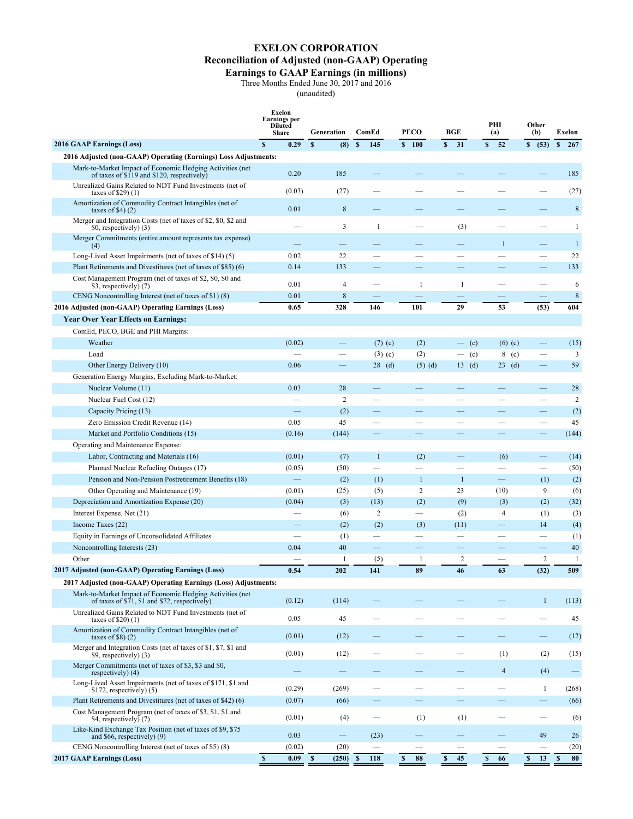# **EXELON CORPORATION**

## **Reconciliation of Adjusted (non-GAAP) Operating**

#### **Earnings to GAAP Earnings (in millions)**

Three Months Ended June 30, 2017 and 2016

(unaudited)

<span id="page-12-0"></span>

|                                                                                                                                            | Exelon<br><b>Earnings per</b><br><b>Diluted</b><br>Share | Generation                     | ComEd                    | PECO                     | <b>BGE</b>               | PHI<br>(a)               | Other<br>(b)             | Exelon              |
|--------------------------------------------------------------------------------------------------------------------------------------------|----------------------------------------------------------|--------------------------------|--------------------------|--------------------------|--------------------------|--------------------------|--------------------------|---------------------|
| <b>2016 GAAP Earnings (Loss)</b>                                                                                                           | $\mathbf{s}$<br>0.29                                     | $\mathbf{s}$<br>(8)            | $\boldsymbol{s}$<br>145  | \$100                    | S<br>31                  | S<br>52                  | \$ (53)                  | $\mathbf{s}$<br>267 |
| 2016 Adjusted (non-GAAP) Operating (Earnings) Loss Adjustments:                                                                            |                                                          |                                |                          |                          |                          |                          |                          |                     |
| Mark-to-Market Impact of Economic Hedging Activities (net<br>of taxes of \$119 and \$120, respectively)                                    | 0.20                                                     | 185                            |                          |                          |                          |                          |                          | 185                 |
| Unrealized Gains Related to NDT Fund Investments (net of<br>taxes of \$29 $(1)$                                                            | (0.03)                                                   | (27)                           |                          |                          |                          |                          |                          | (27)                |
| Amortization of Commodity Contract Intangibles (net of<br>taxes of \$4 $(2)$                                                               | 0.01                                                     | 8                              |                          |                          |                          |                          |                          | $\,8\,$             |
| Merger and Integration Costs (net of taxes of \$2, \$0, \$2 and<br>\$0, respectively) (3)                                                  |                                                          | 3                              | $\mathbf{1}$             |                          | (3)                      |                          |                          | -1                  |
| Merger Commitments (entire amount represents tax expense)<br>(4)                                                                           |                                                          |                                |                          |                          |                          | $\mathbf{1}$             | $\overline{\phantom{0}}$ | $\mathbf{1}$        |
| Long-Lived Asset Impairments (net of taxes of \$14) (5)                                                                                    | 0.02                                                     | 22                             | $\overline{\phantom{0}}$ |                          |                          |                          | <u>e</u>                 | 22                  |
| Plant Retirements and Divestitures (net of taxes of \$85) (6)                                                                              | 0.14                                                     | 133                            |                          |                          |                          |                          |                          | 133                 |
| Cost Management Program (net of taxes of \$2, \$0, \$0 and<br>\$3, respectively) (7)                                                       | 0.01                                                     | 4                              |                          | 1                        | -1                       |                          |                          | 6                   |
| CENG Noncontrolling Interest (net of taxes of \$1)(8)                                                                                      | 0.01                                                     | $\,$ 8 $\,$                    |                          |                          |                          |                          |                          | $\,$ 8 $\,$         |
| 2016 Adjusted (non-GAAP) Operating Earnings (Loss)                                                                                         | 0.65                                                     | 328                            | 146                      | 101                      | 29                       | 53                       | (53)                     | 604                 |
| <b>Year Over Year Effects on Earnings:</b>                                                                                                 |                                                          |                                |                          |                          |                          |                          |                          |                     |
| ComEd, PECO, BGE and PHI Margins:                                                                                                          |                                                          |                                |                          |                          |                          |                          |                          |                     |
| Weather                                                                                                                                    | (0.02)                                                   | $\equiv$                       | $(7)$ (c)                | (2)                      | (c)<br>$\equiv$          | $(6)$ (c)                | —                        | (15)                |
| Load                                                                                                                                       |                                                          |                                | $(3)$ (c)                | (2)                      | (c)<br>—                 | 8<br>(c)                 |                          | 3                   |
| Other Energy Delivery (10)                                                                                                                 | 0.06                                                     |                                | $28$ (d)                 | $(5)$ $(d)$              | $13 \text{ (d)}$         | $23$ (d)                 | $\equiv$                 | 59                  |
| Generation Energy Margins, Excluding Mark-to-Market:                                                                                       |                                                          |                                |                          |                          |                          |                          |                          |                     |
| Nuclear Volume (11)                                                                                                                        | 0.03                                                     | 28                             |                          |                          |                          |                          |                          | 28                  |
| Nuclear Fuel Cost (12)                                                                                                                     |                                                          | $\overline{c}$                 |                          |                          |                          |                          |                          | $\overline{c}$      |
| Capacity Pricing (13)                                                                                                                      |                                                          | (2)                            |                          | –                        |                          |                          | —                        | (2)                 |
| Zero Emission Credit Revenue (14)                                                                                                          | 0.05                                                     | 45                             |                          |                          |                          |                          |                          | 45                  |
| Market and Portfolio Conditions (15)                                                                                                       | (0.16)                                                   | (144)                          |                          |                          |                          |                          |                          | (144)               |
| Operating and Maintenance Expense:                                                                                                         |                                                          |                                |                          |                          |                          |                          |                          |                     |
| Labor, Contracting and Materials (16)                                                                                                      | (0.01)                                                   | (7)                            | $\mathbf{1}$             | (2)                      |                          | (6)                      | $\overline{\phantom{0}}$ | (14)                |
| Planned Nuclear Refueling Outages (17)                                                                                                     | (0.05)                                                   | (50)                           |                          |                          |                          |                          | $\overline{\phantom{0}}$ | (50)                |
| Pension and Non-Pension Postretirement Benefits (18)                                                                                       | $\equiv$                                                 | (2)                            | (1)                      | $\mathbf{1}$             | $\mathbf{1}$             | $\equiv$                 | (1)                      | (2)                 |
| Other Operating and Maintenance (19)                                                                                                       | (0.01)                                                   | (25)                           | (5)                      | 2                        | 23                       | (10)                     | 9                        | (6)                 |
| Depreciation and Amortization Expense (20)                                                                                                 | (0.04)                                                   | (3)                            | (13)                     | (2)                      | (9)                      | (3)                      | (2)                      | (32)                |
| Interest Expense, Net (21)                                                                                                                 | $\overline{\phantom{0}}$                                 | (6)                            | 2                        | $\equiv$                 | (2)                      | $\overline{4}$           | (1)                      | (3)                 |
| Income Taxes (22)                                                                                                                          |                                                          | (2)                            | (2)                      | (3)                      | (11)                     | $\equiv$                 | 14                       | (4)                 |
| Equity in Earnings of Unconsolidated Affiliates                                                                                            |                                                          | (1)                            |                          |                          |                          | $\overline{\phantom{0}}$ |                          | (1)                 |
| Noncontrolling Interests (23)                                                                                                              | 0.04                                                     | 40                             | $\equiv$                 | $\overline{\phantom{0}}$ | $\overline{\phantom{0}}$ | $\overline{\phantom{0}}$ | $\equiv$                 | 40                  |
| Other                                                                                                                                      |                                                          | $\mathbf{1}$                   | (5)                      | 1                        | 2                        |                          | 2                        | $\mathbf{1}$        |
| 2017 Adjusted (non-GAAP) Operating Earnings (Loss)                                                                                         | 0.54                                                     | 202                            | 141                      | 89                       | 46                       | 63                       | (32)                     | 509                 |
| 2017 Adjusted (non-GAAP) Operating Earnings (Loss) Adjustments:                                                                            |                                                          |                                |                          |                          |                          |                          |                          |                     |
| Mark-to-Market Impact of Economic Hedging Activities (net<br>of taxes of $\sqrt{571}$ , \$1 and \$72, respectively)                        | (0.12)                                                   | (114)                          |                          |                          |                          |                          | $\mathbf{1}$             | (113)               |
| Unrealized Gains Related to NDT Fund Investments (net of<br>taxes of \$20 $(1)$                                                            | 0.05                                                     | 45                             |                          |                          |                          |                          |                          | 45                  |
| Amortization of Commodity Contract Intangibles (net of<br>taxes of $$8(2)$                                                                 | (0.01)                                                   | (12)                           |                          |                          |                          |                          |                          | (12)                |
| Merger and Integration Costs (net of taxes of \$1, \$7, \$1 and<br>\$9, respectively) (3)                                                  | (0.01)                                                   | (12)                           |                          | $\overline{\phantom{0}}$ |                          | (1)                      | (2)                      | (15)                |
| Merger Commitments (net of taxes of \$3, \$3 and \$0,<br>respectively) (4)<br>Long-Lived Asset Impairments (net of taxes of \$171, \$1 and |                                                          |                                |                          |                          |                          | $\overline{4}$           | (4)                      |                     |
| $$172$ , respectively $)$ (5)<br>Plant Retirements and Divestitures (net of taxes of \$42) (6)                                             | (0.29)<br>(0.07)                                         | (269)<br>(66)                  |                          |                          |                          |                          | $\mathbf{1}$             | (268)<br>(66)       |
| Cost Management Program (net of taxes of \$3, \$1, \$1 and<br>\$4, respectively) (7)                                                       | (0.01)                                                   | (4)                            |                          | (1)                      | (1)                      |                          |                          | (6)                 |
| Like-Kind Exchange Tax Position (net of taxes of \$9, \$75)<br>and $$66$ , respectively) $(9)$                                             | 0.03                                                     | $\qquad \qquad \longleftarrow$ | (23)                     |                          |                          |                          | 49                       | 26                  |
| CENG Noncontrolling Interest (net of taxes of \$5)(8)                                                                                      | (0.02)                                                   | (20)                           |                          |                          |                          |                          |                          | (20)                |
| <b>2017 GAAP Earnings (Loss)</b>                                                                                                           | $\mathbf{s}$<br>0.09 S                                   | $(250)$ \$                     | 118                      | $\mathbf{s}$<br>88       | ${\bf S}$<br>45          | $\mathbf{s}$<br>66       | ${\bf S}$<br>13          | $\mathbf{s}$<br>80  |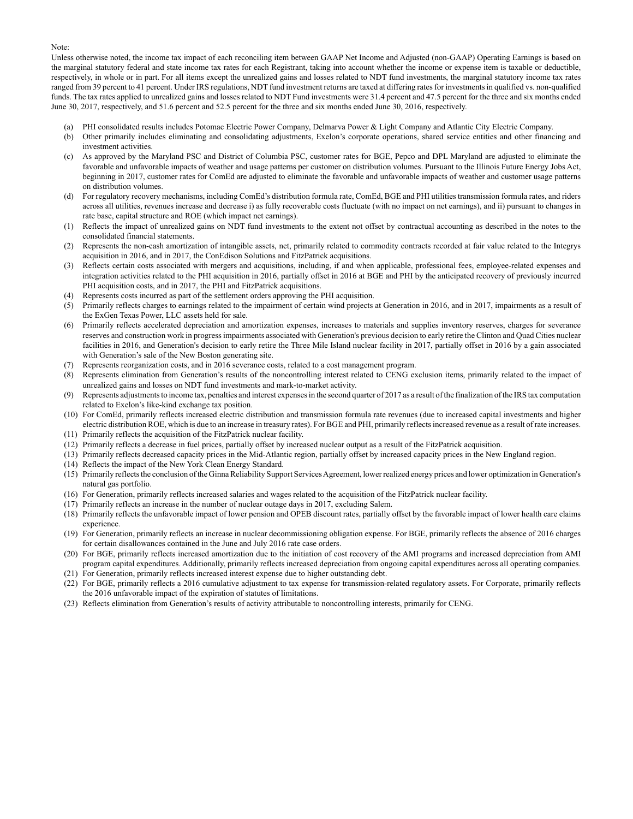#### Note:

Unless otherwise noted, the income tax impact of each reconciling item between GAAP Net Income and Adjusted (non-GAAP) Operating Earnings is based on the marginal statutory federal and state income tax rates for each Registrant, taking into account whether the income or expense item is taxable or deductible, respectively, in whole or in part. For all items except the unrealized gains and losses related to NDT fund investments, the marginal statutory income tax rates ranged from 39 percent to 41 percent. Under IRS regulations, NDT fund investment returns are taxed at differing rates for investments in qualified vs. non-qualified funds. The tax rates applied to unrealized gains and losses related to NDT Fund investments were 31.4 percent and 47.5 percent for the three and six months ended June 30, 2017, respectively, and 51.6 percent and 52.5 percent for the three and six months ended June 30, 2016, respectively.

- (a) PHI consolidated results includes Potomac Electric Power Company, Delmarva Power & Light Company and Atlantic City Electric Company.
- (b) Other primarily includes eliminating and consolidating adjustments, Exelon's corporate operations, shared service entities and other financing and investment activities.
- (c) As approved by the Maryland PSC and District of Columbia PSC, customer rates for BGE, Pepco and DPL Maryland are adjusted to eliminate the favorable and unfavorable impacts of weather and usage patterns per customer on distribution volumes. Pursuant to the Illinois Future Energy Jobs Act, beginning in 2017, customer rates for ComEd are adjusted to eliminate the favorable and unfavorable impacts of weather and customer usage patterns on distribution volumes.
- (d) For regulatory recovery mechanisms, including ComEd's distribution formula rate, ComEd, BGE and PHI utilities transmission formula rates, and riders across all utilities, revenues increase and decrease i) as fully recoverable costs fluctuate (with no impact on net earnings), and ii) pursuant to changes in rate base, capital structure and ROE (which impact net earnings).
- (1) Reflects the impact of unrealized gains on NDT fund investments to the extent not offset by contractual accounting as described in the notes to the consolidated financial statements.
- (2) Represents the non-cash amortization of intangible assets, net, primarily related to commodity contracts recorded at fair value related to the Integrys acquisition in 2016, and in 2017, the ConEdison Solutions and FitzPatrick acquisitions.
- (3) Reflects certain costs associated with mergers and acquisitions, including, if and when applicable, professional fees, employee-related expenses and integration activities related to the PHI acquisition in 2016, partially offset in 2016 at BGE and PHI by the anticipated recovery of previously incurred PHI acquisition costs, and in 2017, the PHI and FitzPatrick acquisitions.
- (4) Represents costs incurred as part of the settlement orders approving the PHI acquisition.
- (5) Primarily reflects charges to earnings related to the impairment of certain wind projects at Generation in 2016, and in 2017, impairments as a result of the ExGen Texas Power, LLC assets held for sale.
- (6) Primarily reflects accelerated depreciation and amortization expenses, increases to materials and supplies inventory reserves, charges for severance reserves and construction work in progress impairments associated with Generation's previous decision to early retire the Clinton and Quad Cities nuclear facilities in 2016, and Generation's decision to early retire the Three Mile Island nuclear facility in 2017, partially offset in 2016 by a gain associated with Generation's sale of the New Boston generating site.
- (7) Represents reorganization costs, and in 2016 severance costs, related to a cost management program.
- (8) Represents elimination from Generation's results of the noncontrolling interest related to CENG exclusion items, primarily related to the impact of unrealized gains and losses on NDT fund investments and mark-to-market activity.
- (9) Represents adjustments to income tax, penalties and interest expenses in the second quarter of 2017 as a result of the finalization of the IRS tax computation related to Exelon's like-kind exchange tax position.
- (10) For ComEd, primarily reflects increased electric distribution and transmission formula rate revenues (due to increased capital investments and higher electric distribution ROE, which is due to an increase in treasury rates). For BGE and PHI, primarily reflects increased revenue as a result of rate increases.
- (11) Primarily reflects the acquisition of the FitzPatrick nuclear facility.
- (12) Primarily reflects a decrease in fuel prices, partially offset by increased nuclear output as a result of the FitzPatrick acquisition.
- (13) Primarily reflects decreased capacity prices in the Mid-Atlantic region, partially offset by increased capacity prices in the New England region.
- (14) Reflects the impact of the New York Clean Energy Standard.
- (15) Primarily reflects the conclusion of the Ginna Reliability Support Services Agreement, lower realized energy prices and lower optimization in Generation's natural gas portfolio.
- (16) For Generation, primarily reflects increased salaries and wages related to the acquisition of the FitzPatrick nuclear facility.
- (17) Primarily reflects an increase in the number of nuclear outage days in 2017, excluding Salem.
- (18) Primarily reflects the unfavorable impact of lower pension and OPEB discount rates, partially offset by the favorable impact of lower health care claims experience.
- (19) For Generation, primarily reflects an increase in nuclear decommissioning obligation expense. For BGE, primarily reflects the absence of 2016 charges for certain disallowances contained in the June and July 2016 rate case orders.
- (20) For BGE, primarily reflects increased amortization due to the initiation of cost recovery of the AMI programs and increased depreciation from AMI program capital expenditures. Additionally, primarily reflects increased depreciation from ongoing capital expenditures across all operating companies.
- (21) For Generation, primarily reflects increased interest expense due to higher outstanding debt.
- (22) For BGE, primarily reflects a 2016 cumulative adjustment to tax expense for transmission-related regulatory assets. For Corporate, primarily reflects the 2016 unfavorable impact of the expiration of statutes of limitations.
- (23) Reflects elimination from Generation's results of activity attributable to noncontrolling interests, primarily for CENG.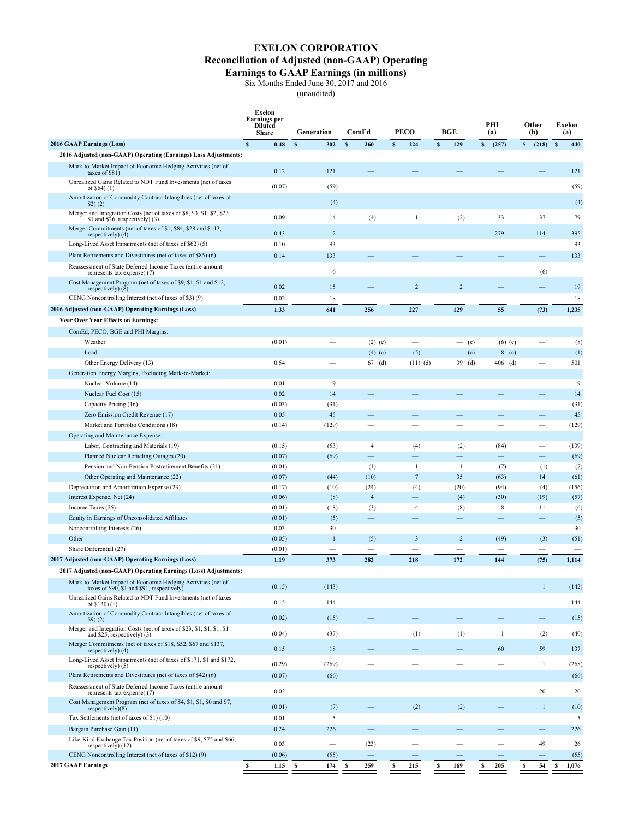## **EXELON CORPORATION Reconciliation of Adjusted (non-GAAP) Operating**

## **Earnings to GAAP Earnings (in millions)**

Six Months Ended June 30, 2017 and 2016

(unaudited)

<span id="page-14-0"></span>

|                                                                                                                            | Exelon<br><b>Earnings per</b><br><b>Diluted</b><br><b>Share</b> | Generation          | ComEd                           | <b>PECO</b>              | <b>BGE</b>                                 | PHI<br>(a)                       | Other<br>(b)                    | Exelon<br>(a)        |
|----------------------------------------------------------------------------------------------------------------------------|-----------------------------------------------------------------|---------------------|---------------------------------|--------------------------|--------------------------------------------|----------------------------------|---------------------------------|----------------------|
| 2016 GAAP Earnings (Loss)                                                                                                  | $\mathbf{s}$<br>0.48                                            | $\mathbf{s}$<br>302 | s<br>260                        | $\mathbf{s}$<br>224      | $\mathbf{s}$<br>129                        | $\mathbf{s}$<br>(257)            | S<br>(218) S                    | 440                  |
| 2016 Adjusted (non-GAAP) Operating (Earnings) Loss Adjustments:                                                            |                                                                 |                     |                                 |                          |                                            |                                  |                                 |                      |
| Mark-to-Market Impact of Economic Hedging Activities (net of                                                               |                                                                 |                     |                                 |                          |                                            |                                  |                                 |                      |
| taxes of \$81)                                                                                                             | 0.12                                                            | 121                 |                                 |                          |                                            |                                  |                                 | 121                  |
| Unrealized Gains Related to NDT Fund Investments (net of taxes<br>of $$64$ $(1)$                                           | (0.07)                                                          | (59)                |                                 |                          |                                            |                                  |                                 | (59)                 |
| Amortization of Commodity Contract Intangibles (net of taxes of<br>(2)                                                     |                                                                 | (4)                 |                                 |                          |                                            |                                  |                                 | (4)                  |
| Merger and Integration Costs (net of taxes of \$8, \$3, \$1, \$2, \$23,<br>\$1 and \$26, respectively) $(3)$               | 0.09                                                            | 14                  | (4)                             | -1                       | (2)                                        | 33                               | 37                              | 79                   |
| Merger Commitments (net of taxes of \$1, \$84, \$28 and \$113,                                                             | 0.43                                                            | $\sqrt{2}$          |                                 |                          |                                            | 279                              | 114                             | 395                  |
| respectively) (4)<br>Long-Lived Asset Impairments (net of taxes of \$62) (5)                                               | 0.10                                                            | 93                  |                                 |                          |                                            |                                  |                                 | 93                   |
| Plant Retirements and Divestitures (net of taxes of \$85) (6)                                                              | 0.14                                                            | 133                 |                                 |                          |                                            |                                  |                                 | 133                  |
| Reassessment of State Deferred Income Taxes (entire amount                                                                 |                                                                 |                     |                                 |                          |                                            |                                  |                                 |                      |
| represents tax expense) (7)<br>Cost Management Program (net of taxes of \$9, \$1, \$1 and \$12,                            |                                                                 | 6                   |                                 |                          |                                            |                                  | (6)                             |                      |
| respectively $(8)$                                                                                                         | 0.02                                                            | 15                  |                                 | $\overline{2}$           | $\overline{2}$                             |                                  |                                 | 19                   |
| CENG Noncontrolling Interest (net of taxes of \$3) (9)                                                                     | 0.02                                                            | 18                  | $\overline{\phantom{0}}$        |                          |                                            |                                  |                                 | 18                   |
| 2016 Adjusted (non-GAAP) Operating Earnings (Loss)                                                                         | 1.33                                                            | 641                 | 256                             | 227                      | 129                                        | 55                               | (73)                            | 1,235                |
| <b>Year Over Year Effects on Earnings:</b>                                                                                 |                                                                 |                     |                                 |                          |                                            |                                  |                                 |                      |
| ComEd, PECO, BGE and PHI Margins:                                                                                          |                                                                 |                     |                                 |                          |                                            |                                  |                                 |                      |
| Weather                                                                                                                    | (0.01)                                                          |                     | $(2)$ (c)                       | $\overline{\phantom{0}}$ | $-$ (c)                                    | $(6)$ (c)                        |                                 | (8)                  |
| Load                                                                                                                       | 0.54                                                            |                     | $(4)$ (c)                       | (5)                      | $-$ (c)                                    | $8$ (c)                          |                                 | (1)                  |
| Other Energy Delivery (13)<br>Generation Energy Margins, Excluding Mark-to-Market:                                         |                                                                 |                     | $67$ (d)                        | $(11)$ (d)               | $39$ (d)                                   | $406$ (d)                        |                                 | 501                  |
| Nuclear Volume (14)                                                                                                        | 0.01                                                            | 9                   | $\overline{\phantom{0}}$        |                          |                                            |                                  | $\overline{\phantom{0}}$        | 9                    |
| Nuclear Fuel Cost (15)                                                                                                     | 0.02                                                            | 14                  |                                 |                          |                                            |                                  |                                 | 14                   |
| Capacity Pricing (16)                                                                                                      | (0.03)                                                          | (31)                | $\overline{\phantom{0}}$        |                          |                                            |                                  | $\overline{\phantom{0}}$        | (31)                 |
| Zero Emission Credit Revenue (17)                                                                                          | 0.05                                                            | 45                  |                                 |                          |                                            |                                  |                                 | 45                   |
| Market and Portfolio Conditions (18)                                                                                       | (0.14)                                                          | (129)               |                                 |                          |                                            |                                  |                                 | (129)                |
| Operating and Maintenance Expense:                                                                                         |                                                                 |                     |                                 |                          |                                            |                                  |                                 |                      |
| Labor, Contracting and Materials (19)                                                                                      | (0.15)                                                          | (53)                | $\overline{4}$                  | (4)                      | (2)                                        | (84)                             | $\overline{\phantom{0}}$        | (139)                |
| Planned Nuclear Refueling Outages (20)                                                                                     | (0.07)                                                          | (69)                | $\overline{\phantom{0}}$        |                          | $\overline{\phantom{0}}$                   |                                  |                                 | (69)                 |
| Pension and Non-Pension Postretirement Benefits (21)                                                                       | (0.01)                                                          |                     | (1)                             | 1                        | $\mathbf{1}$                               | (7)                              | (1)                             | (7)                  |
| Other Operating and Maintenance (22)                                                                                       | (0.07)                                                          | (44)                | (10)                            | $\overline{7}$           | 35                                         | (63)                             | 14                              | (61)                 |
| Depreciation and Amortization Expense (23)                                                                                 | (0.17)                                                          | (10)                | (24)                            | (4)                      | (20)                                       | (94)                             | (4)                             | (156)                |
| Interest Expense, Net (24)                                                                                                 | (0.06)                                                          | (8)                 | $\overline{4}$                  | -                        | (4)                                        | (30)                             | (19)                            | (57)                 |
| Income Taxes (25)                                                                                                          | (0.01)                                                          | (18)                | (3)                             | $\overline{4}$           | (8)                                        | 8                                | 11                              | (6)                  |
| Equity in Earnings of Unconsolidated Affiliates                                                                            | (0.01)                                                          | (5)                 | $\overline{\phantom{0}}$        | $\overline{\phantom{0}}$ |                                            |                                  |                                 | (5)                  |
| Noncontrolling Interests (26)<br>Other                                                                                     | 0.03<br>(0.05)                                                  | 30<br>$\mathbf{1}$  | $\overline{\phantom{0}}$<br>(5) | $\overline{\mathbf{3}}$  | $\overline{\phantom{0}}$<br>$\overline{2}$ | $\overline{\phantom{0}}$<br>(49) | $\overline{\phantom{0}}$<br>(3) | 30<br>(51)           |
| Share Differential (27)                                                                                                    | (0.01)                                                          |                     |                                 |                          |                                            |                                  |                                 |                      |
| 2017 Adjusted (non-GAAP) Operating Earnings (Loss)                                                                         | 1.19                                                            | 373                 | 282                             | 218                      | 172                                        | 144                              | (75)                            | 1,114                |
| 2017 Adjusted (non-GAAP) Operating Earnings (Loss) Adjustments:                                                            |                                                                 |                     |                                 |                          |                                            |                                  |                                 |                      |
| Mark-to-Market Impact of Economic Hedging Activities (net of<br>taxes of \$90, \$1 and \$91, respectively)                 | (0.15)                                                          | (143)               |                                 |                          |                                            |                                  | $\mathbf{1}$                    | (142)                |
| Unrealized Gains Related to NDT Fund Investments (net of taxes                                                             | 0.15                                                            | 144                 |                                 |                          |                                            |                                  |                                 | 144                  |
| of $$130(1)$<br>Amortization of Commodity Contract Intangibles (net of taxes of<br>(2)                                     | (0.02)                                                          | (15)                |                                 |                          |                                            |                                  |                                 | (15)                 |
| Merger and Integration Costs (net of taxes of \$23, \$1, \$1, \$1, \$1<br>and \$25, respectively) $(3)$                    | (0.04)                                                          | (37)                |                                 | (1)                      | (1)                                        | -1                               | (2)                             | (40)                 |
| Merger Commitments (net of taxes of \$18, \$52, \$67 and \$137,<br>respectively) $(4)$                                     | 0.15                                                            | 18                  |                                 |                          |                                            | 60                               | 59                              | 137                  |
| Long-Lived Asset Impairments (net of taxes of \$171, \$1 and \$172,<br>respectively) (5)                                   | (0.29)                                                          | (269)               |                                 |                          |                                            |                                  | 1                               | (268)                |
| Plant Retirements and Divestitures (net of taxes of \$42) (6)                                                              | (0.07)                                                          | (66)                |                                 |                          |                                            |                                  | $\overline{\phantom{0}}$        | (66)                 |
| Reassessment of State Deferred Income Taxes (entire amount                                                                 | 0.02                                                            | -                   |                                 | -                        |                                            |                                  | 20                              | 20                   |
| represents tax expense) (7)<br>Cost Management Program (net of taxes of \$4, \$1, \$1, \$0 and \$7,<br>respectively $)(8)$ | (0.01)                                                          | (7)                 |                                 | (2)                      | (2)                                        |                                  | $\mathbf{1}$                    | (10)                 |
| Tax Settlements (net of taxes of \$1) (10)                                                                                 | 0.01                                                            | 5                   | -                               | $\overline{\phantom{0}}$ |                                            |                                  | $\overline{\phantom{0}}$        | 5                    |
| Bargain Purchase Gain (11)                                                                                                 | 0.24                                                            | 226                 | —                               |                          |                                            |                                  |                                 | 226                  |
| Like-Kind Exchange Tax Position (net of taxes of \$9, \$75 and \$66,                                                       |                                                                 |                     |                                 |                          |                                            |                                  |                                 |                      |
| respectively) $(12)$<br>CENG Noncontrolling Interest (net of taxes of \$12)(9)                                             | 0.03<br>(0.06)                                                  | (55)                | (23)<br>-                       | $\overline{\phantom{0}}$ |                                            |                                  | 49                              | 26<br>(55)           |
| <b>2017 GAAP Earnings</b>                                                                                                  | $\mathbb S$<br>1.15                                             | <b>S</b><br>174     | 259<br>S                        | s<br>215                 | s<br>169                                   | 205<br>S                         | 54<br>s                         | $\mathbb S$<br>1,076 |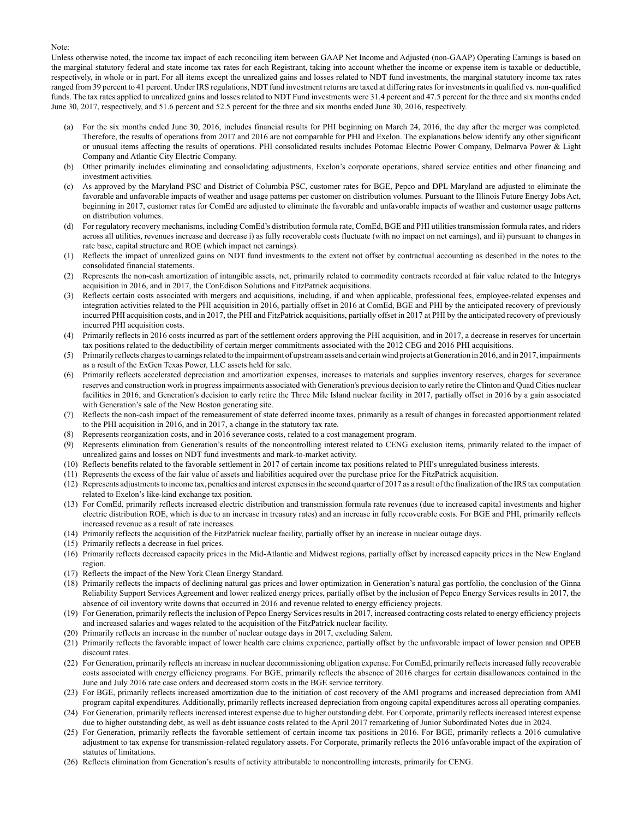#### Note:

Unless otherwise noted, the income tax impact of each reconciling item between GAAP Net Income and Adjusted (non-GAAP) Operating Earnings is based on the marginal statutory federal and state income tax rates for each Registrant, taking into account whether the income or expense item is taxable or deductible, respectively, in whole or in part. For all items except the unrealized gains and losses related to NDT fund investments, the marginal statutory income tax rates ranged from 39 percent to 41 percent. Under IRS regulations, NDT fund investment returns are taxed at differing rates for investments in qualified vs. non-qualified funds. The tax rates applied to unrealized gains and losses related to NDT Fund investments were 31.4 percent and 47.5 percent for the three and six months ended June 30, 2017, respectively, and 51.6 percent and 52.5 percent for the three and six months ended June 30, 2016, respectively.

- (a) For the six months ended June 30, 2016, includes financial results for PHI beginning on March 24, 2016, the day after the merger was completed. Therefore, the results of operations from 2017 and 2016 are not comparable for PHI and Exelon. The explanations below identify any other significant or unusual items affecting the results of operations. PHI consolidated results includes Potomac Electric Power Company, Delmarva Power & Light Company and Atlantic City Electric Company.
- (b) Other primarily includes eliminating and consolidating adjustments, Exelon's corporate operations, shared service entities and other financing and investment activities.
- (c) As approved by the Maryland PSC and District of Columbia PSC, customer rates for BGE, Pepco and DPL Maryland are adjusted to eliminate the favorable and unfavorable impacts of weather and usage patterns per customer on distribution volumes. Pursuant to the Illinois Future Energy Jobs Act, beginning in 2017, customer rates for ComEd are adjusted to eliminate the favorable and unfavorable impacts of weather and customer usage patterns on distribution volumes.
- (d) For regulatory recovery mechanisms, including ComEd's distribution formula rate, ComEd, BGE and PHI utilities transmission formula rates, and riders across all utilities, revenues increase and decrease i) as fully recoverable costs fluctuate (with no impact on net earnings), and ii) pursuant to changes in rate base, capital structure and ROE (which impact net earnings).
- (1) Reflects the impact of unrealized gains on NDT fund investments to the extent not offset by contractual accounting as described in the notes to the consolidated financial statements.
- (2) Represents the non-cash amortization of intangible assets, net, primarily related to commodity contracts recorded at fair value related to the Integrys acquisition in 2016, and in 2017, the ConEdison Solutions and FitzPatrick acquisitions.
- (3) Reflects certain costs associated with mergers and acquisitions, including, if and when applicable, professional fees, employee-related expenses and integration activities related to the PHI acquisition in 2016, partially offset in 2016 at ComEd, BGE and PHI by the anticipated recovery of previously incurred PHI acquisition costs, and in 2017, the PHI and FitzPatrick acquisitions, partially offset in 2017 at PHI by the anticipated recovery of previously incurred PHI acquisition costs.
- (4) Primarily reflects in 2016 costs incurred as part of the settlement orders approving the PHI acquisition, and in 2017, a decrease in reserves for uncertain tax positions related to the deductibility of certain merger commitments associated with the 2012 CEG and 2016 PHI acquisitions.
- (5) Primarily reflects charges to earnings related to the impairment of upstream assets and certain wind projects at Generation in 2016, and in 2017, impairments as a result of the ExGen Texas Power, LLC assets held for sale.
- (6) Primarily reflects accelerated depreciation and amortization expenses, increases to materials and supplies inventory reserves, charges for severance reserves and construction work in progress impairments associated with Generation's previous decision to early retire the Clinton and Quad Cities nuclear facilities in 2016, and Generation's decision to early retire the Three Mile Island nuclear facility in 2017, partially offset in 2016 by a gain associated with Generation's sale of the New Boston generating site.
- (7) Reflects the non-cash impact of the remeasurement of state deferred income taxes, primarily as a result of changes in forecasted apportionment related to the PHI acquisition in 2016, and in 2017, a change in the statutory tax rate.
- (8) Represents reorganization costs, and in 2016 severance costs, related to a cost management program.
- (9) Represents elimination from Generation's results of the noncontrolling interest related to CENG exclusion items, primarily related to the impact of unrealized gains and losses on NDT fund investments and mark-to-market activity.
- (10) Reflects benefits related to the favorable settlement in 2017 of certain income tax positions related to PHI's unregulated business interests.
- (11) Represents the excess of the fair value of assets and liabilities acquired over the purchase price for the FitzPatrick acquisition.
- (12) Represents adjustments to income tax, penalties and interest expenses in the second quarter of 2017 as a result of the finalization of the IRS tax computation related to Exelon's like-kind exchange tax position.
- (13) For ComEd, primarily reflects increased electric distribution and transmission formula rate revenues (due to increased capital investments and higher electric distribution ROE, which is due to an increase in treasury rates) and an increase in fully recoverable costs. For BGE and PHI, primarily reflects increased revenue as a result of rate increases.
- (14) Primarily reflects the acquisition of the FitzPatrick nuclear facility, partially offset by an increase in nuclear outage days.
- (15) Primarily reflects a decrease in fuel prices.
- (16) Primarily reflects decreased capacity prices in the Mid-Atlantic and Midwest regions, partially offset by increased capacity prices in the New England region.
- (17) Reflects the impact of the New York Clean Energy Standard.
- (18) Primarily reflects the impacts of declining natural gas prices and lower optimization in Generation's natural gas portfolio, the conclusion of the Ginna Reliability Support Services Agreement and lower realized energy prices, partially offset by the inclusion of Pepco Energy Services results in 2017, the absence of oil inventory write downs that occurred in 2016 and revenue related to energy efficiency projects.
- (19) For Generation, primarily reflects the inclusion of Pepco Energy Services results in 2017, increased contracting costs related to energy efficiency projects and increased salaries and wages related to the acquisition of the FitzPatrick nuclear facility.
- (20) Primarily reflects an increase in the number of nuclear outage days in 2017, excluding Salem.
- (21) Primarily reflects the favorable impact of lower health care claims experience, partially offset by the unfavorable impact of lower pension and OPEB discount rates.
- (22) For Generation, primarily reflects an increase in nuclear decommissioning obligation expense. For ComEd, primarily reflects increased fully recoverable costs associated with energy efficiency programs. For BGE, primarily reflects the absence of 2016 charges for certain disallowances contained in the June and July 2016 rate case orders and decreased storm costs in the BGE service territory.
- (23) For BGE, primarily reflects increased amortization due to the initiation of cost recovery of the AMI programs and increased depreciation from AMI program capital expenditures. Additionally, primarily reflects increased depreciation from ongoing capital expenditures across all operating companies.
- (24) For Generation, primarily reflects increased interest expense due to higher outstanding debt. For Corporate, primarily reflects increased interest expense due to higher outstanding debt, as well as debt issuance costs related to the April 2017 remarketing of Junior Subordinated Notes due in 2024.
- (25) For Generation, primarily reflects the favorable settlement of certain income tax positions in 2016. For BGE, primarily reflects a 2016 cumulative adjustment to tax expense for transmission-related regulatory assets. For Corporate, primarily reflects the 2016 unfavorable impact of the expiration of statutes of limitations.
- (26) Reflects elimination from Generation's results of activity attributable to noncontrolling interests, primarily for CENG.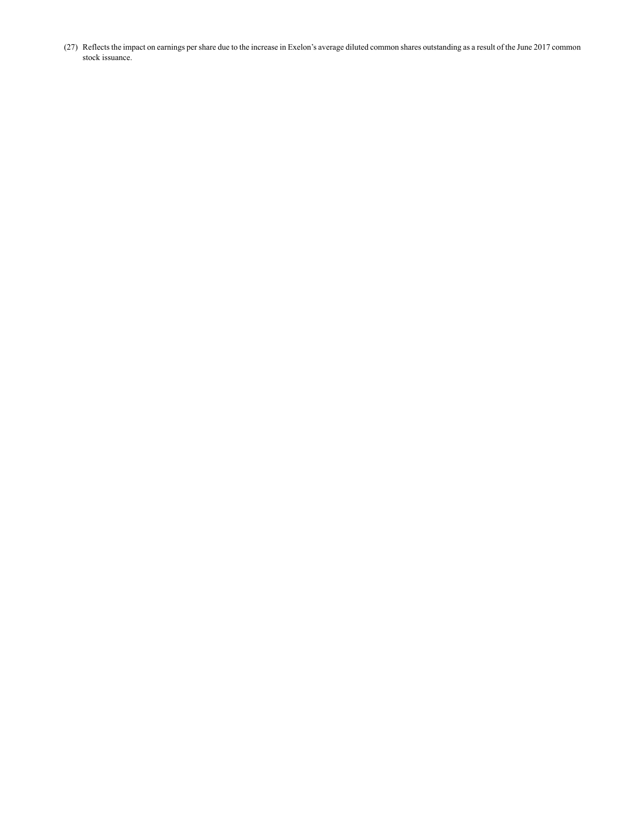(27) Reflects the impact on earnings per share due to the increase in Exelon's average diluted common shares outstanding as a result of the June 2017 common stock issuance.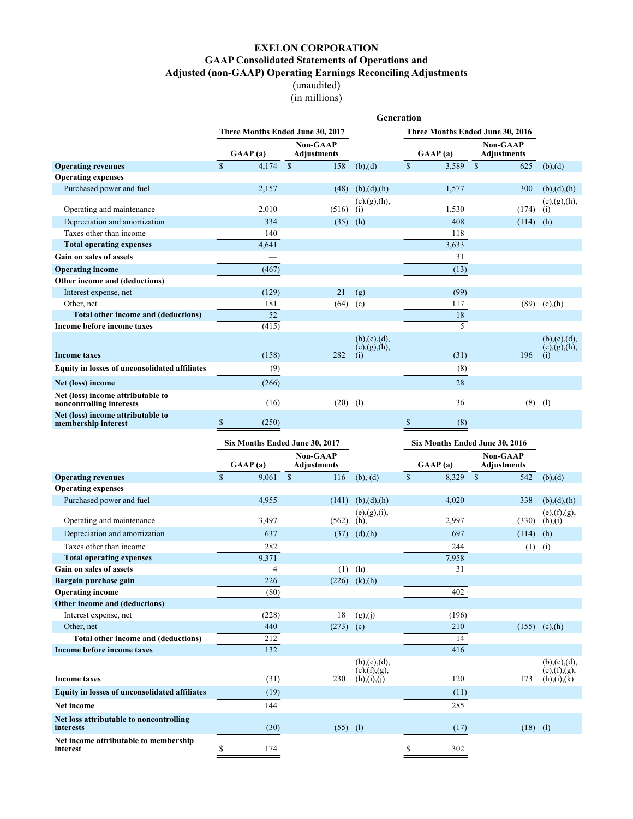(unaudited) (in millions)

<span id="page-17-0"></span>

|                                                                                               |                                  |                                 |                                  | Generation                       |              |                                       |            |                                  |
|-----------------------------------------------------------------------------------------------|----------------------------------|---------------------------------|----------------------------------|----------------------------------|--------------|---------------------------------------|------------|----------------------------------|
|                                                                                               | Three Months Ended June 30, 2017 |                                 |                                  | Three Months Ended June 30, 2016 |              |                                       |            |                                  |
|                                                                                               | GAAP(a)                          | Non-GAAP<br><b>Adjustments</b>  |                                  | GAAP(a)                          |              | <b>Non-GAAP</b><br><b>Adjustments</b> |            |                                  |
| <b>Operating revenues</b>                                                                     | $\overline{\mathbb{S}}$<br>4.174 | $\overline{\mathcal{S}}$<br>158 | (b),(d)                          | $\overline{\mathcal{S}}$         | 3,589        | $\overline{\mathcal{S}}$              | 625        | (b),(d)                          |
| <b>Operating expenses</b>                                                                     |                                  |                                 |                                  |                                  |              |                                       |            |                                  |
| Purchased power and fuel                                                                      | 2,157                            | (48)                            | (b),(d),(h)                      |                                  | 1,577        |                                       | 300        | (b),(d),(h)                      |
|                                                                                               |                                  |                                 | (e), (g), (h),                   |                                  |              |                                       |            | (e), (g), (h),                   |
| Operating and maintenance                                                                     | 2,010                            | (516)                           | (i)                              |                                  | 1,530<br>408 |                                       | (174)      | (i)                              |
| Depreciation and amortization<br>Taxes other than income                                      | 334<br>140                       | (35)                            | (h)                              |                                  | 118          |                                       | (114)      | (h)                              |
| <b>Total operating expenses</b>                                                               | 4,641                            |                                 |                                  |                                  | 3,633        |                                       |            |                                  |
| Gain on sales of assets                                                                       |                                  |                                 |                                  |                                  | 31           |                                       |            |                                  |
| <b>Operating income</b>                                                                       | (467)                            |                                 |                                  |                                  | (13)         |                                       |            |                                  |
| Other income and (deductions)                                                                 |                                  |                                 |                                  |                                  |              |                                       |            |                                  |
| Interest expense, net                                                                         | (129)                            | 21                              | (g)                              |                                  | (99)         |                                       |            |                                  |
| Other, net                                                                                    | 181                              | (64)                            | (c)                              |                                  | 117          |                                       |            | $(89)$ (c),(h)                   |
| Total other income and (deductions)                                                           | 52                               |                                 |                                  |                                  | 18           |                                       |            |                                  |
| <b>Income before income taxes</b>                                                             | (415)                            |                                 |                                  |                                  | 5            |                                       |            |                                  |
|                                                                                               |                                  |                                 | (b), (c), (d),<br>(e), (g), (h), |                                  |              |                                       |            | (b), (c), (d),<br>(e), (g), (h), |
| <b>Income taxes</b>                                                                           | (158)                            | 282                             | (i)                              |                                  | (31)         |                                       | 196        | (i)                              |
| <b>Equity in losses of unconsolidated affiliates</b>                                          | (9)                              |                                 |                                  |                                  | (8)          |                                       |            |                                  |
| Net (loss) income                                                                             | (266)                            |                                 |                                  |                                  | 28           |                                       |            |                                  |
| Net (loss) income attributable to<br>noncontrolling interests                                 | (16)                             | (20)                            | (1)                              |                                  | 36           |                                       | $(8)$ (1)  |                                  |
| Net (loss) income attributable to<br>membership interest                                      | \$<br>(250)                      |                                 |                                  | $\mathbb{S}$                     | (8)          |                                       |            |                                  |
|                                                                                               |                                  |                                 |                                  |                                  |              |                                       |            |                                  |
|                                                                                               | Six Months Ended June 30, 2017   |                                 |                                  |                                  |              | Six Months Ended June 30, 2016        |            |                                  |
|                                                                                               | GAAP(a)                          | Non-GAAP<br>Adjustments         |                                  | GAAP(a)                          |              | Non-GAAP<br>Adjustments               |            |                                  |
| <b>Operating revenues</b>                                                                     | $\mathbf{\hat{s}}$<br>9,061      | $\mathbb{S}$<br>116             | (b), (d)                         | $\mathbb S$                      | 8,329        | $\mathbf S$                           | 542        | (b),(d)                          |
| <b>Operating expenses</b>                                                                     |                                  |                                 |                                  |                                  |              |                                       |            |                                  |
| Purchased power and fuel                                                                      | 4,955                            | (141)                           | (b), (d), (h)                    |                                  | 4,020        |                                       | 338        | (b), (d), (h)                    |
| Operating and maintenance                                                                     | 3,497                            | (562)                           | (e), (g), (i),<br>$(h)$ ,        |                                  | 2,997        |                                       | (330)      | (e), (f), (g),<br>(h),(i)        |
| Depreciation and amortization                                                                 | 637                              | (37)                            | (d),(h)                          |                                  | 697          |                                       | (114)      | (h)                              |
| Taxes other than income                                                                       | 282                              |                                 |                                  |                                  | 244          |                                       | (1)        | (i)                              |
| <b>Total operating expenses</b>                                                               | 9,371                            |                                 |                                  |                                  | 7,958        |                                       |            |                                  |
| Gain on sales of assets                                                                       | $\overline{4}$                   | (1)                             | (h)                              |                                  | 31           |                                       |            |                                  |
| Bargain purchase gain                                                                         | 226                              |                                 | $(226)$ (k),(h)                  |                                  |              |                                       |            |                                  |
| <b>Operating income</b>                                                                       | (80)                             |                                 |                                  |                                  | 402          |                                       |            |                                  |
| Other income and (deductions)                                                                 |                                  |                                 |                                  |                                  |              |                                       |            |                                  |
| Interest expense, net                                                                         | (228)                            | 18                              | (g),(j)                          |                                  | (196)        |                                       |            |                                  |
| Other, net                                                                                    | 440                              | (273)                           | (c)                              |                                  | 210          |                                       |            | $(155)$ (c),(h)                  |
| Total other income and (deductions)                                                           | 212                              |                                 |                                  |                                  | 14           |                                       |            |                                  |
| Income before income taxes                                                                    | 132                              |                                 | (b), (c), (d),                   |                                  | 416          |                                       |            | (b), (c), (d),                   |
|                                                                                               |                                  |                                 | (e), (f), (g),                   |                                  |              |                                       |            | (e), (f), (g),                   |
| <b>Income taxes</b>                                                                           | (31)                             | 230                             | (h), (i), (j)                    |                                  | 120          |                                       | 173        | (h), (i), (k)                    |
| <b>Equity in losses of unconsolidated affiliates</b>                                          | (19)                             |                                 |                                  |                                  | (11)         |                                       |            |                                  |
| Net income                                                                                    | 144                              |                                 |                                  |                                  | 285          |                                       |            |                                  |
| Net loss attributable to noncontrolling<br>interests<br>Net income attributable to membership | (30)                             | $(55)$ (1)                      |                                  |                                  | (17)         |                                       | $(18)$ (1) |                                  |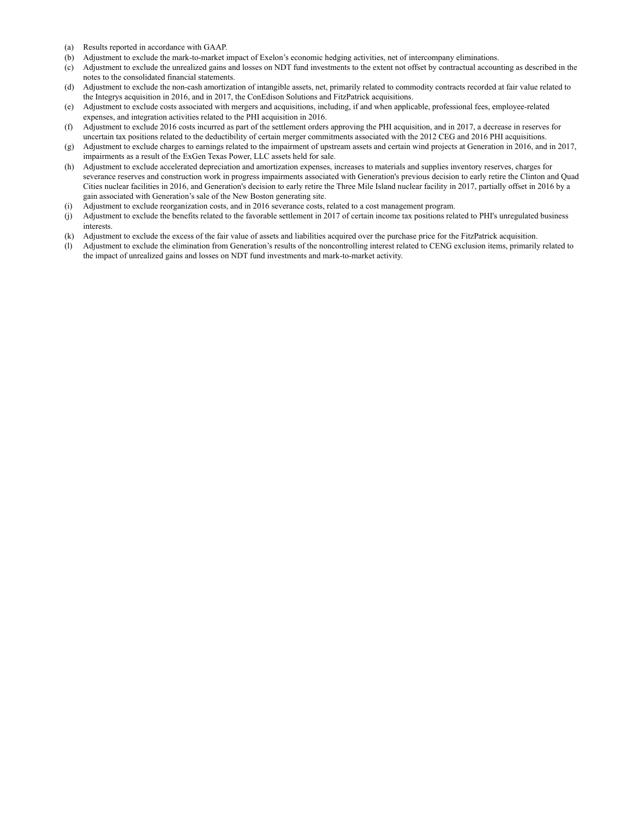- (a) Results reported in accordance with GAAP.
- (b) Adjustment to exclude the mark-to-market impact of Exelon's economic hedging activities, net of intercompany eliminations.
- (c) Adjustment to exclude the unrealized gains and losses on NDT fund investments to the extent not offset by contractual accounting as described in the notes to the consolidated financial statements.
- (d) Adjustment to exclude the non-cash amortization of intangible assets, net, primarily related to commodity contracts recorded at fair value related to the Integrys acquisition in 2016, and in 2017, the ConEdison Solutions and FitzPatrick acquisitions.
- (e) Adjustment to exclude costs associated with mergers and acquisitions, including, if and when applicable, professional fees, employee-related expenses, and integration activities related to the PHI acquisition in 2016.
- (f) Adjustment to exclude 2016 costs incurred as part of the settlement orders approving the PHI acquisition, and in 2017, a decrease in reserves for uncertain tax positions related to the deductibility of certain merger commitments associated with the 2012 CEG and 2016 PHI acquisitions.
- (g) Adjustment to exclude charges to earnings related to the impairment of upstream assets and certain wind projects at Generation in 2016, and in 2017, impairments as a result of the ExGen Texas Power, LLC assets held for sale.
- (h) Adjustment to exclude accelerated depreciation and amortization expenses, increases to materials and supplies inventory reserves, charges for severance reserves and construction work in progress impairments associated with Generation's previous decision to early retire the Clinton and Quad Cities nuclear facilities in 2016, and Generation's decision to early retire the Three Mile Island nuclear facility in 2017, partially offset in 2016 by a gain associated with Generation's sale of the New Boston generating site.
- (i) Adjustment to exclude reorganization costs, and in 2016 severance costs, related to a cost management program.
- (j) Adjustment to exclude the benefits related to the favorable settlement in 2017 of certain income tax positions related to PHI's unregulated business interests.
- (k) Adjustment to exclude the excess of the fair value of assets and liabilities acquired over the purchase price for the FitzPatrick acquisition.
- (l) Adjustment to exclude the elimination from Generation's results of the noncontrolling interest related to CENG exclusion items, primarily related to the impact of unrealized gains and losses on NDT fund investments and mark-to-market activity.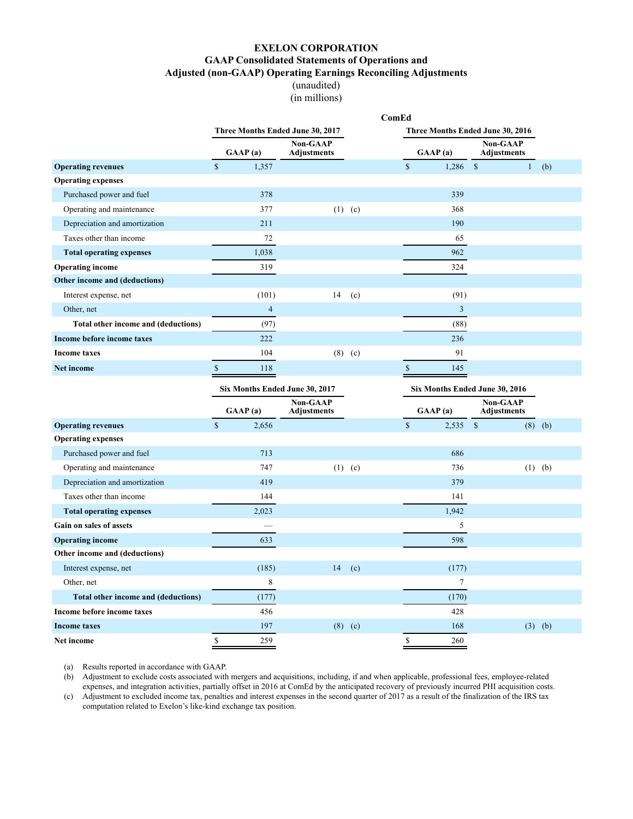(unaudited) (in millions)

<span id="page-19-0"></span>

|                                     |                        |                |                                  |           | ComEd |               |                                                |               |                                |              |           |
|-------------------------------------|------------------------|----------------|----------------------------------|-----------|-------|---------------|------------------------------------------------|---------------|--------------------------------|--------------|-----------|
|                                     |                        |                | Three Months Ended June 30, 2017 |           |       |               | Three Months Ended June 30, 2016               |               |                                |              |           |
|                                     | GAAP(a)                |                | Non-GAAP<br><b>Adjustments</b>   |           |       |               | GAAP(a)                                        |               | Non-GAAP<br><b>Adjustments</b> |              |           |
| <b>Operating revenues</b>           | $\mathbf S$<br>1,357   |                |                                  |           |       | $\mathbf S$   | $1,286$ \$                                     |               |                                | $\mathbf{1}$ | (b)       |
| <b>Operating expenses</b>           |                        |                |                                  |           |       |               |                                                |               |                                |              |           |
| Purchased power and fuel            |                        | 378            |                                  |           |       |               | 339                                            |               |                                |              |           |
| Operating and maintenance           |                        | 377            |                                  | $(1)$ (c) |       |               | 368                                            |               |                                |              |           |
| Depreciation and amortization       |                        | 211            |                                  |           |       |               | 190                                            |               |                                |              |           |
| Taxes other than income             |                        | 72             |                                  |           |       |               | 65                                             |               |                                |              |           |
| <b>Total operating expenses</b>     | 1,038                  |                |                                  |           |       |               | 962                                            |               |                                |              |           |
| <b>Operating income</b>             |                        | 319            |                                  |           |       |               | 324                                            |               |                                |              |           |
| Other income and (deductions)       |                        |                |                                  |           |       |               |                                                |               |                                |              |           |
| Interest expense, net               |                        | (101)          | 14                               | (c)       |       |               | (91)                                           |               |                                |              |           |
| Other, net                          |                        | $\overline{4}$ |                                  |           |       |               | $\overline{3}$                                 |               |                                |              |           |
| Total other income and (deductions) |                        | (97)           |                                  |           |       |               | (88)                                           |               |                                |              |           |
| Income before income taxes          |                        | 222            |                                  |           |       |               | 236                                            |               |                                |              |           |
| <b>Income taxes</b>                 |                        | 104            |                                  | $(8)$ (c) |       |               | 91                                             |               |                                |              |           |
| <b>Net income</b>                   | $\mathsf{\$}$          | 118            |                                  |           |       | $\mathbb{S}$  | 145                                            |               |                                |              |           |
|                                     |                        |                |                                  |           |       |               |                                                |               |                                |              |           |
|                                     |                        |                | Six Months Ended June 30, 2017   |           |       |               | Six Months Ended June 30, 2016                 |               |                                |              |           |
|                                     | GAAP(a)                |                | Non-GAAP<br><b>Adjustments</b>   |           |       |               | $\mathbf{G}\mathbf{A}\mathbf{A}\mathbf{P}$ (a) |               | Non-GAAP<br><b>Adjustments</b> |              |           |
| <b>Operating revenues</b>           | $\mathsf{\$}$<br>2,656 |                |                                  |           |       | $\mathsf{\$}$ | 2,535                                          | $\mathcal{S}$ |                                |              | $(8)$ (b) |
| <b>Operating expenses</b>           |                        |                |                                  |           |       |               |                                                |               |                                |              |           |
| Purchased power and fuel            |                        | 713            |                                  |           |       |               | 686                                            |               |                                |              |           |
| Operating and maintenance           |                        | 747            |                                  | $(1)$ (c) |       |               | 736                                            |               |                                |              | $(1)$ (b) |
| Depreciation and amortization       |                        | 419            |                                  |           |       |               | 379                                            |               |                                |              |           |
| Taxes other than income             |                        | 144            |                                  |           |       |               | 141                                            |               |                                |              |           |
| <b>Total operating expenses</b>     | 2,023                  |                |                                  |           |       |               | 1,942                                          |               |                                |              |           |
| Gain on sales of assets             |                        |                |                                  |           |       |               | 5                                              |               |                                |              |           |
| <b>Operating income</b>             |                        | 633            |                                  |           |       |               | 598                                            |               |                                |              |           |
| Other income and (deductions)       |                        |                |                                  |           |       |               |                                                |               |                                |              |           |
| Interest expense, net               |                        | (185)          | 14                               | (c)       |       |               | (177)                                          |               |                                |              |           |
| Other, net                          |                        | 8              |                                  |           |       |               | $\tau$                                         |               |                                |              |           |
| Total other income and (deductions) |                        | (177)          |                                  |           |       |               | (170)                                          |               |                                |              |           |
| Income before income taxes          |                        | 456            |                                  |           |       |               | 428                                            |               |                                |              |           |
| <b>Income taxes</b>                 |                        | 197            | (8)                              | (c)       |       |               | 168                                            |               |                                |              | $(3)$ (b) |

(a) Results reported in accordance with GAAP.

(b) Adjustment to exclude costs associated with mergers and acquisitions, including, if and when applicable, professional fees, employee-related expenses, and integration activities, partially offset in 2016 at ComEd by the anticipated recovery of previously incurred PHI acquisition costs.

(c) Adjustment to excluded income tax, penalties and interest expenses in the second quarter of 2017 as a result of the finalization of the IRS tax computation related to Exelon's like-kind exchange tax position.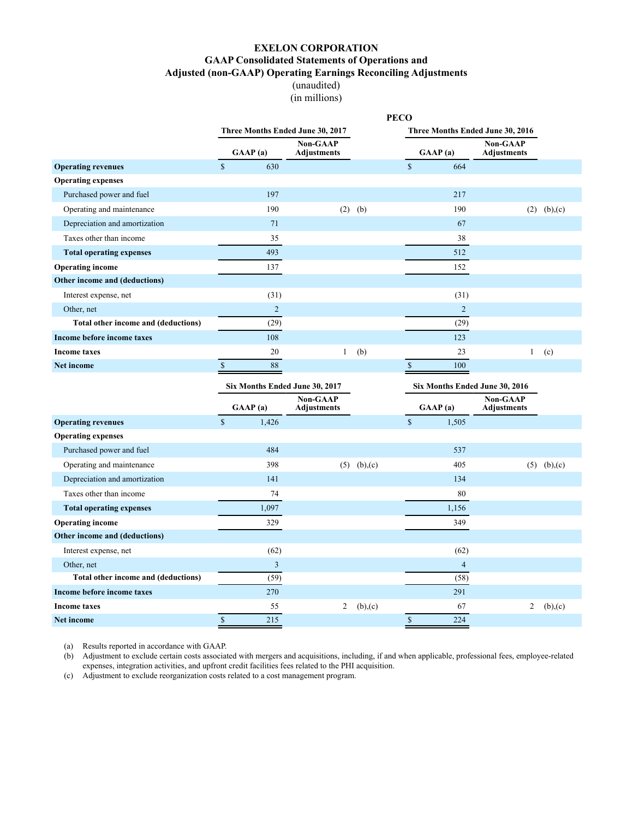(unaudited) (in millions)

<span id="page-20-0"></span>

|                                     |              |                |                                       |     | <b>PECO</b>  |                      |                |                                       |         |
|-------------------------------------|--------------|----------------|---------------------------------------|-----|--------------|----------------------|----------------|---------------------------------------|---------|
|                                     |              |                | Three Months Ended June 30, 2017      |     |              |                      |                | Three Months Ended June 30, 2016      |         |
|                                     |              | GMAP(a)        | <b>Non-GAAP</b><br><b>Adjustments</b> |     |              | GAAP(a)              |                | <b>Non-GAAP</b><br><b>Adjustments</b> |         |
| <b>Operating revenues</b>           | $\mathbb{S}$ | 630            |                                       |     | $\mathbb{S}$ |                      | 664            |                                       |         |
| <b>Operating expenses</b>           |              |                |                                       |     |              |                      |                |                                       |         |
| Purchased power and fuel            |              | 197            |                                       |     |              |                      | 217            |                                       |         |
| Operating and maintenance           |              | 190            | (2)                                   | (b) |              |                      | 190            | (2)                                   | (b),(c) |
| Depreciation and amortization       |              | 71             |                                       |     |              |                      | 67             |                                       |         |
| Taxes other than income             |              | 35             |                                       |     |              |                      | 38             |                                       |         |
| <b>Total operating expenses</b>     |              | 493            |                                       |     |              |                      | 512            |                                       |         |
| <b>Operating income</b>             |              | 137            |                                       |     |              |                      | 152            |                                       |         |
| Other income and (deductions)       |              |                |                                       |     |              |                      |                |                                       |         |
| Interest expense, net               |              | (31)           |                                       |     |              |                      | (31)           |                                       |         |
| Other, net                          |              | $\overline{2}$ |                                       |     |              |                      | $\overline{2}$ |                                       |         |
| Total other income and (deductions) |              | (29)           |                                       |     |              |                      | (29)           |                                       |         |
| Income before income taxes          |              | 108            |                                       |     |              |                      | 123            |                                       |         |
| <b>Income taxes</b>                 |              | 20             | 1                                     | (b) |              |                      | 23             |                                       | (c)     |
| <b>Net income</b>                   | $\mathbf S$  | 88             |                                       |     | \$.          |                      | 100            |                                       |         |
|                                     |              |                | Six Months Ended June 30, 2017        |     |              |                      |                | Six Months Ended June 30, 2016        |         |
|                                     |              | $C + D$        | <b>Non-GAAP</b><br>$\cdots$           |     |              | $\alpha$ in $\alpha$ |                | <b>Non-GAAP</b><br>$\cdots$           |         |

|                                     | $\mathbf{G}\mathbf{A}\mathbf{A}\mathbf{P}$ (a) | <b>Non-GAAP</b><br>Adjustments |         | GAAP(a)        | Non-GAAP<br><b>Adjustments</b> |         |
|-------------------------------------|------------------------------------------------|--------------------------------|---------|----------------|--------------------------------|---------|
| <b>Operating revenues</b>           | \$<br>1,426                                    |                                |         | \$<br>1,505    |                                |         |
| <b>Operating expenses</b>           |                                                |                                |         |                |                                |         |
| Purchased power and fuel            | 484                                            |                                |         | 537            |                                |         |
| Operating and maintenance           | 398                                            | (5)                            | (b),(c) | 405            | (5)                            | (b),(c) |
| Depreciation and amortization       | 141                                            |                                |         | 134            |                                |         |
| Taxes other than income             | 74                                             |                                |         | 80             |                                |         |
| <b>Total operating expenses</b>     | 1,097                                          |                                |         | 1,156          |                                |         |
| <b>Operating income</b>             | 329                                            |                                |         | 349            |                                |         |
| Other income and (deductions)       |                                                |                                |         |                |                                |         |
| Interest expense, net               | (62)                                           |                                |         | (62)           |                                |         |
| Other, net                          | 3                                              |                                |         | $\overline{4}$ |                                |         |
| Total other income and (deductions) | (59)                                           |                                |         | (58)           |                                |         |
| Income before income taxes          | 270                                            |                                |         | 291            |                                |         |
| <b>Income taxes</b>                 | 55                                             | $\overline{2}$                 | (b),(c) | 67             | 2                              | (b),(c) |
| Net income                          | 215                                            |                                |         | \$<br>224      |                                |         |

(a) Results reported in accordance with GAAP.

(b) Adjustment to exclude certain costs associated with mergers and acquisitions, including, if and when applicable, professional fees, employee-related expenses, integration activities, and upfront credit facilities fees related to the PHI acquisition.

(c) Adjustment to exclude reorganization costs related to a cost management program.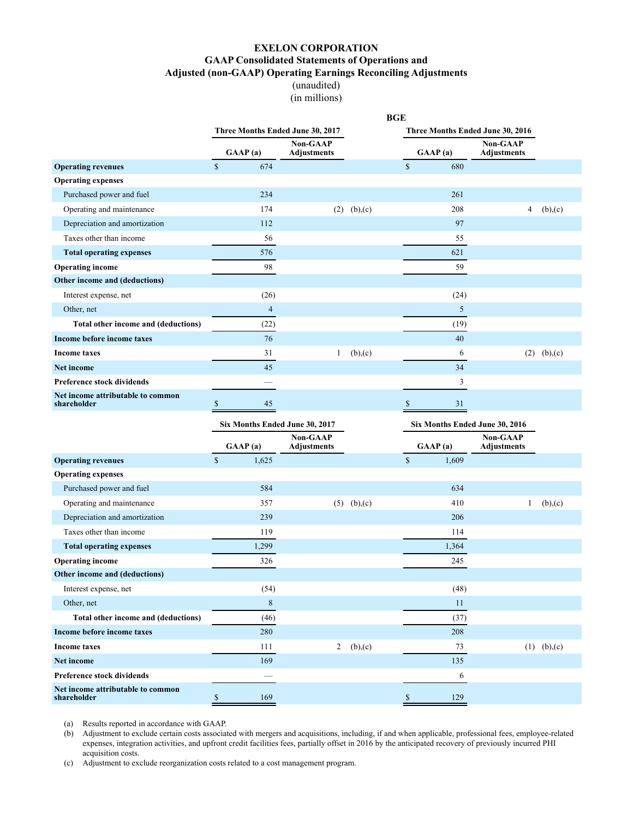(unaudited) (in millions)

<span id="page-21-0"></span>

|                                                  |                                  |                                |               | <b>BGE</b>   |                |                                  |               |
|--------------------------------------------------|----------------------------------|--------------------------------|---------------|--------------|----------------|----------------------------------|---------------|
|                                                  | Three Months Ended June 30, 2017 |                                |               |              |                | Three Months Ended June 30, 2016 |               |
|                                                  | GAAP(a)                          | Non-GAAP<br><b>Adjustments</b> |               |              | GAAP(a)        | Non-GAAP<br><b>Adjustments</b>   |               |
| <b>Operating revenues</b>                        | $\sqrt{\ }$<br>674               |                                |               | $\mathbb{S}$ | 680            |                                  |               |
| <b>Operating expenses</b>                        |                                  |                                |               |              |                |                                  |               |
| Purchased power and fuel                         | 234                              |                                |               |              | 261            |                                  |               |
| Operating and maintenance                        | 174                              | (2)                            | (b),(c)       |              | 208            | 4                                | (b),(c)       |
| Depreciation and amortization                    | 112                              |                                |               |              | 97             |                                  |               |
| Taxes other than income                          | 56                               |                                |               |              | 55             |                                  |               |
| <b>Total operating expenses</b>                  | 576                              |                                |               |              | 621            |                                  |               |
| <b>Operating income</b>                          | 98                               |                                |               |              | 59             |                                  |               |
| Other income and (deductions)                    |                                  |                                |               |              |                |                                  |               |
| Interest expense, net                            | (26)                             |                                |               |              | (24)           |                                  |               |
| Other, net                                       | $\overline{4}$                   |                                |               |              | 5              |                                  |               |
| Total other income and (deductions)              | (22)                             |                                |               |              | (19)           |                                  |               |
| Income before income taxes                       | 76                               |                                |               |              | 40             |                                  |               |
| <b>Income taxes</b>                              | 31                               | $\mathbf{1}$                   | (b),(c)       |              | 6              |                                  | $(2)$ (b),(c) |
| <b>Net income</b>                                | 45                               |                                |               |              | 34             |                                  |               |
| Preference stock dividends                       |                                  |                                |               |              | $\mathfrak{Z}$ |                                  |               |
| Net income attributable to common<br>shareholder | \$<br>45                         |                                |               | \$           | 31             |                                  |               |
|                                                  |                                  |                                |               |              |                |                                  |               |
|                                                  | Six Months Ended June 30, 2017   |                                |               |              |                | Six Months Ended June 30, 2016   |               |
|                                                  | GAAP(a)                          | Non-GAAP<br>Adjustments        |               |              | GAAP(a)        | Non-GAAP<br>Adjustments          |               |
| <b>Operating revenues</b>                        | $\mathbb S$<br>1,625             |                                |               | $\mathbb S$  | 1,609          |                                  |               |
| <b>Operating expenses</b>                        |                                  |                                |               |              |                |                                  |               |
| Purchased power and fuel                         | 584                              |                                |               |              | 634            |                                  |               |
| Operating and maintenance                        | 357                              |                                | $(5)$ (b),(c) |              | 410            | 1                                | (b),(c)       |
| Depreciation and amortization                    | 239                              |                                |               |              | 206            |                                  |               |
| Taxes other than income                          | 119                              |                                |               |              | 114            |                                  |               |
| <b>Total operating expenses</b>                  | 1,299                            |                                |               |              | 1,364          |                                  |               |
| <b>Operating income</b>                          | 326                              |                                |               |              | 245            |                                  |               |
| Other income and (deductions)                    |                                  |                                |               |              |                |                                  |               |
| Interest expense, net                            | (54)                             |                                |               |              | (48)           |                                  |               |
| Other, net                                       | $\,8\,$                          |                                |               |              | 11             |                                  |               |
| Total other income and (deductions)              | (46)                             |                                |               |              | (37)           |                                  |               |
| Income before income taxes                       | 280                              |                                |               |              | 208            |                                  |               |
| Income taxes                                     | 111                              | $\overline{2}$                 | (b),(c)       |              | 73             |                                  | $(1)$ (b),(c) |
| Net income                                       | 169                              |                                |               |              | 135            |                                  |               |
| Preference stock dividends                       |                                  |                                |               |              | 6              |                                  |               |

(a) Results reported in accordance with GAAP.

(b) Adjustment to exclude certain costs associated with mergers and acquisitions, including, if and when applicable, professional fees, employee-related expenses, integration activities, and upfront credit facilities fees, partially offset in 2016 by the anticipated recovery of previously incurred PHI acquisition costs.

(c) Adjustment to exclude reorganization costs related to a cost management program.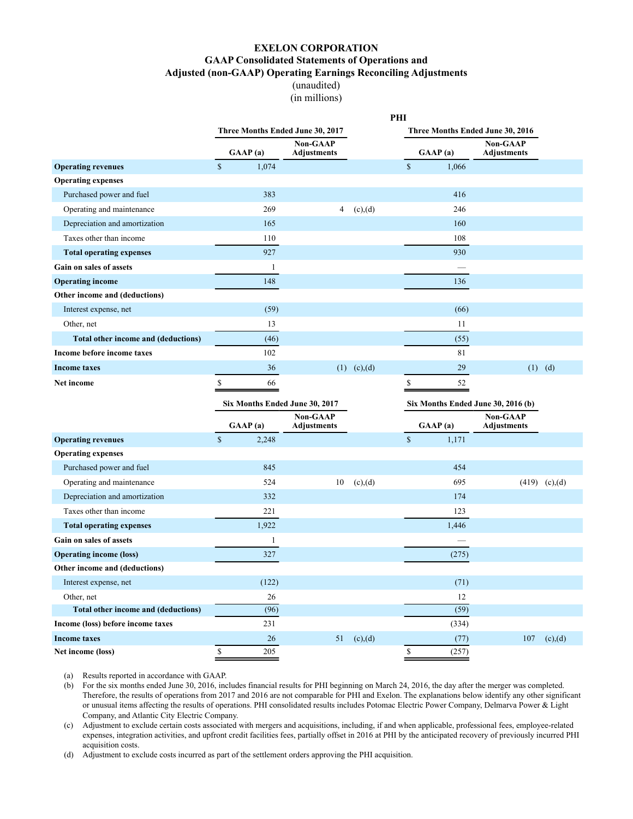(unaudited) (in millions)

<span id="page-22-0"></span>

|                                            |              |              |                                  |                     | PHI           |         |                                    |                 |
|--------------------------------------------|--------------|--------------|----------------------------------|---------------------|---------------|---------|------------------------------------|-----------------|
|                                            |              |              | Three Months Ended June 30, 2017 |                     |               |         | Three Months Ended June 30, 2016   |                 |
|                                            |              | GAAP(a)      | Non-GAAP<br><b>Adjustments</b>   |                     |               | GAAP(a) | Non-GAAP<br><b>Adjustments</b>     |                 |
| <b>Operating revenues</b>                  | $\mathbb S$  | 1,074        |                                  |                     | $\mathbb{S}$  | 1,066   |                                    |                 |
| <b>Operating expenses</b>                  |              |              |                                  |                     |               |         |                                    |                 |
| Purchased power and fuel                   |              | 383          |                                  |                     |               | 416     |                                    |                 |
| Operating and maintenance                  |              | 269          | 4                                | (c),(d)             |               | 246     |                                    |                 |
| Depreciation and amortization              |              | 165          |                                  |                     |               | 160     |                                    |                 |
| Taxes other than income                    |              | 110          |                                  |                     |               | 108     |                                    |                 |
| <b>Total operating expenses</b>            |              | 927          |                                  |                     |               | 930     |                                    |                 |
| Gain on sales of assets                    |              | $\mathbf{1}$ |                                  |                     |               |         |                                    |                 |
| <b>Operating income</b>                    |              | 148          |                                  |                     |               | 136     |                                    |                 |
| Other income and (deductions)              |              |              |                                  |                     |               |         |                                    |                 |
| Interest expense, net                      |              | (59)         |                                  |                     |               | (66)    |                                    |                 |
| Other, net                                 |              | 13           |                                  |                     |               | 11      |                                    |                 |
| Total other income and (deductions)        |              | (46)         |                                  |                     |               | (55)    |                                    |                 |
| Income before income taxes                 |              | 102          |                                  |                     |               | 81      |                                    |                 |
| Income taxes                               |              | 36           |                                  | $(1)$ $(c)$ , $(d)$ |               | 29      |                                    | $(1)$ $(d)$     |
| Net income                                 | \$           | 66           |                                  |                     | \$            | 52      |                                    |                 |
|                                            |              |              | Six Months Ended June 30, 2017   |                     |               |         | Six Months Ended June 30, 2016 (b) |                 |
|                                            |              | GAAP(a)      | Non-GAAP<br><b>Adjustments</b>   |                     |               | GAAP(a) | Non-GAAP<br>Adjustments            |                 |
| <b>Operating revenues</b>                  | $\mathbb S$  | 2,248        |                                  |                     | $\mathsf{\$}$ | 1,171   |                                    |                 |
| <b>Operating expenses</b>                  |              |              |                                  |                     |               |         |                                    |                 |
| Purchased power and fuel                   |              | 845          |                                  |                     |               | 454     |                                    |                 |
| Operating and maintenance                  |              | 524          | 10                               | (c),(d)             |               | 695     |                                    | $(419)$ (c),(d) |
| Depreciation and amortization              |              | 332          |                                  |                     |               | 174     |                                    |                 |
| Taxes other than income                    |              | 221          |                                  |                     |               | 123     |                                    |                 |
| <b>Total operating expenses</b>            |              | 1,922        |                                  |                     |               | 1,446   |                                    |                 |
| Gain on sales of assets                    |              | $\mathbf{1}$ |                                  |                     |               |         |                                    |                 |
| <b>Operating income (loss)</b>             |              | 327          |                                  |                     |               | (275)   |                                    |                 |
| Other income and (deductions)              |              |              |                                  |                     |               |         |                                    |                 |
| Interest expense, net                      |              | (122)        |                                  |                     |               | (71)    |                                    |                 |
| Other, net                                 |              | 26           |                                  |                     |               | 12      |                                    |                 |
| <b>Total other income and (deductions)</b> |              | (96)         |                                  |                     |               | (59)    |                                    |                 |
| Income (loss) before income taxes          |              | 231          |                                  |                     |               | (334)   |                                    |                 |
| <b>Income taxes</b>                        |              | 26           | 51                               | (c),(d)             |               | (77)    | 107                                | (c),(d)         |
| Net income (loss)                          | $\mathbb{S}$ | 205          |                                  |                     | $\mathbb{S}$  | (257)   |                                    |                 |

(a) Results reported in accordance with GAAP.

(b) For the six months ended June 30, 2016, includes financial results for PHI beginning on March 24, 2016, the day after the merger was completed. Therefore, the results of operations from 2017 and 2016 are not comparable for PHI and Exelon. The explanations below identify any other significant or unusual items affecting the results of operations. PHI consolidated results includes Potomac Electric Power Company, Delmarva Power & Light Company, and Atlantic City Electric Company.

(c) Adjustment to exclude certain costs associated with mergers and acquisitions, including, if and when applicable, professional fees, employee-related expenses, integration activities, and upfront credit facilities fees, partially offset in 2016 at PHI by the anticipated recovery of previously incurred PHI acquisition costs.

(d) Adjustment to exclude costs incurred as part of the settlement orders approving the PHI acquisition.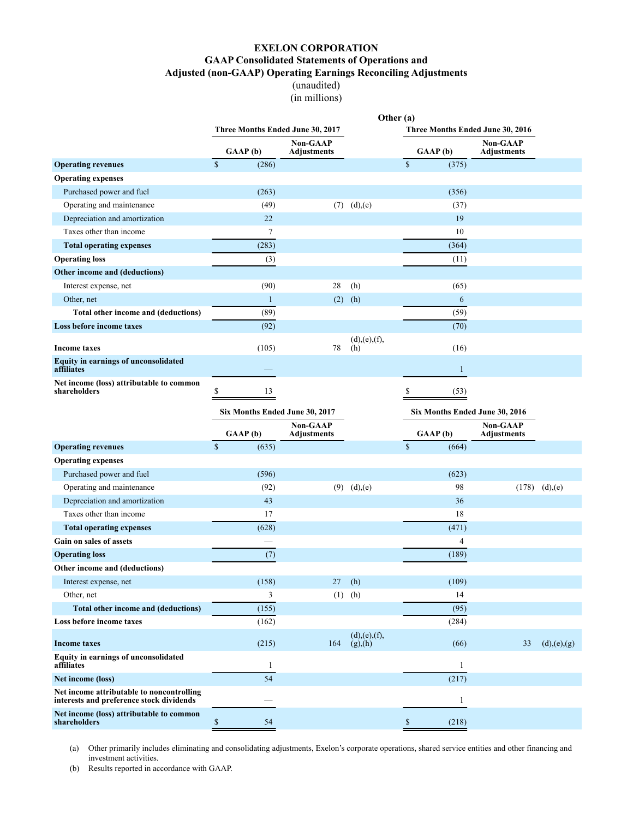(unaudited) (in millions)

<span id="page-23-0"></span>

|                                                                                       |                                   |                                |                         | Other (a)               |              |                                  |                 |
|---------------------------------------------------------------------------------------|-----------------------------------|--------------------------------|-------------------------|-------------------------|--------------|----------------------------------|-----------------|
|                                                                                       | Three Months Ended June 30, 2017  |                                |                         |                         |              | Three Months Ended June 30, 2016 |                 |
|                                                                                       | GAAP(b)                           | Non-GAAP<br><b>Adjustments</b> |                         | GAAP(b)                 |              | Non-GAAP<br><b>Adjustments</b>   |                 |
| <b>Operating revenues</b>                                                             | $\mathbb S$<br>(286)              |                                |                         | $\mathbb S$             | (375)        |                                  |                 |
| <b>Operating expenses</b>                                                             |                                   |                                |                         |                         |              |                                  |                 |
| Purchased power and fuel                                                              | (263)                             |                                |                         |                         | (356)        |                                  |                 |
| Operating and maintenance                                                             | (49)                              |                                | $(7)$ $(d),(e)$         |                         | (37)         |                                  |                 |
| Depreciation and amortization                                                         | 22                                |                                |                         |                         | 19           |                                  |                 |
| Taxes other than income                                                               | 7                                 |                                |                         |                         | 10           |                                  |                 |
| <b>Total operating expenses</b>                                                       | (283)                             |                                |                         |                         | (364)        |                                  |                 |
| <b>Operating loss</b>                                                                 | (3)                               |                                |                         |                         | (11)         |                                  |                 |
| Other income and (deductions)                                                         |                                   |                                |                         |                         |              |                                  |                 |
| Interest expense, net                                                                 | (90)                              | 28                             | (h)                     |                         | (65)         |                                  |                 |
| Other, net                                                                            | $\mathbf{1}$                      | (2)                            | (h)                     |                         | 6            |                                  |                 |
| Total other income and (deductions)                                                   | (89)                              |                                |                         |                         | (59)         |                                  |                 |
| Loss before income taxes                                                              | (92)                              |                                |                         |                         | (70)         |                                  |                 |
| <b>Income taxes</b>                                                                   | (105)                             | 78                             | (d),(e),(f),<br>(h)     |                         | (16)         |                                  |                 |
| <b>Equity in earnings of unconsolidated</b><br>affiliates                             |                                   |                                |                         |                         | $\mathbf{1}$ |                                  |                 |
| Net income (loss) attributable to common                                              |                                   |                                |                         |                         |              |                                  |                 |
| shareholders                                                                          | \$<br>13                          |                                |                         | \$                      | (53)         |                                  |                 |
|                                                                                       | Six Months Ended June 30, 2017    |                                |                         |                         |              | Six Months Ended June 30, 2016   |                 |
|                                                                                       |                                   |                                |                         |                         |              |                                  |                 |
|                                                                                       |                                   | Non-GAAP<br>Adjustments        |                         |                         |              | <b>Non-GAAP</b>                  |                 |
|                                                                                       | GAAP(b)<br>$\mathsf{\$}$<br>(635) |                                |                         | GAAP(b)<br>$\mathbb{S}$ | (664)        | Adjustments                      |                 |
| <b>Operating revenues</b><br><b>Operating expenses</b>                                |                                   |                                |                         |                         |              |                                  |                 |
| Purchased power and fuel                                                              | (596)                             |                                |                         |                         | (623)        |                                  |                 |
|                                                                                       | (92)                              |                                | $(9)$ $(d),(e)$         |                         | 98           |                                  | $(178)$ (d),(e) |
| Operating and maintenance<br>Depreciation and amortization                            | 43                                |                                |                         |                         | 36           |                                  |                 |
| Taxes other than income                                                               | 17                                |                                |                         |                         | 18           |                                  |                 |
| <b>Total operating expenses</b>                                                       | (628)                             |                                |                         |                         | (471)        |                                  |                 |
| Gain on sales of assets                                                               |                                   |                                |                         |                         | 4            |                                  |                 |
| <b>Operating loss</b>                                                                 | (7)                               |                                |                         |                         | (189)        |                                  |                 |
| Other income and (deductions)                                                         |                                   |                                |                         |                         |              |                                  |                 |
| Interest expense, net                                                                 | (158)                             | 27                             | (h)                     |                         | (109)        |                                  |                 |
| Other, net                                                                            | 3                                 | (1)                            | (h)                     |                         | 14           |                                  |                 |
| Total other income and (deductions)                                                   | (155)                             |                                |                         |                         | (95)         |                                  |                 |
| Loss before income taxes                                                              | (162)                             |                                |                         |                         | (284)        |                                  |                 |
| <b>Income taxes</b>                                                                   | (215)                             | 164                            | (d),(e),(f),<br>(g),(h) |                         | (66)         | 33                               | (d),(e),(g)     |
| Equity in earnings of unconsolidated<br>affiliates                                    | $\mathbf{1}$                      |                                |                         |                         | 1            |                                  |                 |
| Net income (loss)                                                                     | $\overline{54}$                   |                                |                         |                         | (217)        |                                  |                 |
| Net income attributable to noncontrolling<br>interests and preference stock dividends |                                   |                                |                         |                         | $\mathbf{1}$ |                                  |                 |

(a) Other primarily includes eliminating and consolidating adjustments, Exelon's corporate operations, shared service entities and other financing and investment activities.

(b) Results reported in accordance with GAAP.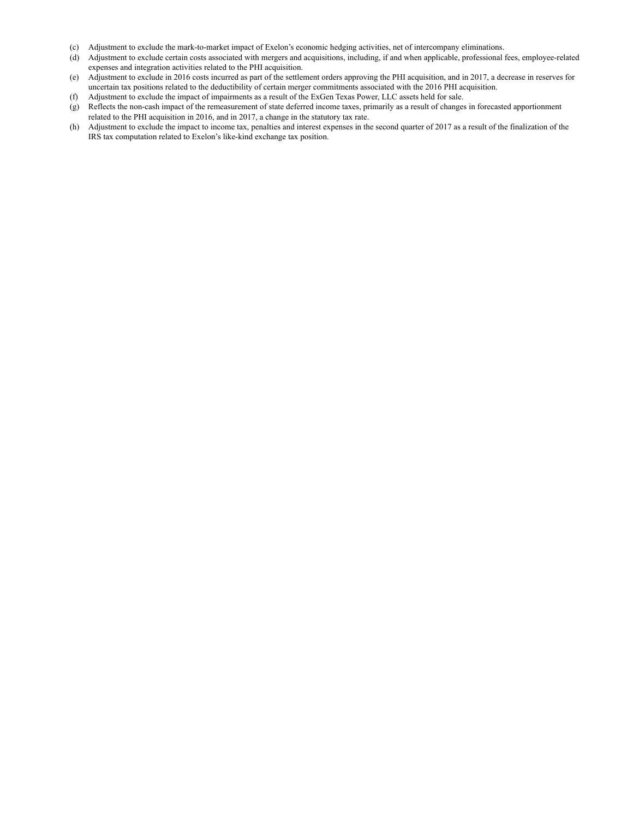- (c) Adjustment to exclude the mark-to-market impact of Exelon's economic hedging activities, net of intercompany eliminations.
- (d) Adjustment to exclude certain costs associated with mergers and acquisitions, including, if and when applicable, professional fees, employee-related expenses and integration activities related to the PHI acquisition.
- (e) Adjustment to exclude in 2016 costs incurred as part of the settlement orders approving the PHI acquisition, and in 2017, a decrease in reserves for uncertain tax positions related to the deductibility of certain merger commitments associated with the 2016 PHI acquisition.
- (f) Adjustment to exclude the impact of impairments as a result of the ExGen Texas Power, LLC assets held for sale.
- (g) Reflects the non-cash impact of the remeasurement of state deferred income taxes, primarily as a result of changes in forecasted apportionment related to the PHI acquisition in 2016, and in 2017, a change in the statutory tax rate.
- (h) Adjustment to exclude the impact to income tax, penalties and interest expenses in the second quarter of 2017 as a result of the finalization of the IRS tax computation related to Exelon's like-kind exchange tax position.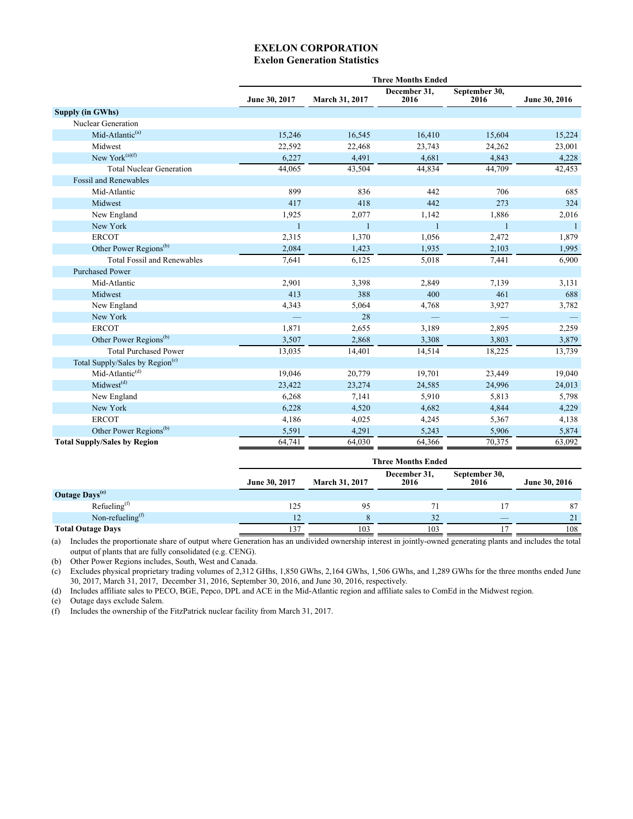## **EXELON CORPORATION Exelon Generation Statistics**

<span id="page-25-0"></span>

|                                             |               |                | <b>Three Months Ended</b>     |                       |               |
|---------------------------------------------|---------------|----------------|-------------------------------|-----------------------|---------------|
|                                             | June 30, 2017 | March 31, 2017 | December 31.<br>2016          | September 30,<br>2016 | June 30, 2016 |
| Supply (in GWhs)                            |               |                |                               |                       |               |
| Nuclear Generation                          |               |                |                               |                       |               |
| Mid-Atlantic <sup>(a)</sup>                 | 15,246        | 16,545         | 16,410                        | 15,604                | 15,224        |
| Midwest                                     | 22,592        | 22,468         | 23,743                        | 24,262                | 23,001        |
| New York <sup>(a)(f)</sup>                  | 6,227         | 4,491          | 4,681                         | 4,843                 | 4,228         |
| <b>Total Nuclear Generation</b>             | 44,065        | 43,504         | 44,834                        | 44,709                | 42,453        |
| <b>Fossil and Renewables</b>                |               |                |                               |                       |               |
| Mid-Atlantic                                | 899           | 836            | 442                           | 706                   | 685           |
| Midwest                                     | 417           | 418            | 442                           | 273                   | 324           |
| New England                                 | 1,925         | 2,077          | 1,142                         | 1,886                 | 2,016         |
| New York                                    | 1             | $\mathbf{1}$   | 1                             | $\mathbf{1}$          | 1             |
| <b>ERCOT</b>                                | 2,315         | 1,370          | 1,056                         | 2,472                 | 1,879         |
| Other Power Regions <sup>(b)</sup>          | 2,084         | 1,423          | 1,935                         | 2,103                 | 1,995         |
| <b>Total Fossil and Renewables</b>          | 7,641         | 6,125          | 5,018                         | 7,441                 | 6,900         |
| <b>Purchased Power</b>                      |               |                |                               |                       |               |
| Mid-Atlantic                                | 2,901         | 3,398          | 2,849                         | 7,139                 | 3,131         |
| Midwest                                     | 413           | 388            | 400                           | 461                   | 688           |
| New England                                 | 4,343         | 5,064          | 4,768                         | 3,927                 | 3,782         |
| New York                                    |               | 28             |                               |                       |               |
| <b>ERCOT</b>                                | 1,871         | 2,655          | 3,189                         | 2,895                 | 2,259         |
| Other Power Regions <sup>(b)</sup>          | 3,507         | 2,868          | 3,308                         | 3,803                 | 3,879         |
| <b>Total Purchased Power</b>                | 13,035        | 14,401         | 14,514                        | 18,225                | 13,739        |
| Total Supply/Sales by Region <sup>(c)</sup> |               |                |                               |                       |               |
| Mid-Atlantic <sup>(d)</sup>                 | 19,046        | 20,779         | 19,701                        | 23,449                | 19,040        |
| Midwest <sup>(d)</sup>                      | 23,422        | 23,274         | 24,585                        | 24,996                | 24,013        |
| New England                                 | 6,268         | 7,141          | 5,910                         | 5,813                 | 5,798         |
| New York                                    | 6,228         | 4,520          | 4,682                         | 4,844                 | 4,229         |
| <b>ERCOT</b>                                | 4,186         | 4,025          | 4,245                         | 5,367                 | 4,138         |
| Other Power Regions <sup>(b)</sup>          | 5,591         | 4,291          | 5,243                         | 5,906                 | 5,874         |
| <b>Total Supply/Sales by Region</b>         | 64,741        | 64,030         | 64,366                        | 70,375                | 63,092        |
|                                             |               |                | $\mathbf{r}$ and $\mathbf{r}$ |                       |               |

|                                           | <b>Three Months Ended</b> |                       |                      |                       |               |  |  |  |  |
|-------------------------------------------|---------------------------|-----------------------|----------------------|-----------------------|---------------|--|--|--|--|
|                                           | June 30, 2017             | <b>March 31, 2017</b> | December 31,<br>2016 | September 30,<br>2016 | June 30, 2016 |  |  |  |  |
| Outage Days <sup>(e)</sup>                |                           |                       |                      |                       |               |  |  |  |  |
| Refueling $(f)$                           | 125                       | 95                    |                      |                       | 87            |  |  |  |  |
| Non-refueling <sup><math>(1)</math></sup> |                           |                       | 32                   |                       | 21            |  |  |  |  |
| <b>Total Outage Days</b>                  | 137                       | 103                   | 103                  |                       | 108           |  |  |  |  |

(a) Includes the proportionate share of output where Generation has an undivided ownership interest in jointly-owned generating plants and includes the total output of plants that are fully consolidated (e.g. CENG).

(b) Other Power Regions includes, South, West and Canada.

(c) Excludes physical proprietary trading volumes of 2,312 GHhs, 1,850 GWhs, 2,164 GWhs, 1,506 GWhs, and 1,289 GWhs for the three months ended June 30, 2017, March 31, 2017, December 31, 2016, September 30, 2016, and June 30, 2016, respectively.

(d) Includes affiliate sales to PECO, BGE, Pepco, DPL and ACE in the Mid-Atlantic region and affiliate sales to ComEd in the Midwest region.

(e) Outage days exclude Salem.

(f) Includes the ownership of the FitzPatrick nuclear facility from March 31, 2017.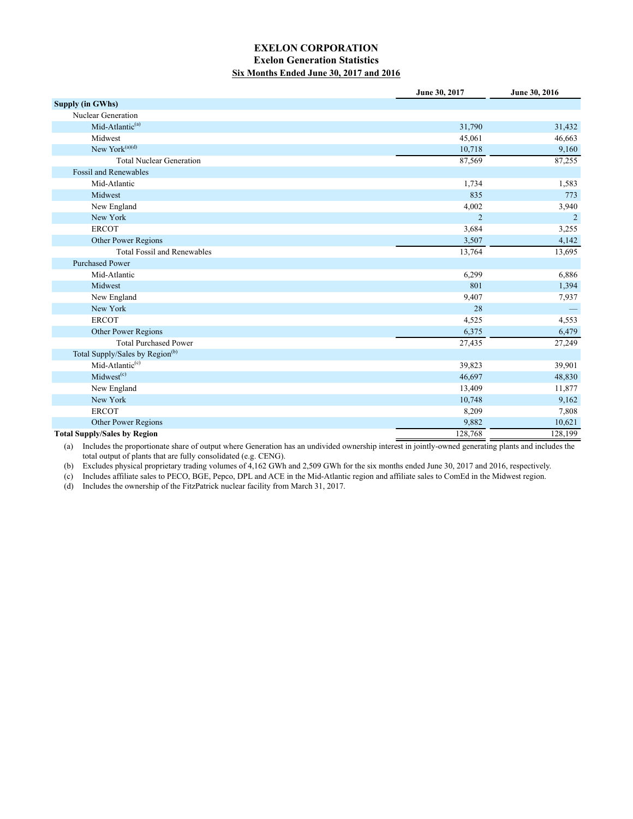## **EXELON CORPORATION Exelon Generation Statistics Six Months Ended June 30, 2017 and 2016**

<span id="page-26-0"></span>

|                                             | June 30, 2017  | June 30, 2016  |
|---------------------------------------------|----------------|----------------|
| <b>Supply (in GWhs)</b>                     |                |                |
| Nuclear Generation                          |                |                |
| Mid-Atlantic <sup>(a)</sup>                 | 31,790         | 31,432         |
| Midwest                                     | 45,061         | 46,663         |
| New York $(a)(d)$                           | 10,718         | 9,160          |
| <b>Total Nuclear Generation</b>             | 87,569         | 87,255         |
| <b>Fossil and Renewables</b>                |                |                |
| Mid-Atlantic                                | 1,734          | 1,583          |
| Midwest                                     | 835            | 773            |
| New England                                 | 4,002          | 3,940          |
| New York                                    | $\overline{2}$ | $\overline{2}$ |
| <b>ERCOT</b>                                | 3,684          | 3,255          |
| Other Power Regions                         | 3,507          | 4,142          |
| <b>Total Fossil and Renewables</b>          | 13,764         | 13,695         |
| <b>Purchased Power</b>                      |                |                |
| Mid-Atlantic                                | 6,299          | 6,886          |
| Midwest                                     | 801            | 1,394          |
| New England                                 | 9,407          | 7,937          |
| New York                                    | 28             |                |
| <b>ERCOT</b>                                | 4,525          | 4,553          |
| Other Power Regions                         | 6,375          | 6,479          |
| <b>Total Purchased Power</b>                | 27,435         | 27,249         |
| Total Supply/Sales by Region <sup>(b)</sup> |                |                |
| Mid-Atlantic <sup>(c)</sup>                 | 39,823         | 39,901         |
| Midwest <sup>(c)</sup>                      | 46,697         | 48,830         |
| New England                                 | 13,409         | 11,877         |
| New York                                    | 10,748         | 9,162          |
| <b>ERCOT</b>                                | 8,209          | 7,808          |
| Other Power Regions                         | 9,882          | 10,621         |
| <b>Total Supply/Sales by Region</b>         | 128,768        | 128,199        |

(a) Includes the proportionate share of output where Generation has an undivided ownership interest in jointly-owned generating plants and includes the total output of plants that are fully consolidated (e.g. CENG).

(b) Excludes physical proprietary trading volumes of 4,162 GWh and 2,509 GWh for the six months ended June 30, 2017 and 2016, respectively.

(c) Includes affiliate sales to PECO, BGE, Pepco, DPL and ACE in the Mid-Atlantic region and affiliate sales to ComEd in the Midwest region.

(d) Includes the ownership of the FitzPatrick nuclear facility from March 31, 2017.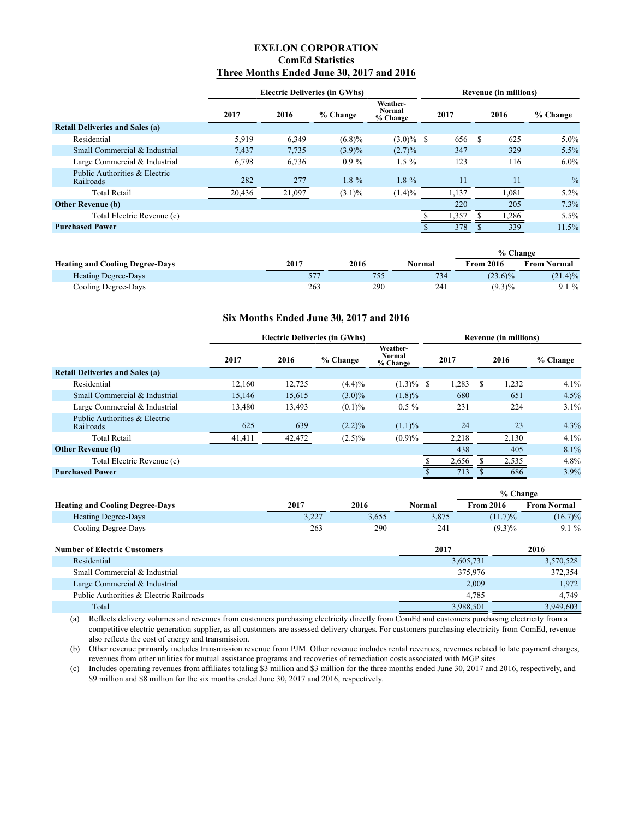### **EXELON CORPORATION ComEd Statistics Three Months Ended June 30, 2017 and 2016**

<span id="page-27-0"></span>

|                                            | <b>Electric Deliveries (in GWhs)</b> |        |           |                                |  |       | <b>Revenue (in millions)</b> |       |          |  |
|--------------------------------------------|--------------------------------------|--------|-----------|--------------------------------|--|-------|------------------------------|-------|----------|--|
|                                            | 2017                                 | 2016   | % Change  | Weather-<br>Normal<br>% Change |  | 2017  |                              | 2016  | % Change |  |
| <b>Retail Deliveries and Sales (a)</b>     |                                      |        |           |                                |  |       |                              |       |          |  |
| Residential                                | 5,919                                | 6,349  | $(6.8)\%$ | $(3.0)\%$ \$                   |  | 656   | -S                           | 625   | $5.0\%$  |  |
| Small Commercial & Industrial              | 7.437                                | 7,735  | (3.9)%    | $(2.7)\%$                      |  | 347   |                              | 329   | 5.5%     |  |
| Large Commercial & Industrial              | 6,798                                | 6,736  | $0.9\%$   | $1.5\%$                        |  | 123   |                              | 116   | $6.0\%$  |  |
| Public Authorities & Electric<br>Railroads | 282                                  | 277    | $1.8 \%$  | $1.8 \%$                       |  | 11    |                              | 11    | $-$ %    |  |
| <b>Total Retail</b>                        | 20,436                               | 21,097 | $(3.1)\%$ | $(1.4)\%$                      |  | 1,137 |                              | 1,081 | $5.2\%$  |  |
| <b>Other Revenue (b)</b>                   |                                      |        |           |                                |  | 220   |                              | 205   | 7.3%     |  |
| Total Electric Revenue (c)                 |                                      |        |           |                                |  | .357  |                              | 1,286 | 5.5%     |  |
| <b>Purchased Power</b>                     |                                      |        |           |                                |  | 378   |                              | 339   | 11.5%    |  |
|                                            |                                      |        |           |                                |  |       |                              |       |          |  |

|                                        |      |      |        | % Change         |                    |
|----------------------------------------|------|------|--------|------------------|--------------------|
| <b>Heating and Cooling Degree-Days</b> | 2017 | 2016 | Normal | <b>From 2016</b> | <b>From Normal</b> |
| Heating Degree-Days                    |      | 755  | 734    | $(23.6)\%$       | $(21.4)\%$         |
| Cooling Degree-Days                    | 263  | 290  | 241    | $(9.3)\%$        | $9.1\%$            |

#### **Six Months Ended June 30, 2017 and 2016**

|                                            | <b>Electric Deliveries (in GWhs)</b> |        |           |                                |    |       | <b>Revenue (in millions)</b> |       |          |  |
|--------------------------------------------|--------------------------------------|--------|-----------|--------------------------------|----|-------|------------------------------|-------|----------|--|
|                                            | 2017                                 | 2016   | % Change  | Weather-<br>Normal<br>% Change |    | 2017  |                              | 2016  | % Change |  |
| <b>Retail Deliveries and Sales (a)</b>     |                                      |        |           |                                |    |       |                              |       |          |  |
| Residential                                | 12.160                               | 12.725 | (4.4)%    | $(1.3)\%$                      | -S | 1,283 | -S                           | 1,232 | 4.1%     |  |
| Small Commercial & Industrial              | 15.146                               | 15.615 | $(3.0)\%$ | $(1.8)\%$                      |    | 680   |                              | 651   | 4.5%     |  |
| Large Commercial & Industrial              | 13,480                               | 13,493 | (0.1)%    | $0.5 \%$                       |    | 231   |                              | 224   | 3.1%     |  |
| Public Authorities & Electric<br>Railroads | 625                                  | 639    | $(2.2)\%$ | $(1.1)\%$                      |    | 24    |                              | 23    | 4.3%     |  |
| <b>Total Retail</b>                        | 41,411                               | 42,472 | $(2.5)\%$ | (0.9)%                         |    | 2,218 |                              | 2,130 | 4.1%     |  |
| <b>Other Revenue (b)</b>                   |                                      |        |           |                                |    | 438   |                              | 405   | 8.1%     |  |
| Total Electric Revenue (c)                 |                                      |        |           |                                |    | 2,656 |                              | 2,535 | 4.8%     |  |
| <b>Purchased Power</b>                     |                                      |        |           |                                |    | 713   |                              | 686   | 3.9%     |  |
|                                            |                                      |        |           |                                |    |       |                              |       |          |  |

|                                        |       |       |        | % Change         |                    |
|----------------------------------------|-------|-------|--------|------------------|--------------------|
| <b>Heating and Cooling Degree-Days</b> | 2017  | 2016  | Normal | <b>From 2016</b> | <b>From Normal</b> |
| <b>Heating Degree-Days</b>             | 3,227 | 3.655 | 3.875  | $(11.7)\%$       | $(16.7)\%$         |
| Cooling Degree-Days                    | 263   | 290   | 241    | $(9.3)\%$        | 9.1%               |

| Number of Electric Customers            | 2017      | 2016      |
|-----------------------------------------|-----------|-----------|
| Residential                             | 3,605,731 | 3,570,528 |
| Small Commercial & Industrial           | 375,976   | 372,354   |
| Large Commercial & Industrial           | 2,009     | 1.972     |
| Public Authorities & Electric Railroads | 4.785     | 4.749     |
| Total                                   | 3,988,501 | 3,949,603 |

(a) Reflects delivery volumes and revenues from customers purchasing electricity directly from ComEd and customers purchasing electricity from a competitive electric generation supplier, as all customers are assessed delivery charges. For customers purchasing electricity from ComEd, revenue also reflects the cost of energy and transmission.

(b) Other revenue primarily includes transmission revenue from PJM. Other revenue includes rental revenues, revenues related to late payment charges, revenues from other utilities for mutual assistance programs and recoveries of remediation costs associated with MGP sites.

(c) Includes operating revenues from affiliates totaling \$3 million and \$3 million for the three months ended June 30, 2017 and 2016, respectively, and \$9 million and \$8 million for the six months ended June 30, 2017 and 2016, respectively.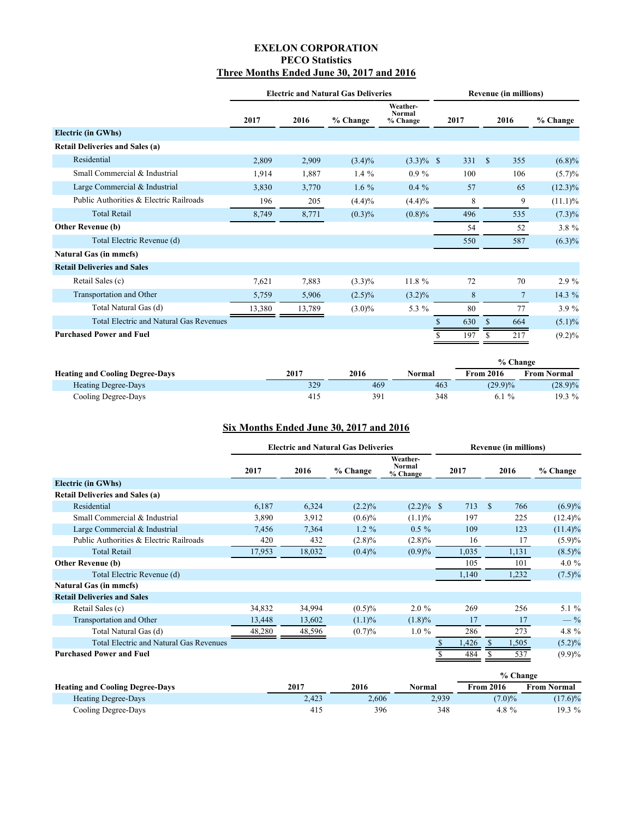## **EXELON CORPORATION PECO Statistics Three Months Ended June 30, 2017 and 2016**

<span id="page-28-0"></span>

|                                                | <b>Electric and Natural Gas Deliveries</b> |        |           |                                       |      |              | <b>Revenue (in millions)</b> |            |
|------------------------------------------------|--------------------------------------------|--------|-----------|---------------------------------------|------|--------------|------------------------------|------------|
|                                                | 2017                                       | 2016   | % Change  | Weather-<br><b>Normal</b><br>% Change | 2017 |              | 2016                         | % Change   |
| <b>Electric (in GWhs)</b>                      |                                            |        |           |                                       |      |              |                              |            |
| <b>Retail Deliveries and Sales (a)</b>         |                                            |        |           |                                       |      |              |                              |            |
| Residential                                    | 2,809                                      | 2,909  | $(3.4)\%$ | $(3.3)\%$ \$                          | 331  | <sup>S</sup> | 355                          | (6.8)%     |
| Small Commercial & Industrial                  | 1,914                                      | 1,887  | $1.4\%$   | $0.9\%$                               | 100  |              | 106                          | $(5.7)\%$  |
| Large Commercial & Industrial                  | 3,830                                      | 3,770  | 1.6 $%$   | $0.4\%$                               | 57   |              | 65                           | $(12.3)\%$ |
| Public Authorities & Electric Railroads        | 196                                        | 205    | (4.4)%    | (4.4)%                                | 8    |              | 9                            | $(11.1)\%$ |
| <b>Total Retail</b>                            | 8,749                                      | 8,771  | (0.3)%    | $(0.8)\%$                             | 496  |              | 535                          | $(7.3)\%$  |
| <b>Other Revenue (b)</b>                       |                                            |        |           |                                       | 54   |              | 52                           | $3.8 \%$   |
| Total Electric Revenue (d)                     |                                            |        |           |                                       | 550  |              | 587                          | $(6.3)\%$  |
| <b>Natural Gas (in mmcfs)</b>                  |                                            |        |           |                                       |      |              |                              |            |
| <b>Retail Deliveries and Sales</b>             |                                            |        |           |                                       |      |              |                              |            |
| Retail Sales (c)                               | 7,621                                      | 7,883  | $(3.3)\%$ | 11.8 %                                | 72   |              | 70                           | $2.9\%$    |
| Transportation and Other                       | 5,759                                      | 5,906  | $(2.5)\%$ | $(3.2)\%$                             | 8    |              | $\overline{7}$               | 14.3 %     |
| Total Natural Gas (d)                          | 13,380                                     | 13,789 | $(3.0)\%$ | 5.3 $%$                               | 80   |              | 77                           | 3.9%       |
| <b>Total Electric and Natural Gas Revenues</b> |                                            |        |           |                                       | 630  | \$           | 664                          | $(5.1)\%$  |
| <b>Purchased Power and Fuel</b>                |                                            |        |           |                                       | 197  |              | 217                          | $(9.2)\%$  |

|                                        |      |      |        | % Change         |             |
|----------------------------------------|------|------|--------|------------------|-------------|
| <b>Heating and Cooling Degree-Days</b> | 2017 | 2016 | Normal | <b>From 2016</b> | From Normal |
| <b>Heating Degree-Days</b>             | 329  | 469  | 463    | $(29.9)\%$       | $(28.9)\%$  |
| Cooling Degree-Days                    | 415  | 391  | 348    | $6.1\%$          | 19.3 %      |

## **Six Months Ended June 30, 2017 and 2016**

|                                                | <b>Electric and Natural Gas Deliveries</b> |        |           |                                |       | <b>Revenue (in millions)</b> |            |  |  |
|------------------------------------------------|--------------------------------------------|--------|-----------|--------------------------------|-------|------------------------------|------------|--|--|
|                                                | 2017                                       | 2016   | % Change  | Weather-<br>Normal<br>% Change | 2017  | 2016                         | % Change   |  |  |
| <b>Electric (in GWhs)</b>                      |                                            |        |           |                                |       |                              |            |  |  |
| <b>Retail Deliveries and Sales (a)</b>         |                                            |        |           |                                |       |                              |            |  |  |
| Residential                                    | 6,187                                      | 6,324  | (2.2)%    | $(2.2)\%$ \$                   | 713   | -S<br>766                    | $(6.9)\%$  |  |  |
| Small Commercial & Industrial                  | 3,890                                      | 3,912  | $(0.6)\%$ | $(1.1)\%$                      | 197   | 225                          | $(12.4)\%$ |  |  |
| Large Commercial & Industrial                  | 7,456                                      | 7,364  | $1.2 \%$  | $0.5 \%$                       | 109   | 123                          | $(11.4)\%$ |  |  |
| Public Authorities & Electric Railroads        | 420                                        | 432    | $(2.8)\%$ | $(2.8)\%$                      | 16    | 17                           | (5.9)%     |  |  |
| <b>Total Retail</b>                            | 17,953                                     | 18,032 | $(0.4)\%$ | (0.9)%                         | 1,035 | 1,131                        | $(8.5)\%$  |  |  |
| <b>Other Revenue (b)</b>                       |                                            |        |           |                                | 105   | 101                          | 4.0 $%$    |  |  |
| Total Electric Revenue (d)                     |                                            |        |           |                                | 1,140 | 1,232                        | $(7.5)\%$  |  |  |
| <b>Natural Gas (in mmcfs)</b>                  |                                            |        |           |                                |       |                              |            |  |  |
| <b>Retail Deliveries and Sales</b>             |                                            |        |           |                                |       |                              |            |  |  |
| Retail Sales (c)                               | 34,832                                     | 34,994 | $(0.5)\%$ | $2.0 \%$                       | 269   | 256                          | 5.1%       |  |  |
| Transportation and Other                       | 13,448                                     | 13,602 | $(1.1)\%$ | (1.8)%                         | 17    | 17                           | $-$ %      |  |  |
| Total Natural Gas (d)                          | 48,280                                     | 48,596 | (0.7)%    | $1.0 \%$                       | 286   | 273                          | 4.8 %      |  |  |
| <b>Total Electric and Natural Gas Revenues</b> |                                            |        |           |                                | 1,426 | 1,505<br>S.                  | $(5.2)\%$  |  |  |
| <b>Purchased Power and Fuel</b>                |                                            |        |           |                                | 484   | 537                          | $(9.9)\%$  |  |  |

|                                        |       |       |        | % Change         |                    |
|----------------------------------------|-------|-------|--------|------------------|--------------------|
| <b>Heating and Cooling Degree-Days</b> | 2017  | 2016  | Normal | <b>From 2016</b> | <b>From Normal</b> |
| <b>Heating Degree-Days</b>             | 2.423 | 2.606 | 2.939  | $(7.0)\%$        | $(17.6)\%$         |
| Cooling Degree-Days                    | 415   | 396   | 348    | 4.8 $%$          | 19.3 %             |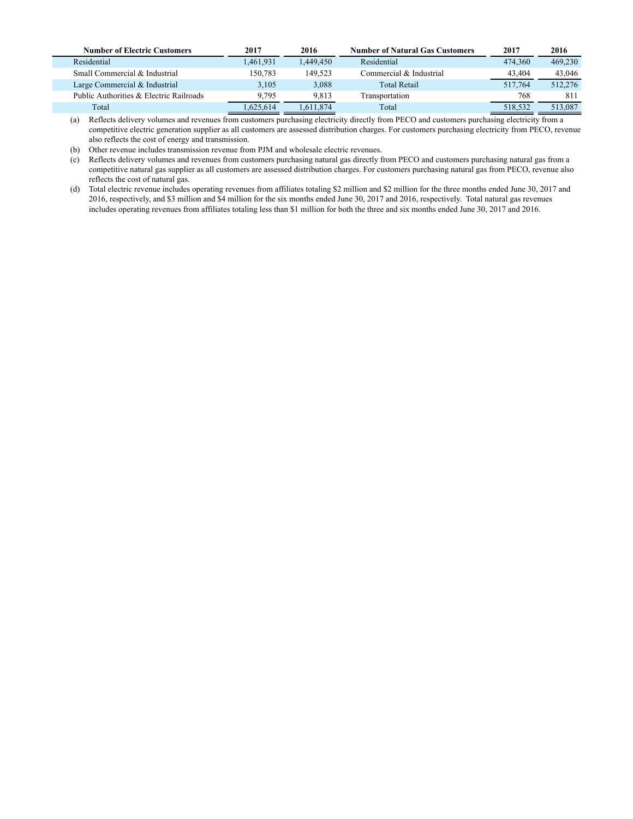| <b>Number of Electric Customers</b>     | 2017      | 2016      | <b>Number of Natural Gas Customers</b> | 2017    | 2016    |
|-----------------------------------------|-----------|-----------|----------------------------------------|---------|---------|
| Residential                             | 1.461.931 | 1.449.450 | Residential                            | 474,360 | 469,230 |
| Small Commercial & Industrial           | 150.783   | 149.523   | Commercial & Industrial                | 43.404  | 43,046  |
| Large Commercial & Industrial           | 3,105     | 3,088     | <b>Total Retail</b>                    | 517.764 | 512,276 |
| Public Authorities & Electric Railroads | 9.795     | 9,813     | Transportation                         | 768     | 81      |
| Total                                   | .625.614  | .611.874  | Total                                  | 518.532 | 513,087 |

(a) Reflects delivery volumes and revenues from customers purchasing electricity directly from PECO and customers purchasing electricity from a competitive electric generation supplier as all customers are assessed distribution charges. For customers purchasing electricity from PECO, revenue also reflects the cost of energy and transmission.

(b) Other revenue includes transmission revenue from PJM and wholesale electric revenues.

(c) Reflects delivery volumes and revenues from customers purchasing natural gas directly from PECO and customers purchasing natural gas from a competitive natural gas supplier as all customers are assessed distribution charges. For customers purchasing natural gas from PECO, revenue also reflects the cost of natural gas.

(d) Total electric revenue includes operating revenues from affiliates totaling \$2 million and \$2 million for the three months ended June 30, 2017 and 2016, respectively, and \$3 million and \$4 million for the six months ended June 30, 2017 and 2016, respectively. Total natural gas revenues includes operating revenues from affiliates totaling less than \$1 million for both the three and six months ended June 30, 2017 and 2016.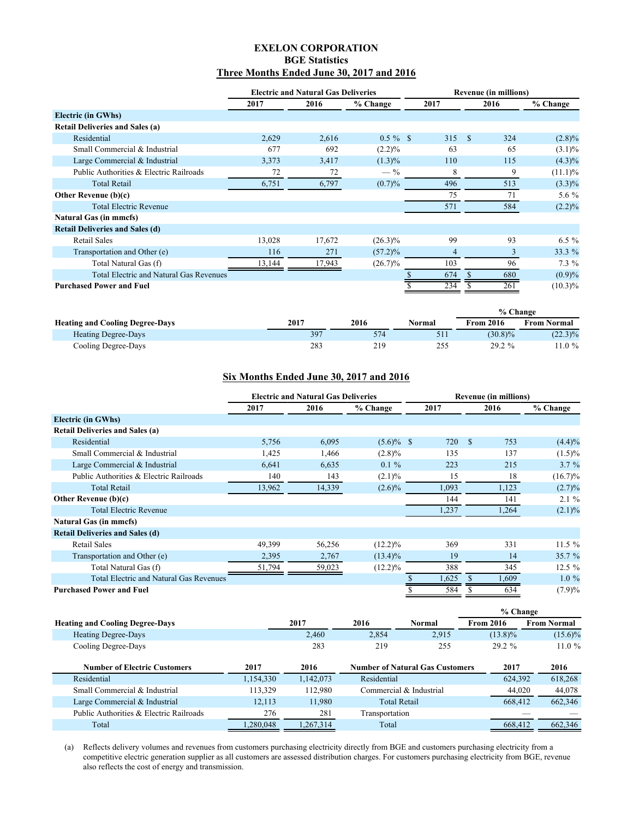## **EXELON CORPORATION BGE Statistics Three Months Ended June 30, 2017 and 2016**

<span id="page-30-0"></span>

|                                                | <b>Electric and Natural Gas Deliveries</b> |        |             |      | <b>Revenue (in millions)</b> |            |  |  |
|------------------------------------------------|--------------------------------------------|--------|-------------|------|------------------------------|------------|--|--|
|                                                | 2017                                       | 2016   | % Change    | 2017 | 2016                         | % Change   |  |  |
| <b>Electric (in GWhs)</b>                      |                                            |        |             |      |                              |            |  |  |
| <b>Retail Deliveries and Sales (a)</b>         |                                            |        |             |      |                              |            |  |  |
| Residential                                    | 2,629                                      | 2,616  | $0.5 \%$ \$ | 315  | 324<br>- \$                  | $(2.8)\%$  |  |  |
| Small Commercial & Industrial                  | 677                                        | 692    | (2.2)%      | 63   | 65                           | $(3.1)\%$  |  |  |
| Large Commercial & Industrial                  | 3,373                                      | 3,417  | $(1.3)\%$   | 110  | 115                          | $(4.3)\%$  |  |  |
| Public Authorities & Electric Railroads        | 72                                         | 72     | $-$ %       | 8    | 9                            | $(11.1)\%$ |  |  |
| <b>Total Retail</b>                            | 6,751                                      | 6,797  | (0.7)%      | 496  | 513                          | $(3.3)\%$  |  |  |
| <b>Other Revenue (b)(c)</b>                    |                                            |        |             | 75   | 71                           | 5.6 %      |  |  |
| <b>Total Electric Revenue</b>                  |                                            |        |             | 571  | 584                          | $(2.2)\%$  |  |  |
| <b>Natural Gas (in mmcfs)</b>                  |                                            |        |             |      |                              |            |  |  |
| <b>Retail Deliveries and Sales (d)</b>         |                                            |        |             |      |                              |            |  |  |
| Retail Sales                                   | 13,028                                     | 17,672 | $(26.3)\%$  | 99   | 93                           | $6.5 \%$   |  |  |
| Transportation and Other (e)                   | 116                                        | 271    | $(57.2)\%$  | 4    | 3                            | 33.3 %     |  |  |
| Total Natural Gas (f)                          | 13,144                                     | 17,943 | $(26.7)\%$  | 103  | 96                           | $7.3\%$    |  |  |
| <b>Total Electric and Natural Gas Revenues</b> |                                            |        |             | 674  | 680                          | $(0.9)\%$  |  |  |
| <b>Purchased Power and Fuel</b>                |                                            |        |             | 234  | 261                          | $(10.3)\%$ |  |  |

|                                        |      |      |        | % Change         |                    |
|----------------------------------------|------|------|--------|------------------|--------------------|
| <b>Heating and Cooling Degree-Days</b> | 2017 | 2016 | Normal | <b>From 2016</b> | <b>From Normal</b> |
| <b>Heating Degree-Days</b>             | 397  | 574  | 511    | $(30.8)\%$       | $(22.3)\%$         |
| Cooling Degree-Days                    | 283  | 219  | 255    | $29.2 \%$        | $1.0\%$            |

#### **Six Months Ended June 30, 2017 and 2016**

|                                                | <b>Electric and Natural Gas Deliveries</b> |        |              |       | <b>Revenue (in millions)</b> |            |  |  |
|------------------------------------------------|--------------------------------------------|--------|--------------|-------|------------------------------|------------|--|--|
|                                                | 2017                                       | 2016   | % Change     | 2017  | 2016                         | % Change   |  |  |
| <b>Electric (in GWhs)</b>                      |                                            |        |              |       |                              |            |  |  |
| <b>Retail Deliveries and Sales (a)</b>         |                                            |        |              |       |                              |            |  |  |
| Residential                                    | 5,756                                      | 6,095  | $(5.6)\%$ \$ | 720   | S<br>753                     | (4.4)%     |  |  |
| Small Commercial & Industrial                  | 1,425                                      | 1,466  | $(2.8)\%$    | 135   | 137                          | $(1.5)\%$  |  |  |
| Large Commercial & Industrial                  | 6,641                                      | 6,635  | $0.1 \%$     | 223   | 215                          | $3.7 \%$   |  |  |
| Public Authorities & Electric Railroads        | 140                                        | 143    | $(2.1)\%$    | 15    | 18                           | $(16.7)\%$ |  |  |
| <b>Total Retail</b>                            | 13,962                                     | 14,339 | $(2.6)\%$    | 1,093 | 1,123                        | (2.7)%     |  |  |
| Other Revenue $(b)(c)$                         |                                            |        |              | 144   | 141                          | $2.1 \%$   |  |  |
| <b>Total Electric Revenue</b>                  |                                            |        |              | 1,237 | 1,264                        | $(2.1)\%$  |  |  |
| <b>Natural Gas (in mmcfs)</b>                  |                                            |        |              |       |                              |            |  |  |
| <b>Retail Deliveries and Sales (d)</b>         |                                            |        |              |       |                              |            |  |  |
| Retail Sales                                   | 49,399                                     | 56,256 | $(12.2)\%$   | 369   | 331                          | 11.5%      |  |  |
| Transportation and Other (e)                   | 2,395                                      | 2,767  | $(13.4)\%$   | 19    | 14                           | 35.7 %     |  |  |
| Total Natural Gas (f)                          | 51,794                                     | 59,023 | $(12.2)\%$   | 388   | 345                          | $12.5\%$   |  |  |
| <b>Total Electric and Natural Gas Revenues</b> |                                            |        |              | 1,625 | 1,609                        | $1.0\%$    |  |  |
| <b>Purchased Power and Fuel</b>                |                                            |        |              | 584   | 634                          | (7.9)%     |  |  |
|                                                |                                            |        |              |       | % Change                     |            |  |  |

|           |           |       |        | 70 Спандс                                                                                |                                                                                   |
|-----------|-----------|-------|--------|------------------------------------------------------------------------------------------|-----------------------------------------------------------------------------------|
|           | 2017      | 2016  | Normal | <b>From 2016</b>                                                                         | <b>From Normal</b>                                                                |
|           | 2.460     | 2,854 | 2,915  | $(13.8)\%$                                                                               | $(15.6)\%$                                                                        |
|           | 283       | 219   | 255    | $29.2 \%$                                                                                | 11.0%                                                                             |
| 2017      | 2016      |       |        | 2017                                                                                     | 2016                                                                              |
| 1,154,330 | 1,142,073 |       |        |                                                                                          | 618,268                                                                           |
| 113,329   | 112.980   |       |        |                                                                                          | 44,078                                                                            |
| 12.113    | 11,980    |       |        |                                                                                          | 662,346                                                                           |
| 276       | 281       |       |        |                                                                                          |                                                                                   |
| ,280,048  | 1,267,314 |       |        |                                                                                          | 662,346                                                                           |
|           |           |       |        | Residential<br>Commercial & Industrial<br><b>Total Retail</b><br>Transportation<br>Total | <b>Number of Natural Gas Customers</b><br>624,392<br>44,020<br>668.412<br>668,412 |

(a) Reflects delivery volumes and revenues from customers purchasing electricity directly from BGE and customers purchasing electricity from a competitive electric generation supplier as all customers are assessed distribution charges. For customers purchasing electricity from BGE, revenue also reflects the cost of energy and transmission.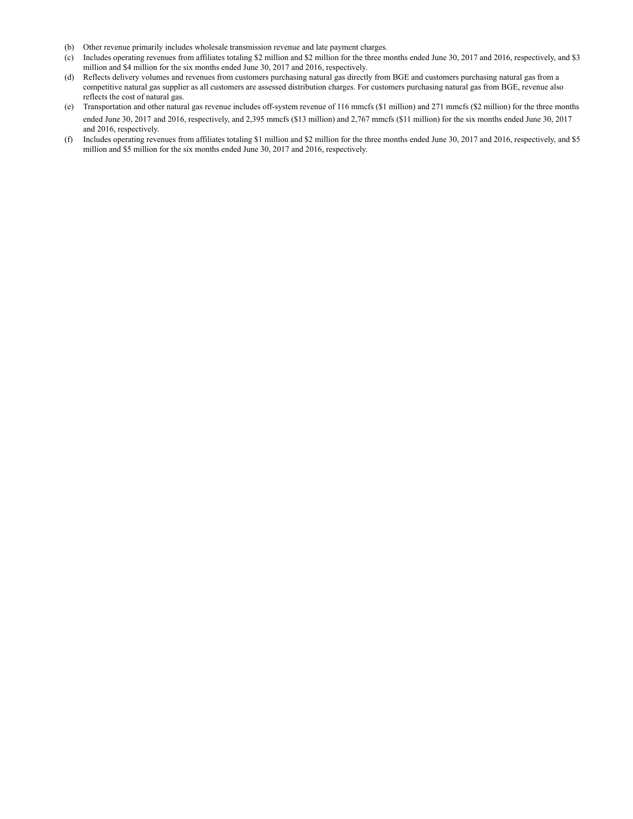- (b) Other revenue primarily includes wholesale transmission revenue and late payment charges.
- (c) Includes operating revenues from affiliates totaling \$2 million and \$2 million for the three months ended June 30, 2017 and 2016, respectively, and \$3 million and \$4 million for the six months ended June 30, 2017 and 2016, respectively.
- (d) Reflects delivery volumes and revenues from customers purchasing natural gas directly from BGE and customers purchasing natural gas from a competitive natural gas supplier as all customers are assessed distribution charges. For customers purchasing natural gas from BGE, revenue also reflects the cost of natural gas.
- (e) Transportation and other natural gas revenue includes off-system revenue of 116 mmcfs (\$1 million) and 271 mmcfs (\$2 million) for the three months ended June 30, 2017 and 2016, respectively, and 2,395 mmcfs (\$13 million) and 2,767 mmcfs (\$11 million) for the six months ended June 30, 2017 and 2016, respectively.
- (f) Includes operating revenues from affiliates totaling \$1 million and \$2 million for the three months ended June 30, 2017 and 2016, respectively, and \$5 million and \$5 million for the six months ended June 30, 2017 and 2016, respectively.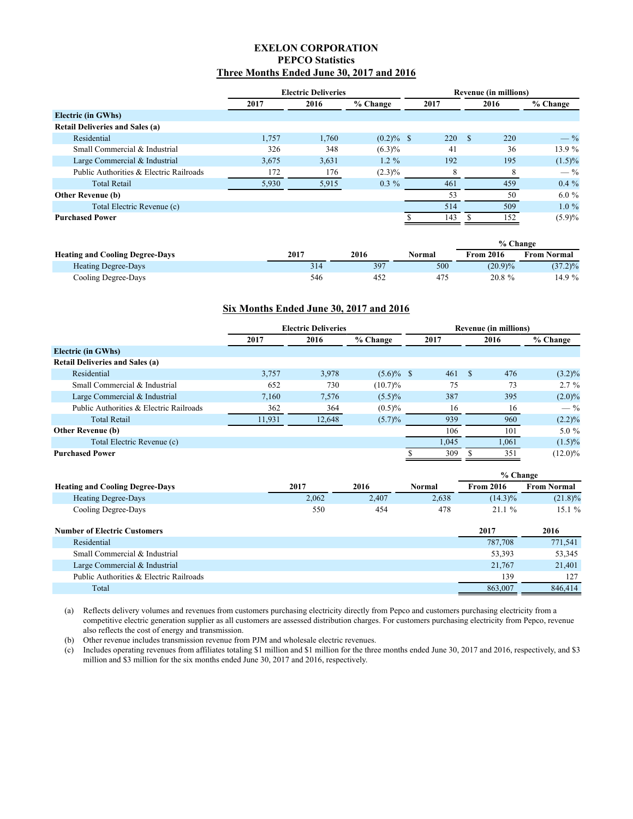## **EXELON CORPORATION PEPCO Statistics Three Months Ended June 30, 2017 and 2016**

<span id="page-32-0"></span>

|                                         | <b>Electric Deliveries</b> |       |              | <b>Revenue (in millions)</b> |            |      |      |           |
|-----------------------------------------|----------------------------|-------|--------------|------------------------------|------------|------|------|-----------|
|                                         | 2017                       | 2016  | % Change     |                              | 2017       |      | 2016 | % Change  |
| Electric (in GWhs)                      |                            |       |              |                              |            |      |      |           |
| <b>Retail Deliveries and Sales (a)</b>  |                            |       |              |                              |            |      |      |           |
| Residential                             | 1,757                      | 1,760 | $(0.2)\%$ \$ |                              | <b>220</b> | - \$ | 220  | $-$ %     |
| Small Commercial & Industrial           | 326                        | 348   | $(6.3)\%$    |                              | 41         |      | 36   | 13.9 %    |
| Large Commercial & Industrial           | 3,675                      | 3.631 | $1.2\%$      |                              | 192        |      | 195  | $(1.5)\%$ |
| Public Authorities & Electric Railroads | 172                        | 176   | $(2.3)\%$    |                              |            |      |      | $-$ %     |
| <b>Total Retail</b>                     | 5,930                      | 5,915 | $0.3\%$      |                              | 461        |      | 459  | $0.4\%$   |
| <b>Other Revenue (b)</b>                |                            |       |              |                              | 53         |      | 50   | $6.0\%$   |
| Total Electric Revenue (c)              |                            |       |              |                              | 514        |      | 509  | $1.0\%$   |
| <b>Purchased Power</b>                  |                            |       |              |                              | 143        |      | 152  | (5.9)%    |

|                                        |      |      |        | % Change         |                    |
|----------------------------------------|------|------|--------|------------------|--------------------|
| <b>Heating and Cooling Degree-Days</b> | 2017 | 2016 | Normal | <b>From 2016</b> | <b>From Normal</b> |
| <b>Heating Degree-Days</b>             | 314  | 397  | 500    | $(20.9)\%$       | $(37.2)\%$         |
| Cooling Degree-Days                    | 546  | 452  | 475    | $20.8 \%$        | $4.9\%$            |

#### **Six Months Ended June 30, 2017 and 2016**

|                                         | <b>Electric Deliveries</b> |        |              |  | <b>Revenue (in millions)</b> |    |       |                |
|-----------------------------------------|----------------------------|--------|--------------|--|------------------------------|----|-------|----------------|
|                                         | 2017                       | 2016   | % Change     |  | 2017                         |    | 2016  | % Change       |
| <b>Electric (in GWhs)</b>               |                            |        |              |  |                              |    |       |                |
| <b>Retail Deliveries and Sales (a)</b>  |                            |        |              |  |                              |    |       |                |
| Residential                             | 3,757                      | 3,978  | $(5.6)\%$ \$ |  | 461                          | -S | 476   | $(3.2)\%$      |
| Small Commercial & Industrial           | 652                        | 730    | $(10.7)\%$   |  | 75                           |    | 73    | $2.7\%$        |
| Large Commercial & Industrial           | 7,160                      | 7,576  | $(5.5)\%$    |  | 387                          |    | 395   | $(2.0)\%$      |
| Public Authorities & Electric Railroads | 362                        | 364    | $(0.5)\%$    |  | 16                           |    | 16    | $-\frac{9}{6}$ |
| <b>Total Retail</b>                     | 11,931                     | 12,648 | $(5.7)\%$    |  | 939                          |    | 960   | (2.2)%         |
| <b>Other Revenue (b)</b>                |                            |        |              |  | 106                          |    | 101   | $5.0\%$        |
| Total Electric Revenue (c)              |                            |        |              |  | 1,045                        |    | 1,061 | $(1.5)\%$      |
| <b>Purchased Power</b>                  |                            |        |              |  | 309                          |    | 351   | $(12.0)\%$     |

|                                        |       |       |        | % Change         |                    |  |  |
|----------------------------------------|-------|-------|--------|------------------|--------------------|--|--|
| <b>Heating and Cooling Degree-Days</b> | 2017  | 2016  | Normal | <b>From 2016</b> | <b>From Normal</b> |  |  |
| <b>Heating Degree-Days</b>             | 2.062 | 2.407 | 2.638  | $(14.3)\%$       | $(21.8)\%$         |  |  |
| Cooling Degree-Days                    | 550   | 454   | 478    | 21.1%            | 15.1%              |  |  |

| <b>Number of Electric Customers</b>     | 2017    | 2016    |
|-----------------------------------------|---------|---------|
| Residential                             | 787.708 | 771.541 |
| Small Commercial & Industrial           | 53.393  | 53,345  |
| Large Commercial & Industrial           | 21.767  | 21.401  |
| Public Authorities & Electric Railroads | 139     | 127     |
| Total                                   | 863,007 | 846,414 |

(a) Reflects delivery volumes and revenues from customers purchasing electricity directly from Pepco and customers purchasing electricity from a competitive electric generation supplier as all customers are assessed distribution charges. For customers purchasing electricity from Pepco, revenue also reflects the cost of energy and transmission.

(b) Other revenue includes transmission revenue from PJM and wholesale electric revenues.

(c) Includes operating revenues from affiliates totaling \$1 million and \$1 million for the three months ended June 30, 2017 and 2016, respectively, and \$3 million and \$3 million for the six months ended June 30, 2017 and 2016, respectively.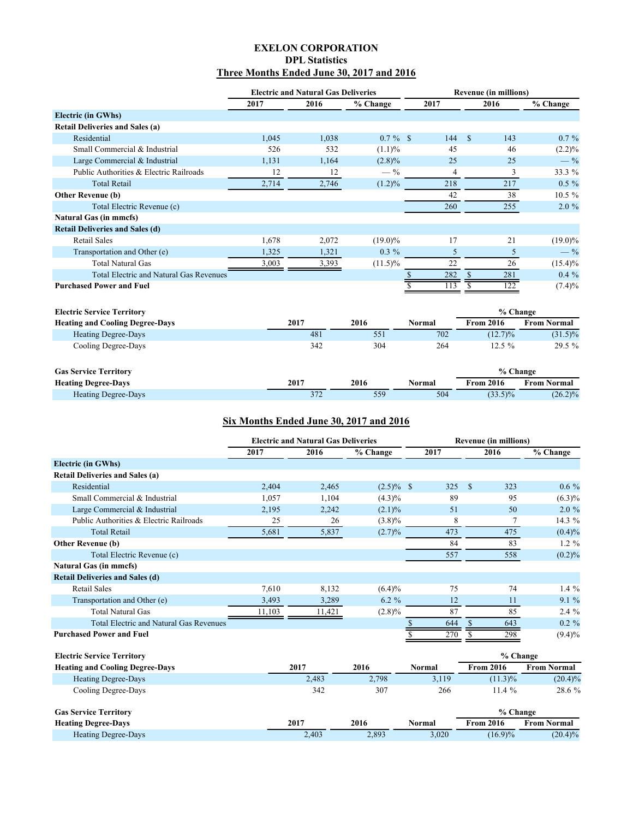## **EXELON CORPORATION DPL Statistics Three Months Ended June 30, 2017 and 2016**

<span id="page-33-0"></span>

|                                                |       | <b>Electric and Natural Gas Deliveries</b> |             |               | <b>Revenue (in millions)</b> |                    |  |  |
|------------------------------------------------|-------|--------------------------------------------|-------------|---------------|------------------------------|--------------------|--|--|
|                                                | 2017  | 2016                                       | % Change    | 2017          | 2016                         | % Change           |  |  |
| <b>Electric (in GWhs)</b>                      |       |                                            |             |               |                              |                    |  |  |
| <b>Retail Deliveries and Sales (a)</b>         |       |                                            |             |               |                              |                    |  |  |
| Residential                                    | 1,045 | 1,038                                      | $0.7 \%$ \$ | 144           | <sup>\$</sup><br>143         | $0.7\%$            |  |  |
| Small Commercial & Industrial                  | 526   | 532                                        | (1.1)%      | 45            | 46                           | $(2.2)\%$          |  |  |
| Large Commercial & Industrial                  | 1,131 | 1,164                                      | $(2.8)\%$   | 25            | 25                           | $-$ %              |  |  |
| Public Authorities & Electric Railroads        | 12    | 12                                         | $-$ %       | 4             | 3                            | 33.3 %             |  |  |
| <b>Total Retail</b>                            | 2,714 | 2,746                                      | $(1.2)\%$   | 218           | 217                          | $0.5 \%$           |  |  |
| Other Revenue (b)                              |       |                                            |             | 42            | 38                           | $10.5 \%$          |  |  |
| Total Electric Revenue (c)                     |       |                                            |             | 260           | 255                          | $2.0 \%$           |  |  |
| <b>Natural Gas (in mmcfs)</b>                  |       |                                            |             |               |                              |                    |  |  |
| <b>Retail Deliveries and Sales (d)</b>         |       |                                            |             |               |                              |                    |  |  |
| <b>Retail Sales</b>                            | 1,678 | 2,072                                      | $(19.0)\%$  | 17            | 21                           | $(19.0)\%$         |  |  |
| Transportation and Other (e)                   | 1,325 | 1,321                                      | $0.3\%$     | 5             | 5                            | $-$ %              |  |  |
| <b>Total Natural Gas</b>                       | 3,003 | 3,393                                      | $(11.5)\%$  | 22            | 26                           | $(15.4)\%$         |  |  |
| <b>Total Electric and Natural Gas Revenues</b> |       |                                            |             | 282           | 281<br>\$                    | $0.4\%$            |  |  |
| <b>Purchased Power and Fuel</b>                |       |                                            |             | 113           | 122                          | $(7.4)\%$          |  |  |
|                                                |       |                                            |             |               |                              |                    |  |  |
| <b>Electric Service Territory</b>              |       |                                            |             |               | % Change                     |                    |  |  |
| <b>Heating and Cooling Degree-Days</b>         |       | 2017                                       | 2016        | <b>Normal</b> | <b>From 2016</b>             | <b>From Normal</b> |  |  |
| <b>Heating Degree-Days</b>                     |       | 481                                        | 551         | 702           | $(12.7)\%$                   | $(31.5)\%$         |  |  |
| Cooling Degree-Days                            |       | 342                                        | 304         | 264           | 12.5%                        | 29.5 %             |  |  |
|                                                |       |                                            |             |               |                              |                    |  |  |
| <b>Gas Service Territory</b>                   |       |                                            |             |               | % Change                     |                    |  |  |
| <b>Heating Degree-Days</b>                     |       | 2017                                       | 2016        | <b>Normal</b> | <b>From 2016</b>             | <b>From Normal</b> |  |  |
| <b>Heating Degree-Days</b>                     |       | 372                                        | 559         | 504           | $(33.5)\%$                   | $(26.2)\%$         |  |  |
|                                                |       |                                            |             |               |                              |                    |  |  |

## **Six Months Ended June 30, 2017 and 2016**

|                                         | <b>Electric and Natural Gas Deliveries</b> |        |              |      | <b>Revenue (in millions)</b> |      |           |
|-----------------------------------------|--------------------------------------------|--------|--------------|------|------------------------------|------|-----------|
|                                         | 2017                                       | 2016   | % Change     | 2017 |                              | 2016 | % Change  |
| <b>Electric (in GWhs)</b>               |                                            |        |              |      |                              |      |           |
| <b>Retail Deliveries and Sales (a)</b>  |                                            |        |              |      |                              |      |           |
| Residential                             | 2,404                                      | 2,465  | $(2.5)\%$ \$ | 325  | <sup>\$</sup>                | 323  | $0.6\%$   |
| Small Commercial & Industrial           | 1,057                                      | 1,104  | $(4.3)\%$    | 89   |                              | 95   | $(6.3)\%$ |
| Large Commercial & Industrial           | 2,195                                      | 2,242  | $(2.1)\%$    | 51   |                              | 50   | $2.0 \%$  |
| Public Authorities & Electric Railroads | 25                                         | 26     | $(3.8)\%$    | 8    |                              |      | 14.3 %    |
| <b>Total Retail</b>                     | 5,681                                      | 5,837  | (2.7)%       | 473  |                              | 475  | $(0.4)\%$ |
| <b>Other Revenue (b)</b>                |                                            |        |              | 84   |                              | 83   | $1.2 \%$  |
| Total Electric Revenue (c)              |                                            |        |              | 557  |                              | 558  | $(0.2)\%$ |
| <b>Natural Gas (in mmcfs)</b>           |                                            |        |              |      |                              |      |           |
| <b>Retail Deliveries and Sales (d)</b>  |                                            |        |              |      |                              |      |           |
| Retail Sales                            | 7,610                                      | 8,132  | $(6.4)\%$    | 75   |                              | 74   | $1.4\%$   |
| Transportation and Other (e)            | 3,493                                      | 3,289  | $6.2 \%$     | 12   |                              | 11   | $9.1\%$   |
| Total Natural Gas                       | 11,103                                     | 11,421 | $(2.8)\%$    | 87   |                              | 85   | $2.4\%$   |
| Total Electric and Natural Gas Revenues |                                            |        |              | 644  |                              | 643  | $0.2 \%$  |
| <b>Purchased Power and Fuel</b>         |                                            |        |              | 270  |                              | 298  | $(9.4)\%$ |
|                                         |                                            |        |              |      |                              |      |           |

| <b>Electric Service Territory</b>      |       |       |        | % Change         |                    |
|----------------------------------------|-------|-------|--------|------------------|--------------------|
| <b>Heating and Cooling Degree-Days</b> | 2017  | 2016  | Normal | <b>From 2016</b> | From Normal        |
| <b>Heating Degree-Days</b>             | 2,483 | 2,798 | 3,119  | $(11.3)\%$       | $(20.4)\%$         |
| Cooling Degree-Days                    | 342   | 307   | 266    | 11.4 $%$         | 28.6 %             |
| <b>Gas Service Territory</b>           |       |       |        | % Change         |                    |
| <b>Heating Degree-Days</b>             | 2017  | 2016  | Normal | <b>From 2016</b> | <b>From Normal</b> |
| Heating Degree-Days                    | 2.403 | 2.893 | 3.020  | $(16.9)\%$       | $(20.4)\%$         |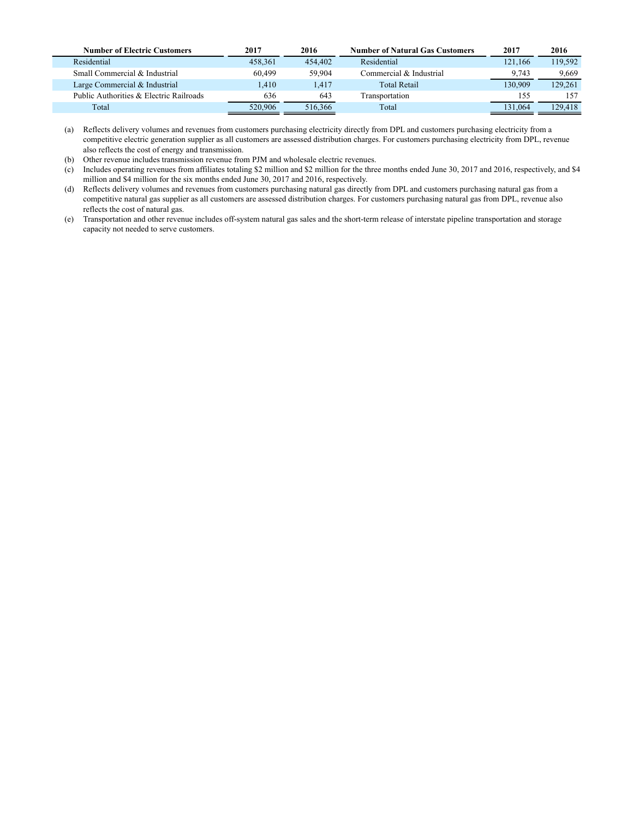| <b>Number of Electric Customers</b>     | 2017    | 2016    | <b>Number of Natural Gas Customers</b> | 2017    | 2016    |
|-----------------------------------------|---------|---------|----------------------------------------|---------|---------|
| Residential                             | 458.361 | 454,402 | Residential                            | 121.166 | 119,592 |
| Small Commercial & Industrial           | 60.499  | 59.904  | Commercial & Industrial                | 9.743   | 9.669   |
| Large Commercial & Industrial           | .410    | 1.417   | <b>Total Retail</b>                    | 130.909 | 129.261 |
| Public Authorities & Electric Railroads | 636     | 643     | Transportation                         | 155     | 157     |
| Total                                   | 520,906 | 516,366 | Total                                  | 131,064 | 129.418 |

(a) Reflects delivery volumes and revenues from customers purchasing electricity directly from DPL and customers purchasing electricity from a competitive electric generation supplier as all customers are assessed distribution charges. For customers purchasing electricity from DPL, revenue also reflects the cost of energy and transmission.

(b) Other revenue includes transmission revenue from PJM and wholesale electric revenues.

(c) Includes operating revenues from affiliates totaling \$2 million and \$2 million for the three months ended June 30, 2017 and 2016, respectively, and \$4 million and \$4 million for the six months ended June 30, 2017 and 2016, respectively.

(d) Reflects delivery volumes and revenues from customers purchasing natural gas directly from DPL and customers purchasing natural gas from a competitive natural gas supplier as all customers are assessed distribution charges. For customers purchasing natural gas from DPL, revenue also reflects the cost of natural gas.

(e) Transportation and other revenue includes off-system natural gas sales and the short-term release of interstate pipeline transportation and storage capacity not needed to serve customers.